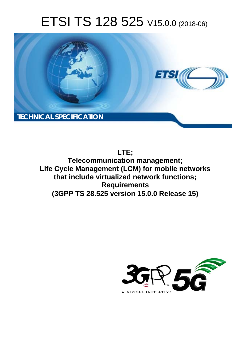# ETSI TS 128 525 V15.0.0 (2018-06)



**LTE; Telecommunication management; Life Cycle Management (LCM) for mobile networks that include virtualized network functions; Requirements (3GPP TS 28.525 version 15.0.0 Release 15)** 

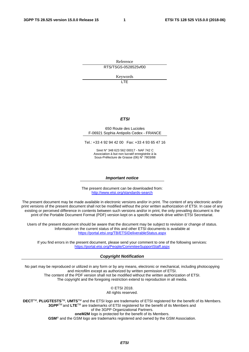Reference RTS/TSGS-0528525vf00

Keywords

LTE

#### *ETSI*

#### 650 Route des Lucioles F-06921 Sophia Antipolis Cedex - FRANCE

Tel.: +33 4 92 94 42 00 Fax: +33 4 93 65 47 16

Siret N° 348 623 562 00017 - NAF 742 C Association à but non lucratif enregistrée à la Sous-Préfecture de Grasse (06) N° 7803/88

#### *Important notice*

The present document can be downloaded from: <http://www.etsi.org/standards-search>

The present document may be made available in electronic versions and/or in print. The content of any electronic and/or print versions of the present document shall not be modified without the prior written authorization of ETSI. In case of any existing or perceived difference in contents between such versions and/or in print, the only prevailing document is the print of the Portable Document Format (PDF) version kept on a specific network drive within ETSI Secretariat.

Users of the present document should be aware that the document may be subject to revision or change of status. Information on the current status of this and other ETSI documents is available at <https://portal.etsi.org/TB/ETSIDeliverableStatus.aspx>

If you find errors in the present document, please send your comment to one of the following services: <https://portal.etsi.org/People/CommiteeSupportStaff.aspx>

#### *Copyright Notification*

No part may be reproduced or utilized in any form or by any means, electronic or mechanical, including photocopying and microfilm except as authorized by written permission of ETSI. The content of the PDF version shall not be modified without the written authorization of ETSI. The copyright and the foregoing restriction extend to reproduction in all media.

> © ETSI 2018. All rights reserved.

**DECT**TM, **PLUGTESTS**TM, **UMTS**TM and the ETSI logo are trademarks of ETSI registered for the benefit of its Members. **3GPP**TM and **LTE**TM are trademarks of ETSI registered for the benefit of its Members and of the 3GPP Organizational Partners. **oneM2M** logo is protected for the benefit of its Members.

**GSM**® and the GSM logo are trademarks registered and owned by the GSM Association.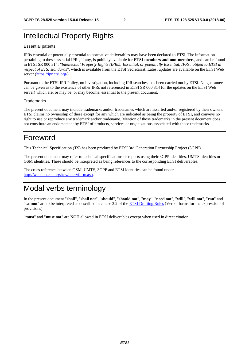# Intellectual Property Rights

#### Essential patents

IPRs essential or potentially essential to normative deliverables may have been declared to ETSI. The information pertaining to these essential IPRs, if any, is publicly available for **ETSI members and non-members**, and can be found in ETSI SR 000 314: *"Intellectual Property Rights (IPRs); Essential, or potentially Essential, IPRs notified to ETSI in respect of ETSI standards"*, which is available from the ETSI Secretariat. Latest updates are available on the ETSI Web server ([https://ipr.etsi.org/\)](https://ipr.etsi.org/).

Pursuant to the ETSI IPR Policy, no investigation, including IPR searches, has been carried out by ETSI. No guarantee can be given as to the existence of other IPRs not referenced in ETSI SR 000 314 (or the updates on the ETSI Web server) which are, or may be, or may become, essential to the present document.

#### **Trademarks**

The present document may include trademarks and/or tradenames which are asserted and/or registered by their owners. ETSI claims no ownership of these except for any which are indicated as being the property of ETSI, and conveys no right to use or reproduce any trademark and/or tradename. Mention of those trademarks in the present document does not constitute an endorsement by ETSI of products, services or organizations associated with those trademarks.

# Foreword

This Technical Specification (TS) has been produced by ETSI 3rd Generation Partnership Project (3GPP).

The present document may refer to technical specifications or reports using their 3GPP identities, UMTS identities or GSM identities. These should be interpreted as being references to the corresponding ETSI deliverables.

The cross reference between GSM, UMTS, 3GPP and ETSI identities can be found under [http://webapp.etsi.org/key/queryform.asp.](http://webapp.etsi.org/key/queryform.asp)

# Modal verbs terminology

In the present document "**shall**", "**shall not**", "**should**", "**should not**", "**may**", "**need not**", "**will**", "**will not**", "**can**" and "**cannot**" are to be interpreted as described in clause 3.2 of the [ETSI Drafting Rules](https://portal.etsi.org/Services/editHelp!/Howtostart/ETSIDraftingRules.aspx) (Verbal forms for the expression of provisions).

"**must**" and "**must not**" are **NOT** allowed in ETSI deliverables except when used in direct citation.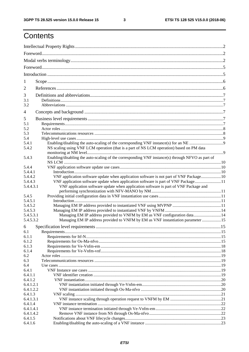$\mathbf{3}$ 

# Contents

| 1              |                                                                                                  |  |  |
|----------------|--------------------------------------------------------------------------------------------------|--|--|
| 2              |                                                                                                  |  |  |
| 3              |                                                                                                  |  |  |
| 3.1            |                                                                                                  |  |  |
| 3.2            |                                                                                                  |  |  |
| $\overline{4}$ |                                                                                                  |  |  |
| 5              |                                                                                                  |  |  |
| 5.1            |                                                                                                  |  |  |
| 5.2            |                                                                                                  |  |  |
| 5.3            |                                                                                                  |  |  |
| 5.4            |                                                                                                  |  |  |
| 5.4.1          |                                                                                                  |  |  |
| 5.4.2          | NS scaling using VNF LCM operation (that is a part of NS LCM operation) based on PM data         |  |  |
| 5.4.3          | Enabling/disabling the auto-scaling of the corresponding VNF instance(s) through NFVO as part of |  |  |
|                |                                                                                                  |  |  |
| 5.4.4          |                                                                                                  |  |  |
| 5.4.4.1        |                                                                                                  |  |  |
| 5.4.4.2        | VNF application software update when application software is not part of VNF Package 10          |  |  |
| 5.4.4.3        | VNF application software update when application software is part of VNF Package11               |  |  |
| 5.4.4.3.1      | VNF application software update when application software is part of VNF Package and             |  |  |
|                |                                                                                                  |  |  |
| 5.4.5          |                                                                                                  |  |  |
| 5.4.5.1        |                                                                                                  |  |  |
| 5.4.5.2        |                                                                                                  |  |  |
| 5.4.5.3        |                                                                                                  |  |  |
| 5.4.5.3.1      | Managing EM IP address provided to VNFM by EM as VNF configuration data 14                       |  |  |
| 5.4.5.3.2      | Managing EM IP address provided to VNFM by EM as VNF instantiation parameter 15                  |  |  |
| 6              |                                                                                                  |  |  |
| 6.1            |                                                                                                  |  |  |
| 6.1.1          |                                                                                                  |  |  |
| 6.1.2          |                                                                                                  |  |  |
| 6.1.3          |                                                                                                  |  |  |
| 6.1.4          |                                                                                                  |  |  |
| 6.2            |                                                                                                  |  |  |
| 6.3            |                                                                                                  |  |  |
| 6.4            |                                                                                                  |  |  |
| 6.4.1          |                                                                                                  |  |  |
| 6.4.1.1        |                                                                                                  |  |  |
| 6.4.1.2        |                                                                                                  |  |  |
| 6.4.1.2.1      |                                                                                                  |  |  |
| 6.4.1.2.2      |                                                                                                  |  |  |
| 6.4.1.3        |                                                                                                  |  |  |
| 6.4.1.3.1      |                                                                                                  |  |  |
| 6.4.1.4        |                                                                                                  |  |  |
| 6.4.1.4.1      |                                                                                                  |  |  |
| 6.4.1.4.2      |                                                                                                  |  |  |
| 6.4.1.5        |                                                                                                  |  |  |
| 6.4.1.6        |                                                                                                  |  |  |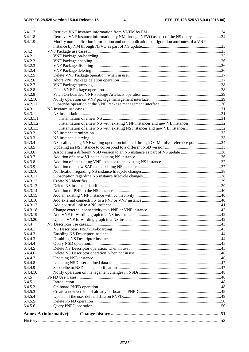| 6.4.1.7   |                                                                                          |  |
|-----------|------------------------------------------------------------------------------------------|--|
| 6.4.1.8   | Retrieve VNF instance information by NM through NFVO as part of the NS query 24          |  |
| 6.4.1.9   | Modify non-application information and non-application configuration attributes of a VNF |  |
|           |                                                                                          |  |
| 6.4.2     |                                                                                          |  |
| 6.4.2.1   |                                                                                          |  |
| 6.4.2.2   |                                                                                          |  |
|           |                                                                                          |  |
| 6.4.2.3   |                                                                                          |  |
| 6.4.2.4   |                                                                                          |  |
| 6.4.2.5   |                                                                                          |  |
| 6.4.2.6   |                                                                                          |  |
| 6.4.2.7   |                                                                                          |  |
| 6.4.2.8   |                                                                                          |  |
| 6.4.2.9   |                                                                                          |  |
| 6.4.2.10  |                                                                                          |  |
| 6.4.2.11  |                                                                                          |  |
| 6.4.3     |                                                                                          |  |
| 6.4.3.1   |                                                                                          |  |
| 6.4.3.1.1 |                                                                                          |  |
| 6.4.3.1.2 |                                                                                          |  |
| 6.4.3.1.3 |                                                                                          |  |
| 6.4.3.2   |                                                                                          |  |
| 6.4.3.3   |                                                                                          |  |
| 6.4.3.4   | NS scaling using VNF scaling operation initiated through Os-Ma-nfvo reference point34    |  |
| 6.4.3.5   |                                                                                          |  |
| 6.4.3.6   |                                                                                          |  |
| 6.4.3.7   |                                                                                          |  |
| 6.4.3.8   |                                                                                          |  |
| 6.4.3.9   |                                                                                          |  |
| 6.4.3.10  |                                                                                          |  |
| 6.4.3.11  |                                                                                          |  |
| 6.4.3.12  |                                                                                          |  |
| 6.4.3.13  |                                                                                          |  |
| 6.4.3.14  |                                                                                          |  |
| 6.4.3.15  |                                                                                          |  |
| 6.4.3.16  |                                                                                          |  |
| 6.4.3.17  |                                                                                          |  |
| 6.4.3.18  |                                                                                          |  |
| 6.4.3.19  |                                                                                          |  |
| 6.4.3.20  |                                                                                          |  |
| 6.4.4     |                                                                                          |  |
| 6.4.4.1   |                                                                                          |  |
| 6.4.4.2   |                                                                                          |  |
| 6.4.4.3   |                                                                                          |  |
| 6.4.4.4   |                                                                                          |  |
| 6.4.4.5   |                                                                                          |  |
| 6.4.4.6   |                                                                                          |  |
| 6.4.4.7   |                                                                                          |  |
| 6.4.4.8   |                                                                                          |  |
| 6.4.4.9   |                                                                                          |  |
| 6.4.4.10  |                                                                                          |  |
| 6.4.5     |                                                                                          |  |
| 6.4.5.1   |                                                                                          |  |
| 6.4.5.2   |                                                                                          |  |
| 6.4.5.3   |                                                                                          |  |
| 6.4.5.4   |                                                                                          |  |
| 6.4.5.5   |                                                                                          |  |
| 6.4.5.6   |                                                                                          |  |
|           |                                                                                          |  |
|           | <b>Annex A (informative):</b>                                                            |  |
|           |                                                                                          |  |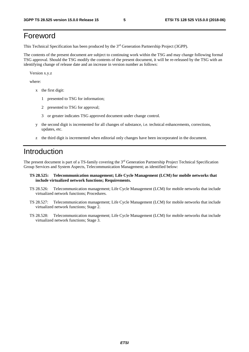# Foreword

This Technical Specification has been produced by the 3rd Generation Partnership Project (3GPP).

The contents of the present document are subject to continuing work within the TSG and may change following formal TSG approval. Should the TSG modify the contents of the present document, it will be re-released by the TSG with an identifying change of release date and an increase in version number as follows:

Version x.y.z

where:

- x the first digit:
	- 1 presented to TSG for information;
	- 2 presented to TSG for approval;
	- 3 or greater indicates TSG approved document under change control.
- y the second digit is incremented for all changes of substance, i.e. technical enhancements, corrections, updates, etc.
- z the third digit is incremented when editorial only changes have been incorporated in the document.

# Introduction

The present document is part of a TS-family covering the 3rd Generation Partnership Project Technical Specification Group Services and System Aspects, Telecommunication Management; as identified below:

- **TS 28.525: Telecommunication management; Life Cycle Management (LCM) for mobile networks that include virtualized network functions; Requirements.**
- TS 28.526: Telecommunication management; Life Cycle Management (LCM) for mobile networks that include virtualized network functions; Procedures.
- TS 28.527: Telecommunication management; Life Cycle Management (LCM) for mobile networks that include virtualized network functions; Stage 2.
- TS 28.528: Telecommunication management; Life Cycle Management (LCM) for mobile networks that include virtualized network functions; Stage 3.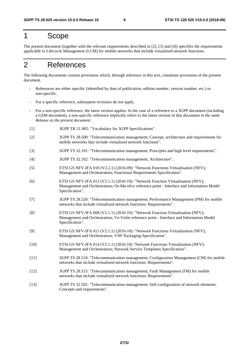# 1 Scope

The present document (together with the relevant requirements described in [2], [3] and [4]) specifies the requirements applicable to Lifecycle Management (LCM) for mobile networks that include virtualized network functions.

# 2 References

The following documents contain provisions which, through reference in this text, constitute provisions of the present document.

- References are either specific (identified by date of publication, edition number, version number, etc.) or non-specific.
- For a specific reference, subsequent revisions do not apply.
- For a non-specific reference, the latest version applies. In the case of a reference to a 3GPP document (including a GSM document), a non-specific reference implicitly refers to the latest version of that document *in the same Release as the present document*.
- [1] 3GPP TR 21.905: "Vocabulary for 3GPP Specifications".
- [2] 3GPP TS 28.500: "Telecommunication management; Concept, architecture and requirements for mobile networks that include virtualized network functions".
- [3] 3GPP TS 32.101: "Telecommunication management; Principles and high level requirements".

[4] 3GPP TS 32.102: "Telecommunication management; Architecture".

- [5] ETSI GS NFV-IFA 010 (V2.2.1) (2016-09): "Network Functions Virtualisation (NFV); Management and Orchestration; Functional Requirements Specification".
- [6] ETSI GS NFV-IFA 013 (V2.1.1) (2016-10): "Network Function Virtualisation (NFV); Management and Orchestration; Os-Ma-nfvo reference point - Interface and Information Model Specification".
- [7] 3GPP TS 28.520: "Telecommunication management; Performance Management (PM) for mobile networks that include virtualized network functions; Requirements".
- [8] ETSI GS NFV-IFA 008 (V2.1.1) (2016-10): "Network Function Virtualisation (NFV); Management and Orchestration; Ve-Vnfm reference point - Interface and Information Model Specification".
- [9] ETSI GS NFV-IFA 011 (V2.1.1) (2016-10): "Network Functions Virtualisation (NFV); Management and Orchestration; VNF Packaging Specification".
- [10] ETSI GS NFV-IFA 014 (V2.1.1) (2016-10) "Network Functions Virtualisation (NFV); Management and Orchestration; Network Service Templates Specification".
- [11] 3GPP TS 28.510: "Telecommunication management; Configuration Management (CM) for mobile networks that include virtualized network functions; Requirements".
- [12] 3GPP TS 28.515: "Telecommunication management; Fault Management (FM) for mobile networks that include virtualized network functions; Requirements".
- [13] 3GPP TS 32.501: "Telecommunication management; Self-configuration of network elements; Concepts and requirements".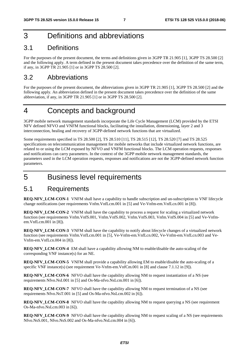# 3 Definitions and abbreviations

# 3.1 Definitions

For the purposes of the present document, the terms and definitions given in 3GPP TR 21.905 [1], 3GPP TS 28.500 [2] and the following apply. A term defined in the present document takes precedence over the definition of the same term, if any, in 3GPP TR 21.905 [1] or in 3GPP TS 28.500 [2].

# 3.2 Abbreviations

For the purposes of the present document, the abbreviations given in 3GPP TR 21.905 [1], 3GPP TS 28.500 [2] and the following apply. An abbreviation defined in the present document takes precedence over the definition of the same abbreviation, if any, in 3GPP TR 21.905 [1] or in 3GPP TS 28.500 [2].

# 4 Concepts and background

3GPP mobile network management standards incorporate the Life Cycle Management (LCM) provided by the ETSI NFV defined NFVO and VNFM functional blocks, facilitating the installation, dimensioning, layer 2 and 3 interconnection, healing and recovery of 3GPP-defined network functions that are virtualized.

Some requirements specified in TS 28.500 [2], TS 28.510 [11], TS 28.515 [12], TS 28.520 [7] and TS 28.525 specifications on telecommunication management for mobile networks that include virtualized network functions, are related to or using the LCM exposed by NFVO and VNFM functional blocks. The LCM operation requests, responses and notifications can carry parameters. In the context of the 3GPP mobile network management standards, the parameters used in the LCM operation requests, responses and notifications are not the 3GPP-defined network function parameters.

# 5 Business level requirements

#### 5.1 Requirements

**REQ-NFV\_LCM-CON-1** VNFM shall have a capability to handle subscription and un-subscription to VNF lifecycle change notifications (see requirements Vnfm.VnfLcm.001 in [5] and Ve-Vnfm-em.VnfLcn.001 in [8]).

**REQ-NFV\_LCM-CON-2** VNFM shall have the capability to process a request for scaling a virtualized network function (see requirements Vnfm.VnfS.001, Vnfm.VnfS.002, Vnfm.VnfS.003, Vnfm.VnfS.004 in [5] and Ve-Vnfmem.VnfLcm.001 in [8]).

**REQ-NFV\_LCM-CON-3** VNFM shall have the capability to notify about lifecycle changes of a virtualized network function (see requirements Vnfm.VnfLcm.001 in [5], Ve-Vnfm-em.VnfLcn.002, Ve-Vnfm-em.VnfLcn.003 and Ve-Vnfm-em.VnfLcn.004 in [8]).

**REQ-NFV\_LCM-CON-4** EM shall have a capability allowing NM to enable/disable the auto-scaling of the corresponding VNF instance(s) for an NE.

**REQ-NFV LCM-CON-5** VNFM shall provide a capability allowing EM to enable/disable the auto-scaling of a specific VNF instance(s) (see requirement Ve-Vnfm-em.VnfCm.001 in [8] and clause 7.1.12 in [9]).

**REQ-NFV\_LCM-CON-6** NFVO shall have the capability allowing NM to request instantiation of a NS (see requirements Nfvo.NsI.001 in [5] and Os-Ma-nfvo.NsLcm.001 in [6]).

**REQ-NFV\_LCM-CON-7** NFVO shall have the capability allowing NM to request termination of a NS (see requirements Nfvo.NsT.001 in [5] and Os-Ma-nfvo.NsLcm.002 in [6]).

**REQ-NFV\_LCM-CON-8** NFVO shall have the capability allowing NM to request querying a NS (see requirement Os-Ma-nfvo.NsLcm.003 in [6]).

**REQ-NFV\_LCM-CON-9** NFVO shall have the capability allowing NM to request scaling of a NS (see requirements Nfvo.NsS.001, Nfvo.NsS.002 and Os-Ma-nfvo.NsLcm.004 in [6]).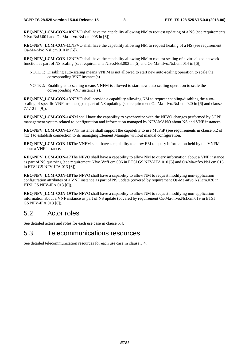**REO-NFV\_LCM-CON-10 NFVO shall have the capability allowing NM to request updating of a NS (see requirements)** Nfvo.NsU.001 and Os-Ma-nfvo.NsLcm.005 in [6]).

**REQ-NFV\_LCM-CON-11** NFVO shall have the capability allowing NM to request healing of a NS (see requirement Os-Ma-nfvo.NsLcm.010 in [6]).

**REQ-NFV\_LCM-CON-12 NFVO shall have the capability allowing NM to request scaling of a virtualized network** function as part of NS scaling (see requirements Nfvo.NsS.003 in [5] and Os-Ma-nfvo.NsLcm.014 in [6]).

- NOTE 1: Disabling auto-scaling means VNFM is not allowed to start new auto-scaling operation to scale the corresponding VNF instance(s).
- NOTE 2: Enabling auto-scaling means VNFM is allowed to start new auto-scaling operation to scale the corresponding VNF instance(s).

**REQ-NFV\_LCM-CON-13** NFVO shall provide a capability allowing NM to request enabling/disabling the autoscaling of specific VNF instance(s) as part of NS updating (see requirement Os-Ma-nfvo.NsLcm.020 in [6] and clause 7.1.12 in [9]).

**REQ-NFV\_LCM-CON-14 NM** shall have the capability to synchronize with the NFVO changes performed by 3GPP management system related to configuration and information managed by NFV-MANO about NS and VNF instances.

**REQ-NFV\_LCM-CON-15** VNF instance shall support the capability to use MvPnP (see requirements in clause 5.2 of [13]) to establish connection to its managing Element Manager without manual configuration.

**REQ-NFV\_LCM-CON-16** The VNFM shall have a capability to allow EM to query information held by the VNFM about a VNF instance.

**REQ-NFV\_LCM-CON-17** The NFVO shall have a capability to allow NM to query information about a VNF instance as part of NS querying (see requirement Nfvo.VnfLcm.006 in ETSI GS NFV-IFA 010 [5] and Os-Ma-nfvo.NsLcm.015 in ETSI GS NFV-IFA 013 [6]).

**REQ-NFV\_LCM-CON-18** The NFVO shall have a capability to allow NM to request modifying non-application configuration attributes of a VNF instance as part of NS update (covered by requirement Os-Ma-nfvo.NsLcm.020 in ETSI GS NFV-IFA 013 [6]).

**REQ-NFV\_LCM-CON-19 The NFVO shall have a capability to allow NM to request modifying non-application** information about a VNF instance as part of NS update (covered by requirement Os-Ma-nfvo.NsLcm.019 in ETSI GS NFV-IFA 013 [6]).

# 5.2 Actor roles

See detailed actors and roles for each use case in clause 5.4.

#### 5.3 Telecommunications resources

See detailed telecommunication resources for each use case in clause 5.4.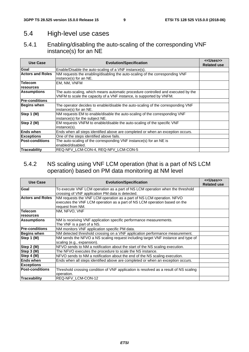# 5.4 High-level use cases

# 5.4.1 Enabling/disabling the auto-scaling of the corresponding VNF instance(s) for an NE

| Use Case                | <b>Evolution/Specification</b>                                                                                                                          | < <uses>&gt;<br/><b>Related use</b></uses> |
|-------------------------|---------------------------------------------------------------------------------------------------------------------------------------------------------|--------------------------------------------|
| Goal                    | Enable/Disable the auto-scaling of a VNF instance(s).                                                                                                   |                                            |
| <b>Actors and Roles</b> | NM requests the enabling/disabling the auto-scaling of the corresponding VNF<br>instance(s) for an NE.                                                  |                                            |
| <b>Telecom</b>          | EM, NM, VNFM                                                                                                                                            |                                            |
| resources               |                                                                                                                                                         |                                            |
| <b>Assumptions</b>      | The auto-scaling, which means automatic procedure controlled and executed by the<br>VNFM to scale the capacity of a VNF instance, is supported by VNFM. |                                            |
| <b>Pre-conditions</b>   |                                                                                                                                                         |                                            |
| Begins when             | The operator decides to enable/disable the auto-scaling of the corresponding VNF<br>instance(s) for an NE.                                              |                                            |
| Step 1 (M)              | NM requests EM to enable/disable the auto-scaling of the corresponding VNF<br>instance(s) for the subject NE.                                           |                                            |
| Step 2 (M)              | EM requests VNFM to enable/disable the auto-scaling of the specific VNF<br>instance(s).                                                                 |                                            |
| <b>Ends when</b>        | Ends when all steps identified above are completed or when an exception occurs.                                                                         |                                            |
| <b>Exceptions</b>       | One of the steps identified above fails.                                                                                                                |                                            |
| <b>Post-conditions</b>  | The auto-scaling of the corresponding VNF instance(s) for an NE is<br>enabled/disabled.                                                                 |                                            |
| <b>Traceability</b>     | REQ-NFV LCM-CON-4, REQ-NFV LCM-CON-5                                                                                                                    |                                            |

# 5.4.2 NS scaling using VNF LCM operation (that is a part of NS LCM operation) based on PM data monitoring at NM level

| <b>Use Case</b>         | <b>Evolution/Specification</b>                                                                                                                                         | < <uses>&gt;<br/><b>Related use</b></uses> |
|-------------------------|------------------------------------------------------------------------------------------------------------------------------------------------------------------------|--------------------------------------------|
| Goal                    | To execute VNF LCM operation as a part of NS LCM operation when the threshold<br>crossing of VNF application PM data is detected.                                      |                                            |
| <b>Actors and Roles</b> | NM requests the VNF LCM operation as a part of NS LCM operation. NFVO<br>executes the VNF LCM operation as a part of NS LCM operation based on the<br>request from NM. |                                            |
| <b>Telecom</b>          | NM, NFVO, VNF                                                                                                                                                          |                                            |
| resources               |                                                                                                                                                                        |                                            |
| Assumptions             | NM is receiving VNF application specific performance measurements.<br>The VNF is a part of a NS.                                                                       |                                            |
| <b>Pre-conditions</b>   | NM monitors VNF application specific PM data.                                                                                                                          |                                            |
| <b>Begins when</b>      | NM detected threshold crossing on a VNF application performance measurement.                                                                                           |                                            |
| Step 1 (M)              | NM sends the NFVO a NS scaling request including target VNF instance and type of<br>scaling (e.g., expansion).                                                         |                                            |
| Step 2 (M)              | NFVO sends to NM a notification about the start of the NS scaling execution.                                                                                           |                                            |
| Step 3 (M)              | The NFVO executes the procedure to scale the NS instance.                                                                                                              |                                            |
| Step 4 (M)              | NFVO sends to NM a notification about the end of the NS scaling execution.                                                                                             |                                            |
| <b>Ends when</b>        | Ends when all steps identified above are completed or when an exception occurs.                                                                                        |                                            |
| <b>Exceptions</b>       |                                                                                                                                                                        |                                            |
| <b>Post-conditions</b>  | Threshold crossing condition of VNF application is resolved as a result of NS scaling<br>operation.                                                                    |                                            |
| <b>Traceability</b>     | REQ-NFV LCM-CON-12                                                                                                                                                     |                                            |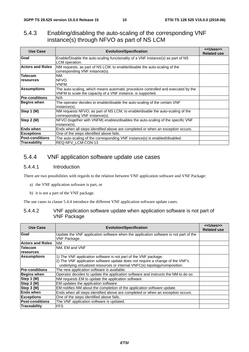#### 5.4.3 Enabling/disabling the auto-scaling of the corresponding VNF instance(s) through NFVO as part of NS LCM

| Use Case                | <b>Evolution/Specification</b>                                                                                                                  | < <uses>&gt;<br/><b>Related use</b></uses> |
|-------------------------|-------------------------------------------------------------------------------------------------------------------------------------------------|--------------------------------------------|
| Goal                    | Enable/Disable the auto-scaling functionality of a VNF instance(s) as part of NS<br>LCM operation.                                              |                                            |
| <b>Actors and Roles</b> | NM requests, as part of NS LCM, to enable/disable the auto-scaling of the<br>corresponding VNF instance(s).                                     |                                            |
| <b>Telecom</b>          | NM.                                                                                                                                             |                                            |
| resources               | NFVO.<br>VNFM.                                                                                                                                  |                                            |
| <b>Assumptions</b>      | The auto-scaling, which means automatic procedure controlled and executed by the<br>VNFM to scale the capacity of a VNF instance, is supported. |                                            |
| <b>Pre-conditions</b>   | N/A                                                                                                                                             |                                            |
| Begins when             | The operator decides to enable/disable the auto-scaling of the certain VNF<br>linstance(s).                                                     |                                            |
| Step 1 (M)              | NM requests NFVO, as part of NS LCM, to enable/disable the auto-scaling of the<br>corresponding VNF instance(s).                                |                                            |
| Step 2 (M)              | NFVO (together with VNFM) enables/disables the auto-scaling of the specific VNF<br>instance(s).                                                 |                                            |
| <b>Ends when</b>        | Ends when all steps identified above are completed or when an exception occurs.                                                                 |                                            |
| <b>Exceptions</b>       | One of the steps identified above fails.                                                                                                        |                                            |
| <b>Post-conditions</b>  | The auto-scaling of the corresponding VNF instance(s) is enabled/disabled.                                                                      |                                            |
| Traceability            | <b>REQ-NFV LCM-CON-13</b>                                                                                                                       |                                            |

#### 5.4.4 VNF application software update use cases

#### 5.4.4.1 Introduction

There are two possibilities with regards to the relation between VNF application software and VNF Package:

- a) the VNF application software is part, or
- b) it is not a part of the VNF package.

The use cases in clause 5.4.4 introduce the different VNF application software update cases.

#### 5.4.4.2 VNF application software update when application software is not part of VNF Package

| Use Case                | <b>Evolution/Specification</b>                                                       | < <uses>&gt;<br/><b>Related use</b></uses> |
|-------------------------|--------------------------------------------------------------------------------------|--------------------------------------------|
| Goal                    | Update the VNF application software when the application software is not part of the |                                            |
|                         | <b>VNF Package.</b>                                                                  |                                            |
| <b>Actors and Roles</b> | <b>NM</b>                                                                            |                                            |
| <b>Telecom</b>          | <b>INM. EM and VNF</b>                                                               |                                            |
| <b>resources</b>        |                                                                                      |                                            |
| <b>Assumptions</b>      | 1) The VNF application software is not part of the VNF package.                      |                                            |
|                         | 2) The VNF application software update does not require a change of the VNF's        |                                            |
|                         | underlying virtualized resources or internal VNFC(s) topology/composition.           |                                            |
| <b>Pre-conditions</b>   | The new application software is available.                                           |                                            |
| <b>Begins when</b>      | Operator decides to update the application software and instructs the NM to do so.   |                                            |
| Step 1 (M)              | NM requests EM to update the application software.                                   |                                            |
| Step 2 (M)              | EM updates the application software.                                                 |                                            |
| Step $3(M)$             | EM notifies NM about the completion of the application software update.              |                                            |
| <b>Ends when</b>        | Ends when all steps identified above are completed or when an exception occurs.      |                                            |
| <b>Exceptions</b>       | One of the steps identified above fails.                                             |                                            |
| <b>Post-conditions</b>  | The VNF application software is updated.                                             |                                            |
| Traceability            | IFFS.                                                                                |                                            |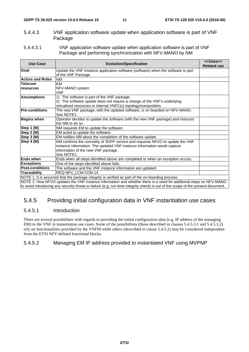- 5.4.4.3 VNF application software update when application software is part of VNF Package
- 5.4.4.3.1 VNF application software update when application software is part of VNF Package and performing synchronization with NFV-MANO by NM

| <b>Use Case</b>         | <b>Evolution/Specification</b>                                                                                                                                                                                                                                                                                                                                                      | < <uses>&gt;<br/><b>Related use</b></uses> |
|-------------------------|-------------------------------------------------------------------------------------------------------------------------------------------------------------------------------------------------------------------------------------------------------------------------------------------------------------------------------------------------------------------------------------|--------------------------------------------|
| Goal                    | Update the VNF instance application software (software) when the software is part                                                                                                                                                                                                                                                                                                   |                                            |
|                         | of the VNF Package.                                                                                                                                                                                                                                                                                                                                                                 |                                            |
| <b>Actors and Roles</b> | <b>NM</b>                                                                                                                                                                                                                                                                                                                                                                           |                                            |
| <b>Telecom</b>          | EМ                                                                                                                                                                                                                                                                                                                                                                                  |                                            |
| <b>Iresources</b>       | NFV-MANO system                                                                                                                                                                                                                                                                                                                                                                     |                                            |
|                         | <b>VNF</b>                                                                                                                                                                                                                                                                                                                                                                          |                                            |
| <b>Assumptions</b>      | The software is part of the VNF package.<br>1)                                                                                                                                                                                                                                                                                                                                      |                                            |
|                         | 2) The software update does not require a change of the VNF's underlying                                                                                                                                                                                                                                                                                                            |                                            |
|                         | virtualised resources or internal VNFC(s) topology/composition.                                                                                                                                                                                                                                                                                                                     |                                            |
| <b>Pre-conditions</b>   | The new VNF package, with the updated software, is on boarded on NFV-MANO.                                                                                                                                                                                                                                                                                                          |                                            |
|                         | See NOTE1.                                                                                                                                                                                                                                                                                                                                                                          |                                            |
| <b>Begins when</b>      | Operator decides to update the software (with the new VNF package) and instructs                                                                                                                                                                                                                                                                                                    |                                            |
|                         | the NM to do so.                                                                                                                                                                                                                                                                                                                                                                    |                                            |
| Step 1 (M)              | NM requests EM to update the software.                                                                                                                                                                                                                                                                                                                                              |                                            |
| Step 2 (M)              | EM acted to update the software.                                                                                                                                                                                                                                                                                                                                                    |                                            |
| Step 3 (M)              | EM notifies NM about the completion of the software update.                                                                                                                                                                                                                                                                                                                         |                                            |
| Step 4 (M)              | NM confirms the normality of 3GPP service and requests NFVO to update the VNF                                                                                                                                                                                                                                                                                                       |                                            |
|                         | instance information. The updated VNF instance information would capture                                                                                                                                                                                                                                                                                                            |                                            |
|                         | information of the new VNF package.                                                                                                                                                                                                                                                                                                                                                 |                                            |
|                         | See NOTE2.                                                                                                                                                                                                                                                                                                                                                                          |                                            |
| <b>Ends when</b>        | Ends when all steps identified above are completed or when an exception occurs.                                                                                                                                                                                                                                                                                                     |                                            |
| <b>Exceptions</b>       | One of the steps identified above fails.                                                                                                                                                                                                                                                                                                                                            |                                            |
| <b>Post-conditions</b>  | The software and the VNF instance information are updated.                                                                                                                                                                                                                                                                                                                          |                                            |
| Traceability            | <b>REQ-NFV LCM-CON-14</b>                                                                                                                                                                                                                                                                                                                                                           |                                            |
|                         | NOTE 1: It is assumed that the package integrity is verified as part of the on-boarding process.                                                                                                                                                                                                                                                                                    |                                            |
|                         | $M$ $\overline{O}$ $\overline{T}$ $\overline{O}$ , $\overline{O}$ , $\overline{O}$ $\overline{O}$ , $\overline{O}$ and $\overline{O}$ $\overline{O}$ $\overline{O}$ $\overline{O}$ $\overline{O}$ $\overline{O}$ $\overline{O}$ $\overline{O}$ $\overline{O}$ $\overline{O}$ $\overline{O}$ $\overline{O}$ $\overline{O}$ $\overline{O}$ $\overline{O}$ $\overline{O}$ $\overline{$ | NIEVANANIA                                 |

NOTE 2: How NFVO updates the VNF instance information and whether there is a need for additional steps on NFV-MANO to avoid introducing any security threat or failure (e.g. run-time integrity check) is out of the scope of the present document.

# 5.4.5 Providing initial configuration data in VNF instantiation use cases

#### 5.4.5.1 Introduction

There are several possibilities with regards to providing the initial configuration data (e.g. IP address of the managing EM) to the VNF in instantiation use cases. Some of the possibilities (those described in clauses 5.4.5.3.1 and 5.4.5.3.2) rely on functionalities provided by the VNFM while others (described in clause 5.4.5.2) may be considered independent from the ETSI NFV defined functional blocks.

#### 5.4.5.2 Managing EM IP address provided to instantiated VNF using MVPNP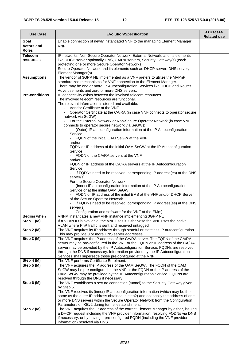| <b>Use Case</b>                   | <b>Evolution/Specification</b>                                                                                                                                                                                                                                                                                                                                                                                                                                                                                                                                                                                                                                                                                                                                                                                                                                                                                                                                                                                                                                                                                                                                                                                                                             | < <uses>&gt;<br/><b>Related use</b></uses> |
|-----------------------------------|------------------------------------------------------------------------------------------------------------------------------------------------------------------------------------------------------------------------------------------------------------------------------------------------------------------------------------------------------------------------------------------------------------------------------------------------------------------------------------------------------------------------------------------------------------------------------------------------------------------------------------------------------------------------------------------------------------------------------------------------------------------------------------------------------------------------------------------------------------------------------------------------------------------------------------------------------------------------------------------------------------------------------------------------------------------------------------------------------------------------------------------------------------------------------------------------------------------------------------------------------------|--------------------------------------------|
| Goal                              | Enable connection of newly instantiated VNF to the managing Element Manager                                                                                                                                                                                                                                                                                                                                                                                                                                                                                                                                                                                                                                                                                                                                                                                                                                                                                                                                                                                                                                                                                                                                                                                |                                            |
| <b>Actors and</b><br><b>Roles</b> | <b>VNF</b>                                                                                                                                                                                                                                                                                                                                                                                                                                                                                                                                                                                                                                                                                                                                                                                                                                                                                                                                                                                                                                                                                                                                                                                                                                                 |                                            |
| <b>Telecom</b><br>resources       | IP networks: Non-Secure Operator Network, External Network, and its elements<br>like DHCP server optionally DNS, CA/RA servers, Security Gateway(s) (each<br>protecting one or more Secure Operator Networks);<br>Secure Operator Network and its elements such as DHCP server, DNS server,<br>Element Manager(s)                                                                                                                                                                                                                                                                                                                                                                                                                                                                                                                                                                                                                                                                                                                                                                                                                                                                                                                                          |                                            |
| <b>Assumptions</b>                | The vendor of 3GPP NE implemented as a VNF prefers to utilize the MVPnP<br>standardized mechanisms for VNF connection to the Element Manager.<br>There may be one or more IP Autoconfiguration Services like DHCP and Router<br>Advertisements and zero or more DNS servers.                                                                                                                                                                                                                                                                                                                                                                                                                                                                                                                                                                                                                                                                                                                                                                                                                                                                                                                                                                               |                                            |
| <b>Pre-conditions</b>             | IP connectivity exists between the involved telecom resources.<br>The involved telecom resources are functional.<br>The relevant information is stored and available:<br>- Vendor Certificate at the VNF<br>Operator Certificate at the CA/RA (in case VNF connects to operator secure<br>network via SeGW)<br>For the External Network or Non-Secure Operator Network (in case VNF<br>connects to operator secure network via SeGW):<br>(Outer) IP autoconfiguration information at the IP Autoconfiguration<br>Service<br>$\sim$<br>FQDN of the initial OAM SeGW at the VNF<br>and/or<br>FQDN or IP address of the initial OAM SeGW at the IP Autoconfiguration<br>Service<br>FQDN of the CA/RA servers at the VNF<br>and/or<br>FQDN or IP address of the CA/RA servers at the IP Autoconfiguration<br>Service<br>- If FQDNs need to be resolved, corresponding IP address(es) at the DNS<br>server(s)<br>For the Secure Operator Network:<br>(Inner) IP autoconfiguration information at the IP Autoconfiguration<br>Service or at the initial OAM SeGW<br>FQDN or IP address of the initial EMS at the VNF and/or DHCP Server<br>of the Secure Operator Network.<br>If FQDNs need to be resolved, corresponding IP address(es) at the DNS<br>server(s) |                                            |
|                                   | - Configuration and software for the VNF at the EM(s)                                                                                                                                                                                                                                                                                                                                                                                                                                                                                                                                                                                                                                                                                                                                                                                                                                                                                                                                                                                                                                                                                                                                                                                                      |                                            |
| <b>Begins when</b><br>Step 1 (M)  | VNFM instantiates a new VNF instance implementing 3GPP NE<br>If a VLAN ID is available, the VNF uses it. Otherwise the VNF uses the native<br>VLAN where PnP traffic is sent and received untagged                                                                                                                                                                                                                                                                                                                                                                                                                                                                                                                                                                                                                                                                                                                                                                                                                                                                                                                                                                                                                                                         |                                            |
| Step 2 (M)                        | The VNF acquires its IP address through stateful or stateless IP autoconfiguration.<br>This may provide 0 or more DNS server addresses.                                                                                                                                                                                                                                                                                                                                                                                                                                                                                                                                                                                                                                                                                                                                                                                                                                                                                                                                                                                                                                                                                                                    |                                            |
| Step 3 (M)                        | The VNF acquires the IP address of the CA/RA server. The FQDN of the CA/RA<br>server may be pre-configured in the VNF or the FQDN or IP address of the CA/RA<br>server may be provided by the IP Autoconfiguration Service. FQDNs are resolved<br>through the DNS if necessary. Information provided by the IP Autoconfiguration<br>Services shall supersede those pre-configured at the VNF.                                                                                                                                                                                                                                                                                                                                                                                                                                                                                                                                                                                                                                                                                                                                                                                                                                                              |                                            |
| Step 4 (M)                        | The VNF performs Certificate Enrolment.                                                                                                                                                                                                                                                                                                                                                                                                                                                                                                                                                                                                                                                                                                                                                                                                                                                                                                                                                                                                                                                                                                                                                                                                                    |                                            |
| Step 5 (M)                        | The VNF acquires the IP address of the OAM SeGW. The FQDN of the OAM<br>SeGW may be pre-configured in the VNF or the FQDN or the IP address of the<br>OAM SeGW may be provided by the IP Autoconfiguration Service. FQDNs are<br>resolved through the DNS if necessary.                                                                                                                                                                                                                                                                                                                                                                                                                                                                                                                                                                                                                                                                                                                                                                                                                                                                                                                                                                                    |                                            |
| Step 6 (M)                        | The VNF establishes a secure connection (tunnel) to the Security Gateway given<br>by Step 5.<br>The VNF receives its (inner) IP autoconfiguration information (which may be the<br>same as the outer IP address obtained in step2) and optionally the address of one<br>or more DNS servers within the Secure Operator Network from the Configuration<br>Parameters of IKEv2 during tunnel establishment.                                                                                                                                                                                                                                                                                                                                                                                                                                                                                                                                                                                                                                                                                                                                                                                                                                                  |                                            |
| Step 7 (M)                        | The VNF acquires the IP address of the correct Element Manager by either, issuing<br>a DHCP request including the VNF provider information, resolving FQDNs via DNS<br>if necessary, or by having a pre-configured FQDN (including the VNF provider<br>information) resolved via DNS.                                                                                                                                                                                                                                                                                                                                                                                                                                                                                                                                                                                                                                                                                                                                                                                                                                                                                                                                                                      |                                            |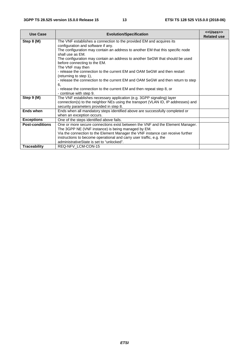| <b>Use Case</b>        | <b>Evolution/Specification</b>                                                                     | < <uses>&gt;<br/><b>Related use</b></uses> |
|------------------------|----------------------------------------------------------------------------------------------------|--------------------------------------------|
| Step 8 (M)             | The VNF establishes a connection to the provided EM and acquires its                               |                                            |
|                        | configuration and software if any.                                                                 |                                            |
|                        | The configuration may contain an address to another EM that this specific node<br>shall use as EM. |                                            |
|                        | The configuration may contain an address to another SeGW that should be used                       |                                            |
|                        | before connecting to the EM.                                                                       |                                            |
|                        | The VNF may then<br>- release the connection to the current EM and OAM SeGW and then restart       |                                            |
|                        | (returning to step 1),                                                                             |                                            |
|                        | - release the connection to the current EM and OAM SeGW and then return to step                    |                                            |
|                        | 6.                                                                                                 |                                            |
|                        | - release the connection to the current EM and then repeat step 8, or                              |                                            |
|                        | - continue with step 9.                                                                            |                                            |
| Step 9 (M)             | The VNF establishes necessary application (e.g. 3GPP signaling) layer                              |                                            |
|                        | connection(s) to the neighbor NEs using the transport (VLAN ID, IP addresses) and                  |                                            |
|                        | security parameters provided in step 8.                                                            |                                            |
| <b>Ends when</b>       | Ends when all mandatory steps identified above are successfully completed or                       |                                            |
|                        | when an exception occurs.                                                                          |                                            |
| <b>Exceptions</b>      | One of the steps identified above fails.                                                           |                                            |
| <b>Post-conditions</b> | One or more secure connections exist between the VNF and the Element Manager.                      |                                            |
|                        | The 3GPP NE (VNF instance) is being managed by EM.                                                 |                                            |
|                        | Via the connection to the Element Manager the VNF instance can receive further                     |                                            |
|                        | instructions to become operational and carry user traffic, e.g. the                                |                                            |
|                        | administrativeState is set to "unlocked".                                                          |                                            |
| <b>Traceability</b>    | REQ-NFV LCM-CON-15                                                                                 |                                            |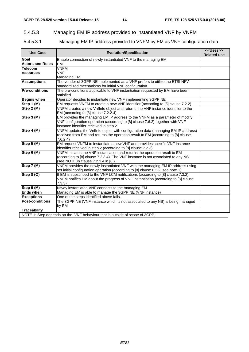# 5.4.5.3 Managing EM IP address provided to instantiated VNF by VNFM

#### 5.4.5.3.1 Managing EM IP address provided to VNFM by EM as VNF configuration data

| <b>Use Case</b>         | <b>Evolution/Specification</b>                                                                                                                                         | < <uses>&gt;<br/><b>Related use</b></uses> |
|-------------------------|------------------------------------------------------------------------------------------------------------------------------------------------------------------------|--------------------------------------------|
| Goal                    | Enable connection of newly instantiated VNF to the managing EM                                                                                                         |                                            |
| <b>Actors and Roles</b> | EM                                                                                                                                                                     |                                            |
| <b>Telecom</b>          | <b>VNFM</b>                                                                                                                                                            |                                            |
| resources               | <b>VNF</b>                                                                                                                                                             |                                            |
|                         | Managing EM                                                                                                                                                            |                                            |
| <b>Assumptions</b>      | The vendor of 3GPP NE implemented as a VNF prefers to utilize the ETSI NFV                                                                                             |                                            |
|                         | standardized mechanisms for initial VNF configuration.                                                                                                                 |                                            |
| <b>Pre-conditions</b>   | The pre-conditions applicable to VNF instantiation requested by EM have been<br>satisfied.                                                                             |                                            |
| <b>Begins when</b>      | Operator decides to instantiate new VNF implementing 3GPP NE                                                                                                           |                                            |
| Step 1 (M)              | EM requests VNFM to create a new VNF identifier (according to [8] clause 7.2.2)                                                                                        |                                            |
| Step 2 (M)              | VNFM creates a new VnfInfo object and returns the VNF instance identifier to the<br>EM (according to [8] clause 7.2.2.4)                                               |                                            |
| Step 3 (M)              | EM provides the managing EM IP address to the VNFM as a parameter of modify                                                                                            |                                            |
|                         | VNF configuration operation (according to [8] clause 7.6.2) together with VNF                                                                                          |                                            |
|                         | instance identifier received in step 2                                                                                                                                 |                                            |
| Step 4 (M)              | VNFM updates the Vnflnfo object with configuration data (managing EM IP address)                                                                                       |                                            |
|                         | received from EM and returns the operation result to EM (according to [8] clause                                                                                       |                                            |
|                         | 7.6.2.4)                                                                                                                                                               |                                            |
| Step 5 (M)              | EM request VNFM to instantiate a new VNF and provides specific VNF instance                                                                                            |                                            |
|                         | identifier received in step 2 (according to [8] clause 7.2.3)                                                                                                          |                                            |
| Step 6 (M)              | VNFM initiates the VNF instantiation and returns the operation result to EM                                                                                            |                                            |
|                         | (according to [8] clause 7.2.3.4). The VNF instance is not associated to any NS,                                                                                       |                                            |
|                         | (see NOTE in clause 7.2.3.4 in [8]).                                                                                                                                   |                                            |
| Step 7 (M)              | VNFM provides the newly instantiated VNF with the managing EM IP address using                                                                                         |                                            |
| <b>Step 8 (O)</b>       | set initial configuration operation (according to [8] clause 6.2.2, see note 1)                                                                                        |                                            |
|                         | If EM is subscribed to the VNF LCM notifications (according to [8] clause 7.3.2),<br>VNFM notifies EM about the progress of VNF instantiation (according to [8] clause |                                            |
|                         | 7.3.3)                                                                                                                                                                 |                                            |
| Step 9 (M)              | Newly instantiated VNF connects to the managing EM                                                                                                                     |                                            |
| <b>Ends when</b>        | Managing EM is able to manage the 3GPP NE (VNF instance)                                                                                                               |                                            |
| <b>Exceptions</b>       | One of the steps identified above fails.                                                                                                                               |                                            |
| <b>Post-conditions</b>  | The 3GPP NE (VNF instance which is not associated to any NS) is being managed                                                                                          |                                            |
|                         | by EM                                                                                                                                                                  |                                            |
| <b>Traceability</b>     |                                                                                                                                                                        |                                            |
|                         | NOTE 1: Step depends on the VNF behaviour that is outside of scope of 3GPP.                                                                                            |                                            |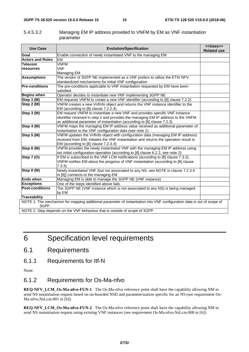| 5.4.5.3.2 | Managing EM IP address provided to VNFM by EM as VNF instantiation |
|-----------|--------------------------------------------------------------------|
|           | parameter                                                          |

| <b>Use Case</b>                                                             | <b>Evolution/Specification</b>                                                                                         | < <uses>&gt;<br/><b>Related use</b></uses> |
|-----------------------------------------------------------------------------|------------------------------------------------------------------------------------------------------------------------|--------------------------------------------|
| Goal                                                                        | Enable connection of newly instantiated VNF to the managing EM                                                         |                                            |
| <b>Actors and Roles</b>                                                     | EM                                                                                                                     |                                            |
| Telecom                                                                     | <b>VNFM</b>                                                                                                            |                                            |
| resources                                                                   | <b>VNF</b>                                                                                                             |                                            |
|                                                                             | Managing EM                                                                                                            |                                            |
| <b>Assumptions</b>                                                          | The vendor of 3GPP NE implemented as a VNF prefers to utilize the ETSI NFV                                             |                                            |
|                                                                             | standardized mechanisms for initial VNF configuration.                                                                 |                                            |
| <b>Pre-conditions</b>                                                       | The pre-conditions applicable to VNF instantiation requested by EM have been                                           |                                            |
|                                                                             | satisfied.                                                                                                             |                                            |
| <b>Begins when</b>                                                          | Operator decides to instantiate new VNF implementing 3GPP NE                                                           |                                            |
| Step 1 (M)                                                                  | EM requests VNFM to create a new VNF identifier (according to [8] clause 7.2.2)                                        |                                            |
| Step 2 (M)                                                                  | VNFM creates a new VnfInfo object and returns the VNF instance identifier to the                                       |                                            |
|                                                                             | EM (according to [8] clause 7.2.2.4)                                                                                   |                                            |
| Step $3(\overline{M})$                                                      | EM request VNFM to instantiate a new VNF and provides specific VNF instance                                            |                                            |
|                                                                             | identifier received in step 2 and provides the managing EM IP address to the VNFM                                      |                                            |
|                                                                             | as additional parameter of instantiation (according to [8] clause 7.2.3)                                               |                                            |
| Step $4(\overline{M})$                                                      | VNFM maps the managing EM IP address value received as additional parameter of                                         |                                            |
|                                                                             | instantiation to the VNF configuration data (see note 1).                                                              |                                            |
| Step 5 (M)                                                                  | VNFM updates the VnfInfo object with configuration data (managing EM IP address)                                       |                                            |
|                                                                             | received from EM, initiates the VNF instantiation and returns the operation result to                                  |                                            |
|                                                                             | EM (according to [8] clause 7.2.3.4)                                                                                   |                                            |
| Step 6 (M)                                                                  | VNFM provides the newly instantiated VNF with the managing EM IP address using                                         |                                            |
|                                                                             | set initial configuration operation (according to [8] clause 6.2.2, see note 2)                                        |                                            |
| <b>Step 7 (O)</b>                                                           | If EM is subscribed to the VNF LCM notifications (according to [8] clause 7.3.2),                                      |                                            |
|                                                                             | VNFM notifies EM about the progress of VNF instantiation (according to [8] clause                                      |                                            |
|                                                                             | 7.3.3)                                                                                                                 |                                            |
| Step 8 (M)                                                                  | Newly instantiated VNF (but not associated to any NS, see NOTE in clause 7.2.3.4                                       |                                            |
|                                                                             | in [8]) connects to the managing EM                                                                                    |                                            |
| <b>Ends when</b>                                                            | Managing EM is able to manage the 3GPP NE (VNF instance)                                                               |                                            |
| <b>Exceptions</b>                                                           | One of the steps identified above fails.                                                                               |                                            |
| <b>Post-conditions</b>                                                      | The 3GPP NE (VNF instance which is not associated to any NS) is being managed                                          |                                            |
|                                                                             | by EM                                                                                                                  |                                            |
| <b>Traceability</b>                                                         |                                                                                                                        |                                            |
| 3GPP.                                                                       | NOTE 1: The mechanism for mapping additional parameter of instantiation into VNF configuration data is out of scope of |                                            |
| NOTE 2: Step depends on the VNF behaviour that is outside of scope of 3GPP. |                                                                                                                        |                                            |

# 6 Specification level requirements

# 6.1 Requirements

6.1.1 Requirements for Itf-N

None.

#### 6.1.2 Requirements for Os-Ma-nfvo

**REQ-NFV\_LCM\_Os-Ma-nfvo-FUN-1** The Os-Ma-nfvo reference point shall have the capability allowing NM to send NS instantiation request based on on-boarded NSD and parameterization specific for an NS (see requirement Os-Ma-nfvo.NsLcm.001 in [6]).

**REQ-NFV\_LCM\_Os-Ma-nfvo-FUN-2** The Os-Ma-nfvo reference point shall have the capability allowing NM to send NS instantiation request using existing VNF instances (see requirement Os-Ma-nfvo.NsLcm.008 in [6]).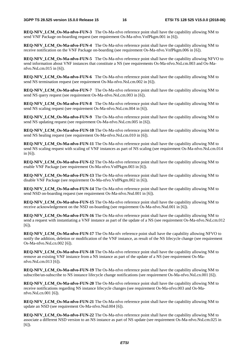**REO-NFV LCM Os-Ma-nfvo-FUN-3** The Os-Ma-nfvo reference point shall have the capability allowing NM to send VNF Package on-boarding request (see requirement Os-Ma-nfvo.VnfPkgm.001 in [6]).

**REQ-NFV LCM Os-Ma-nfvo-FUN-4** The Os-Ma-nfvo reference point shall have the capability allowing NM to receive notification on the VNF Package on-boarding (see requirement Os-Ma-nfvo.VnfPkgm.006 in [6]).

**REQ-NFV LCM Os-Ma-nfvo-FUN-5** The Os-Ma-nfvo reference point shall have the capability allowing NFVO to send information about VNF instances that constitute a NS (see requirements Os-Ma-nfvo.NsLcm.003 and Os-Manfvo.NsLcm.015 in [6]).

**REQ-NFV LCM Os-Ma-nfvo-FUN-6** The Os-Ma-nfvo reference point shall have the capability allowing NM to send NS termination request (see requirement Os-Ma-nfvo.NsLcm.002 in [6]).

**REQ-NFV LCM Os-Ma-nfvo-FUN-7** The Os-Ma-nfvo reference point shall have the capability allowing NM to send NS query request (see requirement Os-Ma-nfvo.NsLcm.003 in [6]).

**REQ-NFV LCM Os-Ma-nfvo-FUN-8** The Os-Ma-nfvo reference point shall have the capability allowing NM to send NS scaling request (see requirement Os-Ma-nfvo.NsLcm.004 in [6]).

**REO-NFV LCM Os-Ma-nfvo-FUN-9** The Os-Ma-nfvo reference point shall have the capability allowing NM to send NS updating request (see requirement Os-Ma-nfvo.NsLcm.005 in [6]).

**REQ-NFV LCM Os-Ma-nfvo-FUN-10** The Os-Ma-nfvo reference point shall have the capability allowing NM to send NS healing request (see requirement Os-Ma-nfvo.NsLcm.010 in [6]).

**REQ-NFV\_LCM\_Os-Ma-nfvo-FUN-11** The Os-Ma-nfvo reference point shall have the capability allowing NM to send NS scaling request with scaling of VNF instances as part of NS scaling (see requirement Os-Ma-nfvo.NsLcm.014 in [6]).

**REQ-NFV LCM Os-Ma-nfvo-FUN-12** The Os-Ma-nfvo reference point shall have the capability allowing NM to enable VNF Package (see requirement Os-Ma-nfvo.VnfPkgm.003 in [6]).

**REQ-NFV\_LCM\_Os-Ma-nfvo-FUN-13** The Os-Ma-nfvo reference point shall have the capability allowing NM to disable VNF Package (see requirement Os-Ma-nfvo.VnfPkgm.002 in [6]).

**REQ-NFV LCM Os-Ma-nfvo-FUN-14** The Os-Ma-nfvo reference point shall have the capability allowing NM to send NSD on-boarding request (see requirement Os-Ma-nfvo.Nsd.001 in [6]).

**REQ-NFV\_LCM\_Os-Ma-nfvo-FUN-15** The Os-Ma-nfvo reference point shall have the capability allowing NM to receive acknowledgement on the NSD on-boarding (see requirement Os-Ma-nfvo.Nsd.001 in [6]).

**REQ-NFV LCM\_Os-Ma-nfvo-FUN-16** The Os-Ma-nfvo reference point shall have the capability allowing NM to send a request with instantiating a VNF instance as part of the update of a NS (see requirement Os-Ma-nfvo.NsLcm.012 [6]).

**REO-NFV LCM Os-Ma-nfvo-FUN-17** The Os-Ma-nfv reference point shall have the capability allowing NFVO to notify the addition, deletion or modification of the VNF instance, as result of the NS lifecycle change (see requirement Os-Ma-nfvo.NsLcn.002 [6]).

**REQ-NFV\_LCM\_Os-Ma-nfvo-FUN-18** The Os-Ma-nfvo reference point shall have the capability allowing NM to remove an existing VNF instance from a NS instance as part of the update of a NS (see requirement Os-Manfvo.NsLcm.013 [6]).

**REQ-NFV LCM Qs-Ma-nfvo-FUN-19** The Qs-Ma-nfvo reference point shall have the capability allowing NM to subscribe/un-subscribe to NS instance lifecycle change notifications (see requirement Os-Ma-nfvo.NsLcn.001 [6]).

**REQ-NFV LCM\_Os-Ma-nfvo-FUN-20** The Os-Ma-nfvo reference point shall have the capability allowing NM to receive notifications regarding NS instance lifecycle changes (see requirement Os-Ma-nfvo.003 and Os-Manfvo.NsLcn.001 [6]).

**REO-NFV LCM Os-Ma-nfvo-FUN-21** The Os-Ma-nfvo reference point shall have the capability allowing NM to update an NSD (see requirement Os-Ma-nfvo.Nsd.004 [6]).

**REQ-NFV\_LCM\_Os-Ma-nfvo-FUN-22** The Os-Ma-nfvo reference point shall have the capability allowing NM to associate a different NSD version to an NS instance as part of NS update (see requirement Os-Ma-nfvo.NsLcm.025 in [6]).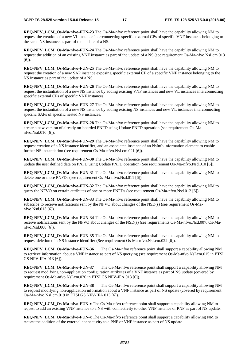**REO-NFV LCM Os-Ma-nfvo-FUN-23** The Os-Ma-nfvo reference point shall have the capability allowing NM to request the creation of a new VL instance interconnecting specific external CPs of specific VNF instances belonging to the same NS instance as part of the update of a NS.

**REQ-NFV LCM Os-Ma-nfvo-FUN-24** The Os-Ma-nfvo reference point shall have the capability allowing NM to request the addition of an existing VNF instance as part of the update of a NS (see requirement Os-Ma-nfvo.NsLcm.013 [6]).

**REQ-NFV\_LCM\_Os-Ma-nfvo-FUN-25** The Os-Ma-nfvo reference point shall have the capability allowing NM to request the creation of a new SAP instance exposing specific external CP of a specific VNF instance belonging to the NS instance as part of the update of a NS.

**REQ-NFV LCM Os-Ma-nfvo-FUN-26** The Os-Ma-nfvo reference point shall have the capability allowing NM to request the instantiation of a new NS instance by adding existing VNF instances and new VL instances interconnecting specific external CPs of specific VNF instances.

**REQ-NFV\_LCM\_Os-Ma-nfvo-FUN-27** The Os-Ma-nfvo reference point shall have the capability allowing NM to request the instantiation of a new NS instance by adding existing NS instances and new VL instances interconnecting specific SAPs of specific nested NS instances.

**REQ-NFV LCM Os-Ma-nfvo-FUN-28** The Os-Ma-nfvo reference point shall have the capability allowing NM to create a new version of already on-boarded PNFD using Update PNFD operation (see requirement Os-Manfvo.Nsd.010 [6]).

**REQ-NFV\_LCM\_Os-Ma-nfvo-FUN-29** The Os-Ma-nfvo reference point shall have the capability allowing NM to request creation of a NS instance identifier, and an associated instance of an NsInfo information element to enable further NS instantiation (see requirement Os-Ma-nfvo.NsLcm.021 [6]).

**REQ-NFV LCM Os-Ma-nfvo-FUN-30** The Os-Ma-nfvo reference point shall have the capability allowing NM to update the user defined data on PNFD using Update PNFD operation (See requirement Os-Ma-nfvo.Nsd.010 [6]).

**REO-NFV LCM Os-Ma-nfvo-FUN-31** The Os-Ma-nfvo reference point shall have the capability allowing NM to delete one or more PNFDs (see requirement Os-Ma-nfvo.Nsd.011 [6]).

**REQ-NFV LCM Os-Ma-nfvo-FUN-32** The Os-Ma-nfvo reference point shall have the capability allowing NM to query the NFVO on certain attributes of one or more PNFDs (see requirement Os-Ma-nfvo.Nsd.012 [6]).

**REQ-NFV\_LCM\_Os-Ma-nfvo-FUN-33** The Os-Ma-nfvo reference point shall have the capability allowing NM to subscribe to receive notifications sent by the NFVO about changes of the NSD(s) (see requirement Os-Manfvo.Nsd.013 [6]).

**REQ-NFV LCM Os-Ma-nfvo-FUN-34** The Os-Ma-nfvo reference point shall have the capability allowing NM to receive notifications sent by the NFVO about changes of the NSD(s) (see requirements Os-Ma-nfvo.Nsd.007, Os-Manfvo.Nsd.008 [6]).

**REO-NFV\_LCM\_Os-Ma-nfvo-FUN-35** The Os-Ma-nfvo reference point shall have the capability allowing NM to request deletion of a NS instance identifier (See requirement Os-Ma-nfvo.NsLcm.022 [6]).

**REQ-NFV\_LCM\_Os-Ma-nfvo-FUN-36** The Os-Ma-nfvo reference point shall support a capability allowing NM to retrieve information about a VNF instance as part of NS querying (see requirement Os-Ma-nfvo.NsLcm.015 in ETSI GS NFV-IFA 013 [6]).

**REQ-NFV\_LCM\_Os-Ma-nfvo-FUN-37** The Os-Ma-nfvo reference point shall support a capability allowing NM to request modifying non-application configuration attributes of a VNF instance as part of NS update (covered by requirement Os-Ma-nfvo.NsLcm.020 in ETSI GS NFV-IFA 013 [6]).

**REQ-NFV\_LCM\_Os-Ma-nfvo-FUN-38** The Os-Ma-nfvo reference point shall support a capability allowing NM to request modifying non-application information about a VNF instance as part of NS update (covered by requirement Os-Ma-nfvo.NsLcm.019 in ETSI GS NFV-IFA 013 [6]).

**REQ-NFV\_LCM\_Os-Ma-nfvo-FUN-x** The Os-Ma-nfvo reference point shall support a capability allowing NM to request to add an existing VNF instance to a NS with connectivity to other VNF instance or PNF as part of NS update.

**REQ-NFV\_LCM\_Os-Ma-nfvo-FUN-x** The Os-Ma-nfvo reference point shall support a capability allowing NM to request the addition of the external connectivity to a PNF or VNF instance as part of NS update.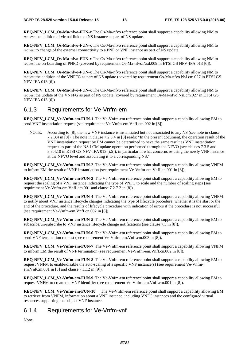**REO-NFV\_LCM\_Os-Ma-nfvo-FUN-x** The Os-Ma-nfvo reference point shall support a capability allowing NM to request the addition of virtual link to a NS instance as part of NS update.

**REQ-NFV\_LCM\_Os-Ma-nfvo-FUN-x** The Os-Ma-nfvo reference point shall support a capability allowing NM to request to change of the external connectivity to a PNF or VNF instance as part of NS update.

**REQ-NFV\_LCM\_Os-Ma-nfvo-FUN-x** The Os-Ma-nfvo reference point shall support a capability allowing NM to request the on-boarding of PNFD (covered by requirement Os-Ma-nfvo.Nsd.009 in ETSI GS NFV-IFA 013 [6]).

**REQ-NFV\_LCM\_Os-Ma-nfvo-FUN-x** The Os-Ma-nfvo reference point shall support a capability allowing NM to request the addition of the VNFFG as part of NS update (covered by requirement Os-Ma-nfvo.NsLcm.027 in ETSI GS NFV-IFA 013 [6]).

**REQ-NFV\_LCM\_Os-Ma-nfvo-FUN-x** The Os-Ma-nfvo reference point shall support a capability allowing NM to request the update of the VNFFG as part of NS update (covered by requirement Os-Ma-nfvo.NsLcm.027 in ETSI GS NFV-IFA 013 [6]).

#### 6.1.3 Requirements for Ve-Vnfm-em

**REQ-NFV\_LCM\_Ve-Vnfm-em-FUN-1** The Ve-Vnfm-em reference point shall support a capability allowing EM to send VNF instantiation request (see requirement Ve-Vnfm-em.VnfLcm.002 in [8]).

NOTE: According to [8], the new VNF instance is instantiated but not associated to any NS (see note in clause 7.2.3.4 in [8]). The note in clause 7.2.3.4 in [8] reads: "In the present document, the operation result of the VNF instantiation request by EM cannot be determined to have the same result as VNF instantiation request as part of the NS LCM update operation performed through the NFVO (see clauses 7.3.5 and 8.3.4.10 in ETSI GS NFV-IFA 013 [i.5]), in particular in what concerns re-using the newly VNF instance at the NFVO level and associating it to a corresponding NS."

**REQ-NFV\_LCM\_Ve-Vnfm-em-FUN-2** The Ve-Vnfm-em reference point shall support a capability allowing VNFM to inform EM the result of VNF instantiation (see requirement Ve-Vnfm-em.VnfLcn.001 in [8]).

**REQ-NFV\_LCM\_Ve-Vnfm-em-FUN-3** The Ve-Vnfm-em reference point shall support a capability allowing EM to request the scaling of a VNF instance indicating the type of VNFC to scale and the number of scaling steps (see requirement Ve-Vnfm-em.VnfLcm.001 and clause 7.2.7.2 in [8]).

**REQ-NFV\_LCM\_Ve-Vnfm-em-FUN-4** The Ve-Vnfm-em reference point shall support a capability allowing VNFM to notify about VNF instance lifecycle changes indicating the type of lifecycle procedure, whether it is the start or the end of the procedure, and the results of lifecycle procedure with indication of errors if the procedure is not successful (see requirement Ve-Vnfm-em.VnfLcn.002 in [8]).

**REQ-NFV\_LCM\_Ve-Vnfm-em-FUN-5** The Ve-Vnfm-em reference point shall support a capability allowing EM to subscribe/un-subscribe to VNF instance lifecycle change notifications (see clause 7.5 in [8]).

**REQ-NFV\_LCM\_Ve-Vnfm-em-FUN-6** The Ve-Vnfm-em reference point shall support a capability allowing EM to send VNF termination request (see requirement Ve-Vnfm-em.VnfLcm.003 in [8]).

**REQ-NFV\_LCM\_Ve-Vnfm-em-FUN-7** The Ve-Vnfm-em reference point shall support a capability allowing VNFM to inform EM the result of VNF termination (see requirement Ve-Vnfm-em.VnfLcn.002 in [8]).

**REQ-NFV\_LCM\_Ve-Vnfm-em-FUN-8** The Ve-Vnfm-em reference point shall support a capability allowing EM to request VNFM to enable/disable the auto-scaling of a specific VNF instance(s) (see requirement Ve-Vnfmem.VnfCm.001 in [8] and clause 7.1.12 in [9]).

**REQ-NFV\_LCM\_Ve-Vnfm-em-FUN-9** The Ve-Vnfm-em reference point shall support a capability allowing EM to request VNFM to create the VNF identifier (see requirement Ve-Vnfm-em.VnfLcm.001 in [8]).

**REQ-NFV\_LCM\_Ve-Vnfm-em-FUN-10** The Ve-Vnfm-em reference point shall support a capability allowing EM to retrieve from VNFM, information about a VNF instance, including VNFC instances and the configured virtual resources supporting the subject VNF instance.

#### 6.1.4 Requirements for Ve-Vnfm-vnf

None.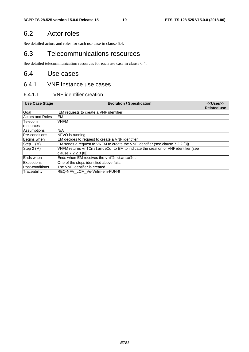# 6.2 Actor roles

See detailed actors and roles for each use case in clause 6.4.

# 6.3 Telecommunications resources

See detailed telecommunication resources for each use case in clause 6.4.

# 6.4 Use cases

#### 6.4.1 VNF Instance use cases

#### 6.4.1.1 VNF identifier creation

| <b>Use Case Stage</b> | <b>Evolution / Specification</b>                                                 | < <uses>&gt;</uses> |
|-----------------------|----------------------------------------------------------------------------------|---------------------|
|                       |                                                                                  | <b>Related use</b>  |
| Goal                  | EM requests to create a VNF identifier.                                          |                     |
| Actors and Roles      | <b>EM</b>                                                                        |                     |
| Telecom               | <b>VNFM</b>                                                                      |                     |
| resources             |                                                                                  |                     |
| Assumptions           | N/A                                                                              |                     |
| <b>Pre-conditions</b> | NFVO is running.                                                                 |                     |
| Begins when           | EM decides to request to create a VNF identifier.                                |                     |
| Step 1 (M)            | EM sends a request to VNFM to create the VNF identifier (see clause 7.2.2 [8])   |                     |
| Step 2 (M)            | VNFM returns vnfInstanceId to EM to indicate the creation of VNF identifier (see |                     |
|                       | clause 7.2.2.3 [8])                                                              |                     |
| Ends when             | Ends when EM receives the vnfInstanceId.                                         |                     |
| Exceptions            | One of the steps identified above fails.                                         |                     |
| Post-conditions       | The VNF identifier is created.                                                   |                     |
| Traceability          | REQ-NFV LCM Ve-Vnfm-em-FUN-9                                                     |                     |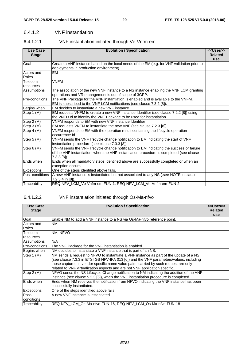#### 6.4.1.2 VNF instantiation

#### 6.4.1.2.1 VNF instantiation initiated through Ve-Vnfm-em

| <b>Use Case</b><br><b>Stage</b> | <b>Evolution / Specification</b>                                                                                                                                                                     | < <uses>&gt;<br/><b>Related</b><br/><b>use</b></uses> |
|---------------------------------|------------------------------------------------------------------------------------------------------------------------------------------------------------------------------------------------------|-------------------------------------------------------|
| Goal                            | Create a VNF instance based on the local needs of the EM (e.g. for VNF validation prior to<br>deployments in production environment).                                                                |                                                       |
| Actors and<br>Roles             | EM                                                                                                                                                                                                   |                                                       |
| Telecom<br>resources            | <b>VNFM</b>                                                                                                                                                                                          |                                                       |
| Assumptions                     | The association of the new VNF instance to a NS instance enabling the VNF LCM granting<br>operations and VR management is out of scope of 3GPP.                                                      |                                                       |
| Pre-conditions                  | The VNF Package for the VNF instantiation is enabled and is available to the VNFM.<br>EM is subscribed to the VNF LCM notifications (see clause 7.3.2 [8]).                                          |                                                       |
| Begins when                     | EM decides to instantiate a new VNF instance.                                                                                                                                                        |                                                       |
| Step 1 (M)                      | EM requests VNFM to create a new VNF instance Identifier (see clause 7.2.2 [8]) using<br>the VNFD Id to identify the VNF Package to be used for instantiation.                                       |                                                       |
| Step 2 (M)                      | VNFM responds to EM with new VNF instance Identifier                                                                                                                                                 |                                                       |
| Step 3 (M)                      | EM requests VNFM to instantiate the new VNF (see clause 7.2.3 [8]).                                                                                                                                  |                                                       |
| Step 4 (M)                      | VNFM responds to EM with the operation result containing the lifecycle operation<br>occurrence Id                                                                                                    |                                                       |
| Step 5 (M)                      | VNFM sends the VNF lifecycle change notification to EM indicating the start of VNF<br>instantiation procedure (see clause 7.3.3 [8]).                                                                |                                                       |
| Step 6 (M)                      | VNFM sends the VNF lifecycle change notification to EM indicating the success or failure<br>of the VNF instantiation, when the VNF instantiation procedure is completed (see clause<br>$7.3.3$ [8]). |                                                       |
| Ends when                       | Ends when all mandatory steps identified above are successfully completed or when an<br>exception occurs.                                                                                            |                                                       |
| <b>Exceptions</b>               | One of the steps identified above fails.                                                                                                                                                             |                                                       |
| Post-conditions                 | A new VNF instance is instantiated but not associated to any NS (.see NOTE in clause<br>7.2.3.4 in [8]).                                                                                             |                                                       |
| Traceability                    | REQ-NFV_LCM_Ve-Vnfm-em-FUN-1, REQ-NFV_LCM_Ve-Vnfm-em-FUN-2.                                                                                                                                          |                                                       |

#### 6.4.1.2.2 VNF instantiation initiated through Os-Ma-nfvo

| <b>Use Case</b><br><b>Stage</b> | <b>Evolution / Specification</b>                                                                                                                                                                                                                                                                                                                       | < <uses>&gt;<br/><b>Related</b><br/>use</uses> |
|---------------------------------|--------------------------------------------------------------------------------------------------------------------------------------------------------------------------------------------------------------------------------------------------------------------------------------------------------------------------------------------------------|------------------------------------------------|
| Goal                            | Enable NM to add a VNF instance to a NS via Os-Ma-nfvo reference point.                                                                                                                                                                                                                                                                                |                                                |
| Actors and<br><b>Roles</b>      | <b>NM</b>                                                                                                                                                                                                                                                                                                                                              |                                                |
| Telecom                         | NM. NFVO                                                                                                                                                                                                                                                                                                                                               |                                                |
| resources                       |                                                                                                                                                                                                                                                                                                                                                        |                                                |
| Assumptions                     | N/A                                                                                                                                                                                                                                                                                                                                                    |                                                |
| Pre-conditions                  | The VNF Package for the VNF instantiation is enabled.                                                                                                                                                                                                                                                                                                  |                                                |
| Begins when                     | NM decides to instantiate a VNF instance that is part of an NS.                                                                                                                                                                                                                                                                                        |                                                |
| Step 1 (M)                      | NM sends a request to NFVO to instantiate a VNF instance as part of the update of a NS<br>(see clause 7.3.3 in ETSI GS NFV-IFA 013 [6]) and the VNF parameters/values, including<br>those captured in vendor specific name value pairs, carried by such request are only<br>related to VNF virtualization aspects and are not VNF application specific |                                                |
| Step 2 (M)                      | NFVO sends the NS Lifecycle Change notification to NM indicating the addition of the VNF<br>instance (see clause 5.3.3 [6]), when the VNF instantiation procedure is completed.                                                                                                                                                                        |                                                |
| Ends when                       | Ends when NM receives the notification from NFVO indicating the VNF instance has been<br>successfully instantiated.                                                                                                                                                                                                                                    |                                                |
| <b>Exceptions</b>               | One of the steps identified above fails.                                                                                                                                                                                                                                                                                                               |                                                |
| Post-<br>conditions             | A new VNF instance is instantiated.                                                                                                                                                                                                                                                                                                                    |                                                |
| Traceability                    | REQ-NFV LCM Os-Ma-nfvo-FUN-16, REQ-NFV LCM Os-Ma-nfvo-FUN-18                                                                                                                                                                                                                                                                                           |                                                |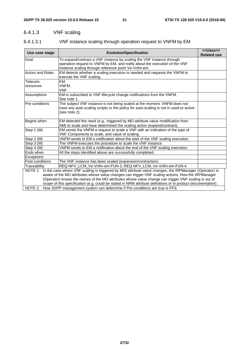# 6.4.1.3 VNF scaling

# 6.4.1.3.1 VNF instance scaling through operation request to VNFM by EM

| Use case stage          | <b>Evolution/Specification</b>                                                                                                                                                                                                                                                                                                | < <uses>&gt;<br/><b>Related use</b></uses> |  |
|-------------------------|-------------------------------------------------------------------------------------------------------------------------------------------------------------------------------------------------------------------------------------------------------------------------------------------------------------------------------|--------------------------------------------|--|
| Goal                    | To expand/contract a VNF instance by scaling the VNF instance through<br>operation request to VNFM by EM, and notify about the execution of the VNF<br>instance scaling through reference point Ve-Vnfm-em.                                                                                                                   |                                            |  |
| <b>Actors and Roles</b> | EM detects whether a scaling execution is needed and requests the VNFM to<br>execute the VNF scaling.                                                                                                                                                                                                                         |                                            |  |
| Telecom<br>resources    | EM.<br>VNFM.<br>VNF                                                                                                                                                                                                                                                                                                           |                                            |  |
| Assumptions             | EM is subscribed to VNF lifecycle change notifications from the VNFM.<br>See note 1.                                                                                                                                                                                                                                          |                                            |  |
| Pre-conditions          | The subject VNF instance is not being scaled at the moment. VNFM does not<br>have any auto-scaling scripts or the policy for auto-scaling is not in used or active<br>(see note 2).                                                                                                                                           |                                            |  |
| Begins when             | EM detected the need (e.g., triggered by MO attribute value modification from<br>NM) to scale and have determined the scaling action (expand/contract).                                                                                                                                                                       |                                            |  |
| Step 1 (M)              | EM sends the VNFM a request to scale a VNF with an indication of the type of<br>VNF Components to scale, and value of scaling.                                                                                                                                                                                                |                                            |  |
| Step 2 (M)              | VNFM sends to EM a notification about the start of the VNF scaling execution.                                                                                                                                                                                                                                                 |                                            |  |
| Step 3 (M)              | The VNFM executes the procedure to scale the VNF instance.                                                                                                                                                                                                                                                                    |                                            |  |
| Step 4 (M)              | VNFM sends to EM a notification about the end of the VNF scaling execution.                                                                                                                                                                                                                                                   |                                            |  |
| Ends when               | All the steps identified above are successfully completed.                                                                                                                                                                                                                                                                    |                                            |  |
| Exceptions              |                                                                                                                                                                                                                                                                                                                               |                                            |  |
| Post-conditions         | The VNF instance has been scaled (expansion/contraction).                                                                                                                                                                                                                                                                     |                                            |  |
| Traceability            | REQ-NFV_LCM_Ve-Vnfm-em-FUN-3, REQ-NFV_LCM_Ve-Vnfm-em-FUN-4                                                                                                                                                                                                                                                                    |                                            |  |
|                         | NOTE 1: In the case where VNF scaling is triggered by MOI attribute value changes, the IRPManager (Operator) is<br>aware of the MO attributes whose value changes can trigger VNF scaling actions. How the IRPManager<br>(Operator) knows the names of the MO attributes whose value change can trigger VNF scaling is out of |                                            |  |
|                         | scope of this specification (e.g. could be stated in NRM attribute definitions or in product documentation).                                                                                                                                                                                                                  |                                            |  |
|                         | NOTE 2: How 3GPP management system can determine if Pre-conditions are true is FFS.                                                                                                                                                                                                                                           |                                            |  |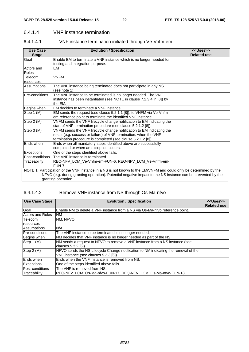#### 6.4.1.4 VNF instance termination

#### 6.4.1.4.1 VNF instance termination initiated through Ve-Vnfm-em

| <b>Use Case</b><br><b>Stage</b> | <b>Evolution / Specification</b>                                                                                  | < <uses>&gt;<br/><b>Related use</b></uses> |
|---------------------------------|-------------------------------------------------------------------------------------------------------------------|--------------------------------------------|
| Goal                            | Enable EM to terminate a VNF instance which is no longer needed for                                               |                                            |
|                                 | testing and integration purpose.                                                                                  |                                            |
| Actors and                      | <b>EM</b>                                                                                                         |                                            |
| Roles                           |                                                                                                                   |                                            |
| Telecom                         | <b>VNFM</b>                                                                                                       |                                            |
| resources                       |                                                                                                                   |                                            |
| Assumptions                     | The VNF instance being terminated does not participate in any NS<br>(see note 1).                                 |                                            |
| Pre-conditions                  | The VNF instance to be terminated is no longer needed. The VNF                                                    |                                            |
|                                 | instance has been instantiated (see NOTE in clause 7.2.3.4 in [8]) by<br>the EM.                                  |                                            |
| Begins when                     | EM decides to terminate a VNF instance.                                                                           |                                            |
| Step 1 (M)                      | EM sends the request (see clause 5.2.1.1 [8]), to VNFM via Ve-Vnfm-                                               |                                            |
|                                 | em reference point to terminate the identified VNF instance.                                                      |                                            |
| Step 2 (M)                      | VNFM sends the VNF lifecycle change notification to EM indicating the                                             |                                            |
|                                 | start of VNF termination procedure (see clause 5.2.1.2 [8]).                                                      |                                            |
| Step 3 (M)                      | VNFM sends the VNF lifecycle change notification to EM indicating the                                             |                                            |
|                                 | result (e.g. success or failure) of VNF termination, when the VNF                                                 |                                            |
|                                 | termination procedure is completed (see clause 5.2.1.2 [8]).                                                      |                                            |
| Ends when                       | Ends when all mandatory steps identified above are successfully                                                   |                                            |
|                                 | completed or when an exception occurs.                                                                            |                                            |
| Exceptions                      | One of the steps identified above fails.                                                                          |                                            |
| Post-conditions                 | The VNF instance is terminated.                                                                                   |                                            |
| Traceability                    | REQ-NFV_LCM_Ve-Vnfm-em-FUN-6, REQ-NFV_LCM_Ve-Vnfm-em-<br>FUN-7                                                    |                                            |
|                                 | NOTE 1: Participation of the VNF instance in a NS is not known to the EM/VNFM and could only be determined by the |                                            |
|                                 | NFVO (e.g. during granting operation). Potential negative impact to the NS instance can be prevented by the       |                                            |
|                                 | granting operation.                                                                                               |                                            |

#### 6.4.1.4.2 Remove VNF instance from NS through Os-Ma-nfvo

| <b>Use Case Stage</b> | <b>Evolution / Specification</b>                                                                                             | < <uses>&gt;<br/><b>Related use</b></uses> |
|-----------------------|------------------------------------------------------------------------------------------------------------------------------|--------------------------------------------|
| Goal                  | Enable NM to delete a VNF instance from a NS via Os-Ma-nfvo reference point.                                                 |                                            |
| Actors and Roles      | <b>NM</b>                                                                                                                    |                                            |
| <b>Telecom</b>        | NM. NFVO                                                                                                                     |                                            |
| resources             |                                                                                                                              |                                            |
| Assumptions           | N/A                                                                                                                          |                                            |
| <b>Pre-conditions</b> | The VNF instance to be terminated is no longer needed,                                                                       |                                            |
| Begins when           | NM decides that VNF instance is no longer needed as part of the NS.                                                          |                                            |
| Step 1 (M)            | NM sends a request to NFVO to remove a VNF instance from a NS instance (see<br>clauses 5.3.2 [6]).                           |                                            |
| Step 2 (M)            | NFVO sends the NS Lifecycle Change notification to NM indicating the removal of the<br>VNF instance (see clauses 5.3.3 [6]). |                                            |
| Ends when             | Ends when the VNF instance is removed from NS.                                                                               |                                            |
| <b>Exceptions</b>     | One of the steps identified above fails.                                                                                     |                                            |
| Post-conditions       | The VNF is removed from NS.                                                                                                  |                                            |
| Traceability          | REQ-NFV_LCM_Os-Ma-nfvo-FUN-17, REQ-NFV_LCM_Os-Ma-nfvo-FUN-18                                                                 |                                            |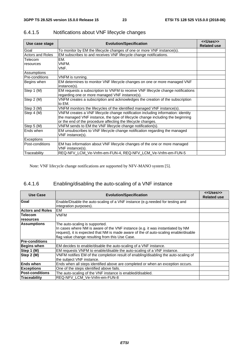| Use case stage          | <b>Evolution/Specification</b>                                                                                                     | < <uses>&gt;<br/><b>Related use</b></uses> |
|-------------------------|------------------------------------------------------------------------------------------------------------------------------------|--------------------------------------------|
| Goal                    | To monitor by EM the lifecycle changes of one or more VNF instance(s).                                                             |                                            |
| <b>Actors and Roles</b> | EM subscribes to and receives VNF lifecycle change notifications.                                                                  |                                            |
| Telecom                 | EM.                                                                                                                                |                                            |
| resources               | VNFM.                                                                                                                              |                                            |
|                         | VNF.                                                                                                                               |                                            |
| Assumptions             |                                                                                                                                    |                                            |
| Pre-conditions          | VNFM is running.                                                                                                                   |                                            |
| Begins when             | EM determines to monitor VNF lifecycle changes on one or more managed VNF<br>instance(s).                                          |                                            |
| Step 1 (M)              | EM requests a subscription to VNFM to receive VNF lifecycle change notifications<br>regarding one or more managed VNF instance(s). |                                            |
| Step 2 (M)              | VNFM creates a subscription and acknowledges the creation of the subscription<br>to EM.                                            |                                            |
| Step 3 (M)              | VNFM monitors the lifecycles of the identified managed VNF instance(s).                                                            |                                            |
| Step 4 (M)              | VNFM creates a VNF lifecycle change notification including information: identity                                                   |                                            |
|                         | the managed VNF instance, the type of lifecycle change including the beginning                                                     |                                            |
|                         | or the end of the procedure affecting the lifecycle changes.                                                                       |                                            |
| Step 5 (M)              | VNFM sends to EM the VNF lifecycle change notification(s).                                                                         |                                            |
| Ends when               | EM unsubscribes to VNF lifecycle change notification regarding the managed<br>VNF instance(s).                                     |                                            |
| Exceptions              |                                                                                                                                    |                                            |
| Post-conditions         | EM has information about VNF lifecycle changes of the one or more managed                                                          |                                            |
|                         | VNF instance(s).                                                                                                                   |                                            |
| Traceability            | REQ-NFV_LCM_Ve-Vnfm-em-FUN-4, REQ-NFV_LCM_Ve-Vnfm-em-FUN-5                                                                         |                                            |

# 6.4.1.5 Notifications about VNF lifecycle changes

Note: VNF lifecycle change notifications are supported by NFV-MANO system [5].

# 6.4.1.6 Enabling/disabling the auto-scaling of a VNF instance

| <b>Use Case</b>         | <b>Evolution/Specification</b>                                                                                                                                                                                                                              | < <uses>&gt;<br/><b>Related use</b></uses> |
|-------------------------|-------------------------------------------------------------------------------------------------------------------------------------------------------------------------------------------------------------------------------------------------------------|--------------------------------------------|
| Goal                    | Enable/Disable the auto-scaling of a VNF instance (e.g.needed for testing and<br>integration purposes).                                                                                                                                                     |                                            |
| <b>Actors and Roles</b> | EM                                                                                                                                                                                                                                                          |                                            |
| <b>Telecom</b>          | VNFM                                                                                                                                                                                                                                                        |                                            |
| resources               |                                                                                                                                                                                                                                                             |                                            |
| <b>Assumptions</b>      | The auto-scaling is supported.<br>In cases where NM is aware of the VNF instance (e.g. it was instantiated by NM<br>request), it is expected that NM is made aware of the of auto-scaling enable/disable<br>flag value change resulting from this Use Case. |                                            |
| <b>Pre-conditions</b>   |                                                                                                                                                                                                                                                             |                                            |
| <b>Begins when</b>      | EM decides to enable/disable the auto-scaling of a VNF instance.                                                                                                                                                                                            |                                            |
| Step 1 (M)              | EM requests VNFM to enable/disable the auto-scaling of a VNF instance.                                                                                                                                                                                      |                                            |
| Step 2 (M)              | VNFM notifies EM of the completion result of enabling/disabling the auto-scaling of<br>the subject VNF instance.                                                                                                                                            |                                            |
| <b>Ends when</b>        | Ends when all steps identified above are completed or when an exception occurs.                                                                                                                                                                             |                                            |
| <b>Exceptions</b>       | One of the steps identified above fails.                                                                                                                                                                                                                    |                                            |
| <b>Post-conditions</b>  | The auto-scaling of the VNF instance is enabled/disabled.                                                                                                                                                                                                   |                                            |
| Traceability            | REQ-NFV LCM Ve-Vnfm-em-FUN-8                                                                                                                                                                                                                                |                                            |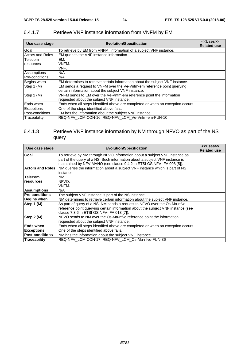| Use case stage          | <b>Evolution/Specification</b>                                                  | < <uses>&gt;<br/><b>Related use</b></uses> |
|-------------------------|---------------------------------------------------------------------------------|--------------------------------------------|
| Goal                    | To retrieve by EM from VNFM, information of a subject VNF instance.             |                                            |
| <b>Actors and Roles</b> | EM queries the VNF instance information.                                        |                                            |
| Telecom                 | EM.                                                                             |                                            |
| resources               | VNFM.                                                                           |                                            |
|                         | VNF.                                                                            |                                            |
| Assumptions             | N/A                                                                             |                                            |
| Pre-conditions          | N/A                                                                             |                                            |
| Begins when             | EM determines to retrieve certain information about the subject VNF instance.   |                                            |
| Step 1 (M)              | EM sends a request to VNFM over the Ve-Vnfm-em reference point querying         |                                            |
|                         | certain information about the subject VNF instance.                             |                                            |
| Step 2 (M)              | VNFM sends to EM over the Ve-Vnfm-em reference point the information            |                                            |
|                         | requested about the subject VNF instance.                                       |                                            |
| Ends when               | Ends when all steps identified above are completed or when an exception occurs. |                                            |
| <b>Exceptions</b>       | One of the steps identified above fails.                                        |                                            |
| Post-conditions         | EM has the information about the subject VNF instance.                          |                                            |
| Traceability            | REQ-NFV_LCM-CON-16, REQ-NFV_LCM_Ve-Vnfm-em-FUN-10                               |                                            |

# 6.4.1.7 Retrieve VNF instance information from VNFM by EM

#### 6.4.1.8 Retrieve VNF instance information by NM through NFVO as part of the NS query

| Use case stage          | <b>Evolution/Specification</b>                                                                                                                                                                                                     | < <uses>&gt;<br/><b>Related use</b></uses> |
|-------------------------|------------------------------------------------------------------------------------------------------------------------------------------------------------------------------------------------------------------------------------|--------------------------------------------|
| Goal                    | To retrieve by NM through NFVO information about a subject VNF instance as<br>part of the query of a NS. Such information about a subject VNF instance is<br>maintained by NFV-MANO (see clause 9.4.2 in ETSI GS NFV-IFA 008 [5]). |                                            |
| <b>Actors and Roles</b> | NM queries the information about a subject VNF instance which is part of NS<br>instance.                                                                                                                                           |                                            |
| <b>Telecom</b>          | NM.                                                                                                                                                                                                                                |                                            |
| resources               | NFVO.<br>VNFM.                                                                                                                                                                                                                     |                                            |
| <b>Assumptions</b>      | N/A                                                                                                                                                                                                                                |                                            |
| <b>Pre-conditions</b>   | The subject VNF instance is part of the NS instance.                                                                                                                                                                               |                                            |
| <b>Begins when</b>      | NM determines to retrieve certain information about the subject VNF instance.                                                                                                                                                      |                                            |
| Step 1 (M)              | As part of query of a NS, NM sends a request to NFVO over the Os-Ma-nfvo<br>reference point querying certain information about the subject VNF instance (see<br>clause 7.3.6 in ETSI GS NFV-IFA 013 [7]).                          |                                            |
| Step 2 (M)              | NFVO sends to NM over the Os-Ma-nfvo reference point the information<br>requested about the subject VNF instance.                                                                                                                  |                                            |
| <b>Ends when</b>        | Ends when all steps identified above are completed or when an exception occurs.                                                                                                                                                    |                                            |
| <b>Exceptions</b>       | One of the steps identified above fails.                                                                                                                                                                                           |                                            |
| <b>Post-conditions</b>  | NM has the information about the subject VNF instance.                                                                                                                                                                             |                                            |
| Traceability            | REQ-NFV LCM-CON-17, REQ-NFV LCM Os-Ma-nfvo-FUN-36                                                                                                                                                                                  |                                            |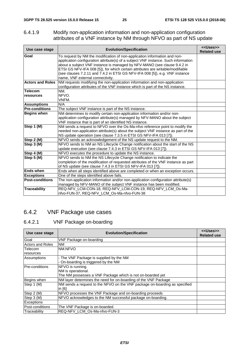#### 6.4.1.9 Modify non-application information and non-application configuration attributes of a VNF instance by NM through NFVO as part of NS update

| Use case stage              | <b>Evolution/Specification</b>                                                                                                                                                                                                                                                                                                                                                                                                                    | < <uses>&gt;<br/><b>Related use</b></uses> |
|-----------------------------|---------------------------------------------------------------------------------------------------------------------------------------------------------------------------------------------------------------------------------------------------------------------------------------------------------------------------------------------------------------------------------------------------------------------------------------------------|--------------------------------------------|
| Goal                        | To request by NM the modification of non-application information and non-<br>application configuration attribute(s) of a subject VNF instance. Such information<br>about a subject VNF instance is managed by NFV-MANO (see clause 9.4.2 in<br>ETSI GS NFV-IFA 008 [5]), for which certain attributes are writable/modifiable<br>(see clauses 7.2.11 and 7.4.2 in ETSI GS NFV-IFA 008 [5]), e.g. VNF instance<br>name, VNF external connectivity. |                                            |
| <b>Actors and Roles</b>     | NM requests modifying the non-application information and non-application<br>configuration attributes of the VNF instance which is part of the NS instance.                                                                                                                                                                                                                                                                                       |                                            |
| <b>Telecom</b><br>resources | NM.<br>NFVO.<br>VNFM.                                                                                                                                                                                                                                                                                                                                                                                                                             |                                            |
| <b>Assumptions</b>          | N/A                                                                                                                                                                                                                                                                                                                                                                                                                                               |                                            |
| <b>Pre-conditions</b>       | The subject VNF instance is part of the NS instance.                                                                                                                                                                                                                                                                                                                                                                                              |                                            |
| <b>Begins when</b>          | NM determines to modify certain non-application information and/or non-<br>application configuration attribute(s) managed by NFV-MANO about the subject<br>VNF instance that is part of an identified NS instance.                                                                                                                                                                                                                                |                                            |
| Step 1 (M)                  | NM sends a request to NFVO over the Os-Ma-nfvo reference point to modify the<br>needed non-application attribute(s) about the subject VNF instance as part of the<br>NS update operation (see clause 7.3.5 in ETSI GS NFV-IFA 013 [7]).                                                                                                                                                                                                           |                                            |
| Step 2 (M)                  | NFVO sends an acknowledgement of the NS update request to the NM.                                                                                                                                                                                                                                                                                                                                                                                 |                                            |
| Step 3 (M)                  | NFVO sends to NM an NS Lifecycle Change notification about the start of the NS<br>update execution (see clause 7.4.3 in ETSI GS NFV-IFA 013 [7]).                                                                                                                                                                                                                                                                                                 |                                            |
| Step 4 (M)                  | NFVO executes the procedure to update the NS instance.                                                                                                                                                                                                                                                                                                                                                                                            |                                            |
| Step 5 $(\overline{M})$     | NFVO sends to NM the NS Lifecycle Change notification to indicate the<br>completion of the modification of requested attributes of the VNF instance as part<br>of NS update (see clause 7.4.3 in ETSI GS NFV-IFA 013 [7]).                                                                                                                                                                                                                        |                                            |
| Ends when                   | Ends when all steps identified above are completed or when an exception occurs.                                                                                                                                                                                                                                                                                                                                                                   |                                            |
| <b>Exceptions</b>           | One of the steps identified above fails.                                                                                                                                                                                                                                                                                                                                                                                                          |                                            |
| <b>Post-conditions</b>      | The non-application information and/or non-application configuration attribute(s)<br>managed by NFV-MANO of the subject VNF instance has been modified.                                                                                                                                                                                                                                                                                           |                                            |
| <b>Traceability</b>         | REQ-NFV_LCM-CON-18, REQ-NFV_LCM-CON-19, REQ-NFV_LCM_Os-Ma-<br>nfvo-FUN-37, REQ-NFV_LCM_Os-Ma-nfvo-FUN-38                                                                                                                                                                                                                                                                                                                                          |                                            |

# 6.4.2 VNF Package use cases

#### 6.4.2.1 VNF Package on-boarding

| Use case stage          | <b>Evolution/Specification</b>                                             | < <uses>&gt;<br/><b>Related use</b></uses> |
|-------------------------|----------------------------------------------------------------------------|--------------------------------------------|
| Goal                    | VNF Package on-boarding                                                    |                                            |
| <b>Actors and Roles</b> | <b>NM</b>                                                                  |                                            |
| Telecom                 | <b>INM.NFVO</b>                                                            |                                            |
| resources               |                                                                            |                                            |
| Assumptions             | - The VNF Package is supplied by the NM                                    |                                            |
|                         | - On-boarding is triggered by the NM                                       |                                            |
| Pre-conditions          | NFVO is running.                                                           |                                            |
|                         | NM is operational.                                                         |                                            |
|                         | The NM possesses a VNF Package which is not on-boarded yet                 |                                            |
| Begins when             | NM layer determines the need for on-boarding of the VNF Package            |                                            |
| Step 1 (M)              | NM sends a request to the NFVO on the VNF package on-boarding as specified |                                            |
|                         | in [6]                                                                     |                                            |
| Step 2 (M)              | NFVO processes the VNF Package and on-boarding proceeds                    |                                            |
| Step 3 (M)              | NFVO acknowledges to the NM successful package on-boarding.                |                                            |
| <b>Exceptions</b>       |                                                                            |                                            |
| Post-conditions         | The VNF Package is on-boarded.                                             |                                            |
| Traceability            | REQ-NFV_LCM_Os-Ma-nfvo-FUN-3                                               |                                            |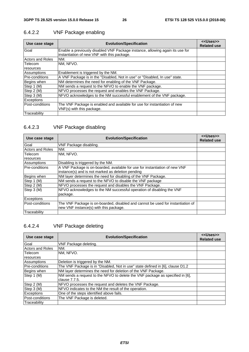| Use case stage          | <b>Evolution/Specification</b>                                                                                               | < <uses>&gt;<br/><b>Related use</b></uses> |
|-------------------------|------------------------------------------------------------------------------------------------------------------------------|--------------------------------------------|
| Goal                    | Enable a previously disabled VNF Package instance, allowing again its use for<br>instantiation of new VNF with this package. |                                            |
| <b>Actors and Roles</b> | NM.                                                                                                                          |                                            |
| Telecom                 | NM. NFVO.                                                                                                                    |                                            |
| resources               |                                                                                                                              |                                            |
| Assumptions             | Enablement is triggered by the NM.                                                                                           |                                            |
| <b>Pre-conditions</b>   | A VNF Package is in the "Disabled, Not in use" or "Disabled, In use" state.                                                  |                                            |
| Begins when             | NM determines the need for enabling of the VNF Package.                                                                      |                                            |
| Step 1 (M)              | NM sends a request to the NFVO to enable the VNF package.                                                                    |                                            |
| Step 2 (M)              | NFVO processes the request and enables the VNF Package.                                                                      |                                            |
| Step 3 (M)              | NFVO acknowledges to the NM successful enablement of the VNF package.                                                        |                                            |
| <b>Exceptions</b>       |                                                                                                                              |                                            |
| Post-conditions         | The VNF Package is enabled and available for use for instantiation of new<br>VNF(s) with this package.                       |                                            |
| Traceability            |                                                                                                                              |                                            |

# 6.4.2.2 VNF Package enabling

# 6.4.2.3 VNF Package disabling

| Use case stage          | <b>Evolution/Specification</b>                                                  | < <uses>&gt;<br/><b>Related use</b></uses> |
|-------------------------|---------------------------------------------------------------------------------|--------------------------------------------|
| Goal                    | VNF Package disabling.                                                          |                                            |
| <b>Actors and Roles</b> | NM.                                                                             |                                            |
| Telecom                 | NM. NFVO.                                                                       |                                            |
| <b>resources</b>        |                                                                                 |                                            |
| Assumptions             | Disabling is triggered by the NM.                                               |                                            |
| Pre-conditions          | A VNF Package is on-boarded, available for use for instantiation of new VNF     |                                            |
|                         | instance(s) and is not marked as deletion pending                               |                                            |
| Begins when             | NM layer determines the need for disabling of the VNF Package.                  |                                            |
| Step 1 (M)              | NM sends a request to the NFVO to disable the VNF package                       |                                            |
| Step 2 (M)              | NFVO processes the request and disables the VNF Package.                        |                                            |
| Step 3 (M)              | NFVO acknowledges to the NM successful operation of disabling the VNF           |                                            |
|                         | package.                                                                        |                                            |
| <b>Exceptions</b>       |                                                                                 |                                            |
| lPost-conditions        | The VNF Package is on-boarded, disabled and cannot be used for instantiation of |                                            |
|                         | new VNF instance(s) with this package.                                          |                                            |
| <b>Traceabilitv</b>     |                                                                                 |                                            |

# 6.4.2.4 VNF Package deleting

| Use case stage          | <b>Evolution/Specification</b>                                                 | < <uses>&gt;<br/><b>Related use</b></uses> |
|-------------------------|--------------------------------------------------------------------------------|--------------------------------------------|
| Goal                    | VNF Package deleting.                                                          |                                            |
| <b>Actors and Roles</b> | NM.                                                                            |                                            |
| Telecom                 | NM. NFVO.                                                                      |                                            |
| resources               |                                                                                |                                            |
| Assumptions             | Deletion is triggered by the NM.                                               |                                            |
| <b>Pre-conditions</b>   | The VNF Package is in "Disabled, Not in use" state defined in [6], clause D1.2 |                                            |
| Begins when             | NM layer determines the need for deletion of the VNF Package.                  |                                            |
| Step 1 (M)              | NM sends a request to the NFVO to delete the VNF package as specified in [6],  |                                            |
|                         | clause 7.7.5.                                                                  |                                            |
| Step 2 (M)              | NFVO processes the request and deletes the VNF Package.                        |                                            |
| Step 3 (M)              | NFVO indicates to the NM the result of the operation.                          |                                            |
| <b>Exceptions</b>       | One of the steps identified above fails.                                       |                                            |
| Post-conditions         | The VNF Package is deleted.                                                    |                                            |
| Traceability            |                                                                                |                                            |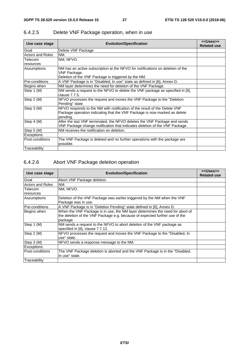| Use case stage          | <b>Evolution/Specification</b>                                                                                                                                     | < <uses>&gt;<br/><b>Related use</b></uses> |
|-------------------------|--------------------------------------------------------------------------------------------------------------------------------------------------------------------|--------------------------------------------|
| Goal                    | Delete VNF Package                                                                                                                                                 |                                            |
| <b>Actors and Roles</b> | NM.                                                                                                                                                                |                                            |
| Telecom<br>resources    | NM, NFVO.                                                                                                                                                          |                                            |
| Assumptions             | NM has an active subscription at the NFVO for notifications on deletion of the<br>VNF Package.<br>Deletion of the VNF Package is triggered by the NM.              |                                            |
| Pre-conditions          | A VNF Package is in "Disabled, In use" state as defined in [6], Annex D.                                                                                           |                                            |
| Begins when             | NM layer determines the need for deletion of the VNF Package.                                                                                                      |                                            |
| Step 1 (M)              | NM sends a request to the NFVO to delete the VNF package as specified in [6],<br>clause 7.7.5.                                                                     |                                            |
| Step 2 (M)              | NFVO processes the request and moves the VNF Package to the "Deletion"<br>Pending" state.                                                                          |                                            |
| Step 3 (M)              | NFVO responds to the NM with notification of the result of the Delete VNF<br>Package operation indicating that the VNF Package is now marked as delete<br>pending. |                                            |
| Step 4 (M)              | After the last VNF terminated, the NFVO deletes the VNF Package and sends<br>VNF Package change notification that indicates deletion of the VNF Package.           |                                            |
| Step 5 (M)              | NM receives the notification on deletion.                                                                                                                          |                                            |
| Exceptions              |                                                                                                                                                                    |                                            |
| Post-conditions         | The VNF Package is deleted and no further operations with the package are<br>possible.                                                                             |                                            |
| Traceability            |                                                                                                                                                                    |                                            |

# 6.4.2.5 Delete VNF Package operation, when in use

# 6.4.2.6 Abort VNF Package deletion operation

| Use case stage          | <b>Evolution/Specification</b>                                                | < <uses>&gt;<br/><b>Related use</b></uses> |
|-------------------------|-------------------------------------------------------------------------------|--------------------------------------------|
| Goal                    | Abort VNF Package deletion.                                                   |                                            |
| <b>Actors and Roles</b> | NM.                                                                           |                                            |
| Telecom                 | NM, NFVO.                                                                     |                                            |
| resources               |                                                                               |                                            |
| Assumptions             | Deletion of the VNF Package was earlier triggered by the NM when the VNF      |                                            |
|                         | Package was in use.                                                           |                                            |
| IPre-conditions         | A VNF Package is in "Deletion Pending" state defined in [6], Annex D.         |                                            |
| Begins when             | When the VNF Package is in use, the NM layer determines the need for abort of |                                            |
|                         | the deletion of the VNF Package e.g. because of expected further use of the   |                                            |
|                         | package.                                                                      |                                            |
| Step 1 (M)              | NM sends a request to the NFVO to abort deletion of the VNF package as        |                                            |
|                         | specified in [6], clause 7.7.12.                                              |                                            |
| Step 2 (M)              | NFVO processes the request and moves the VNF Package to the "Disabled, In     |                                            |
|                         | use" state.                                                                   |                                            |
| Step 3 (M)              | NFVO sends a response message to the NM.                                      |                                            |
| Exceptions              |                                                                               |                                            |
| Post-conditions         | The VNF Package deletion is aborted and the VNF Package is in the "Disabled,  |                                            |
|                         | In use" state.                                                                |                                            |
| Traceability            |                                                                               |                                            |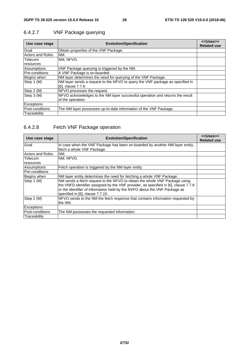| Use case stage          | <b>Evolution/Specification</b>                                                | < <uses>&gt;<br/><b>Related use</b></uses> |
|-------------------------|-------------------------------------------------------------------------------|--------------------------------------------|
| Goal                    | Obtain properties of the VNF Package.                                         |                                            |
| <b>Actors and Roles</b> | INM.                                                                          |                                            |
| Telecom                 | NM. NFVO.                                                                     |                                            |
| resources               |                                                                               |                                            |
| Assumptions             | VNF Package querying is triggered by the NM.                                  |                                            |
| Pre-conditions          | A VNF Package is on-boarded                                                   |                                            |
| Begins when             | NM layer determines the need for querying of the VNF Package.                 |                                            |
| Step 1 (M)              | NM layer sends a request to the NFVO to query the VNF package as specified in |                                            |
|                         | [6], clause 7.7.6                                                             |                                            |
| Step 2 (M)              | NFVO processes the request.                                                   |                                            |
| Step 3 (M)              | NFVO acknowledges to the NM layer successful operation and returns the result |                                            |
|                         | of the operation.                                                             |                                            |
| <b>Exceptions</b>       |                                                                               |                                            |
| Post-conditions         | The NM layer possesses up-to-date information of the VNF Package,             |                                            |
| Traceability            |                                                                               |                                            |

# 6.4.2.7 VNF Package querying

# 6.4.2.8 Fetch VNF Package operation

| Use case stage          | <b>Evolution/Specification</b>                                                                                                                                                                                                                                                      | < <uses>&gt;<br/><b>Related use</b></uses> |
|-------------------------|-------------------------------------------------------------------------------------------------------------------------------------------------------------------------------------------------------------------------------------------------------------------------------------|--------------------------------------------|
| Goal                    | In case when the VNF Package has been on-boarded by another NM layer entity,<br>fetch a whole VNF Package.                                                                                                                                                                          |                                            |
| <b>Actors and Roles</b> | NM.                                                                                                                                                                                                                                                                                 |                                            |
| Telecom                 | NM, NFVO.                                                                                                                                                                                                                                                                           |                                            |
| resources               |                                                                                                                                                                                                                                                                                     |                                            |
| Assumptions             | Fetch operation is triggered by the NM layer entity.                                                                                                                                                                                                                                |                                            |
| Pre-conditions          |                                                                                                                                                                                                                                                                                     |                                            |
| Begins when             | NM layer entity determines the need for fetching a whole VNF Package.                                                                                                                                                                                                               |                                            |
| Step 1 (M)              | NM sends a fetch request to the NFVO to obtain the whole VNF Package using<br>the VNFD identifier assigned by the VNF provider, as specified in [6], clause 7.7.9<br>or the identifier of information held by the NVFO about the VNF Package as<br>specified in [6], clause 7.7.10. |                                            |
| Step 2 (M)              | NFVO sends to the NM the fetch response that contains information requested by<br>the NM.                                                                                                                                                                                           |                                            |
| Exceptions              |                                                                                                                                                                                                                                                                                     |                                            |
| Post-conditions         | The NM possesses the requested information.                                                                                                                                                                                                                                         |                                            |
| Traceability            |                                                                                                                                                                                                                                                                                     |                                            |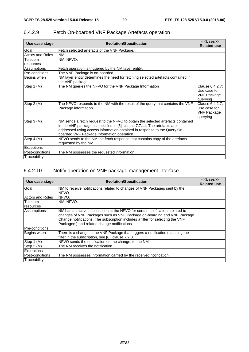| Use case stage          | <b>Evolution/Specification</b>                                                                                                                                                                                                                                                        | < <uses>&gt;<br/><b>Related use</b></uses>                        |
|-------------------------|---------------------------------------------------------------------------------------------------------------------------------------------------------------------------------------------------------------------------------------------------------------------------------------|-------------------------------------------------------------------|
| Goal                    | Fetch selected artefacts of the VNF Package.                                                                                                                                                                                                                                          |                                                                   |
| <b>Actors and Roles</b> | NM.                                                                                                                                                                                                                                                                                   |                                                                   |
| Telecom                 | NM, NFVO.                                                                                                                                                                                                                                                                             |                                                                   |
| resources               |                                                                                                                                                                                                                                                                                       |                                                                   |
| Assumptions             | Fetch operation is triggered by the NM layer entity.                                                                                                                                                                                                                                  |                                                                   |
| <b>Pre-conditions</b>   | The VNF Package is on-boarded.                                                                                                                                                                                                                                                        |                                                                   |
| Begins when             | NM layer entity determines the need for fetching selected artefacts contained in<br>the VNF package.                                                                                                                                                                                  |                                                                   |
| Step 1 (M)              | The NM queries the NFVO for the VNF Package Information                                                                                                                                                                                                                               | Clause 6.4.2.7:<br>Use case for<br><b>VNF Package</b><br>querying |
| Step 2 (M)              | The NFVO responds to the NM with the result of the query that contains the VNF<br>Package information                                                                                                                                                                                 | Clause 6.4.2.7:<br>Use case for<br><b>VNF Package</b><br>querying |
| Step 3 (M)              | NM sends a fetch request to the NFVO to obtain the selected artefacts contained<br>in the VNF package as specified in [6], clause 7.7.11. The artefacts are<br>addressed using access information obtained in response to the Query On-<br>boarded VNF Package Information operation. |                                                                   |
| Step 4 (M)              | NFVO sends to the NM the fetch response that contains copy of the artefacts<br>requested by the NM.                                                                                                                                                                                   |                                                                   |
| Exceptions              |                                                                                                                                                                                                                                                                                       |                                                                   |
| Post-conditions         | The NM possesses the requested information.                                                                                                                                                                                                                                           |                                                                   |
| Traceability            |                                                                                                                                                                                                                                                                                       |                                                                   |

# 6.4.2.9 Fetch On-boarded VNF Package Artefacts operation

# 6.4.2.10 Notify operation on VNF package management interface

| Use case stage          | <b>Evolution/Specification</b>                                                                                                                                                                                                                                                              | < <uses>&gt;<br/><b>Related use</b></uses> |
|-------------------------|---------------------------------------------------------------------------------------------------------------------------------------------------------------------------------------------------------------------------------------------------------------------------------------------|--------------------------------------------|
| Goal                    | NM to receive notifications related to changes of VNF Packages sent by the<br>NFVO.                                                                                                                                                                                                         |                                            |
| <b>Actors and Roles</b> | <b>NFVO.</b>                                                                                                                                                                                                                                                                                |                                            |
| Telecom                 | NM, NFVO.                                                                                                                                                                                                                                                                                   |                                            |
| resources               |                                                                                                                                                                                                                                                                                             |                                            |
| Assumptions             | NM has an active subscription at the NFVO for certain notifications related to<br>changes of VNF Packages such as VNF Package on-boarding and VNF Package<br>Change notifications. The subscription includes a filter for selecting the VNF<br>Package(s) and related change notifications. |                                            |
| Pre-conditions          |                                                                                                                                                                                                                                                                                             |                                            |
| Begins when             | There is a change in the VNF Package that triggers a notification matching the<br>filter in the subscription, see [6], clause 7.7.8.                                                                                                                                                        |                                            |
| Step 1 (M)              | NFVO sends the notification on the change, to the NM.                                                                                                                                                                                                                                       |                                            |
| Step 2 (M)              | The NM receives the notification.                                                                                                                                                                                                                                                           |                                            |
| <b>Exceptions</b>       |                                                                                                                                                                                                                                                                                             |                                            |
| Post-conditions         | The NM possesses information carried by the received notification.                                                                                                                                                                                                                          |                                            |
| Traceability            |                                                                                                                                                                                                                                                                                             |                                            |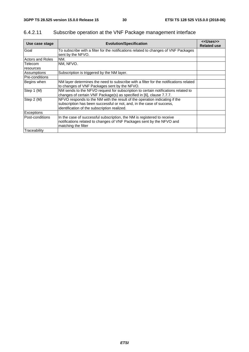| Use case stage          | <b>Evolution/Specification</b>                                                                                                                                                                      | < <uses>&gt;<br/><b>Related use</b></uses> |
|-------------------------|-----------------------------------------------------------------------------------------------------------------------------------------------------------------------------------------------------|--------------------------------------------|
| Goal                    | To subscribe with a filter for the notifications related to changes of VNF Packages<br>sent by the NFVO.                                                                                            |                                            |
| <b>Actors and Roles</b> | NM.                                                                                                                                                                                                 |                                            |
| Telecom<br>resources    | NM, NFVO.                                                                                                                                                                                           |                                            |
| Assumptions             | Subscription is triggered by the NM layer.                                                                                                                                                          |                                            |
| Pre-conditions          |                                                                                                                                                                                                     |                                            |
| Begins when             | NM layer determines the need to subscribe with a filter for the notifications related<br>to changes of VNF Packages sent by the NFVO.                                                               |                                            |
| Step 1 (M)              | NM sends to the NFVO request for subscription to certain notifications related to<br>changes of certain VNF Package(s) as specified in [6], clause 7.7.7.                                           |                                            |
| Step 2 (M)              | NFVO responds to the NM with the result of the operation indicating if the<br>subscription has been successful or not, and, in the case of success,<br>identification of the subscription realized. |                                            |
| <b>Exceptions</b>       |                                                                                                                                                                                                     |                                            |
| Post-conditions         | In the case of successful subscription, the NM is registered to receive<br>notifications related to changes of VNF Packages sent by the NFVO and<br>matching the filter                             |                                            |
| Traceability            |                                                                                                                                                                                                     |                                            |

# 6.4.2.11 Subscribe operation at the VNF Package management interface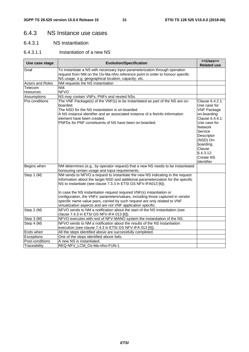# 6.4.3 NS Instance use cases

#### 6.4.3.1 NS instantiation

#### 6.4.3.1.1 Instantiation of a new NS

| Use case stage          | <b>Evolution/Specification</b>                                                                                                                                                                                                                                                                                                                                                                                                                                                                                                                  | < <uses>&gt;<br/><b>Related use</b></uses>                                                                                                                                                                                            |
|-------------------------|-------------------------------------------------------------------------------------------------------------------------------------------------------------------------------------------------------------------------------------------------------------------------------------------------------------------------------------------------------------------------------------------------------------------------------------------------------------------------------------------------------------------------------------------------|---------------------------------------------------------------------------------------------------------------------------------------------------------------------------------------------------------------------------------------|
| Goal                    | To instantiate a NS with necessary input parameterization through operation<br>request from NM on the Os-Ma-nfvo reference point in order to honour specific<br>NS usage, e.g. geographical location, capacity, etc.                                                                                                                                                                                                                                                                                                                            |                                                                                                                                                                                                                                       |
| <b>Actors and Roles</b> | NM requests the NS instantiation                                                                                                                                                                                                                                                                                                                                                                                                                                                                                                                |                                                                                                                                                                                                                                       |
| Telecom<br>resources    | NM.<br><b>NFVO</b>                                                                                                                                                                                                                                                                                                                                                                                                                                                                                                                              |                                                                                                                                                                                                                                       |
| Assumptions             | NS may contain VNFs, PNFs and nested NSs.                                                                                                                                                                                                                                                                                                                                                                                                                                                                                                       |                                                                                                                                                                                                                                       |
| Pre-conditions          | The VNF Package(s) of the VNF(s) to be instantiated as part of the NS are on-<br>boarded.<br>The NSD for the NS instantiation is on-boarded.<br>A NS instance identifier and an associated instance of a NsInfo information<br>element have been created.<br>PNFDs for PNF constituents of NS have been on-boarded.                                                                                                                                                                                                                             | Clause 6.4.2.1:<br>Use case for<br><b>VNF Package</b><br>on-boarding<br>Clause 6.4.4.1:<br>Use case for<br><b>Network</b><br>Service<br>Descriptor<br>(NSD) On-<br>boarding.<br>Clause<br>6.4.3.12:<br><b>Create NS</b><br>Identifier |
| Begins when             | NM determines (e.g., by operator request) that a new NS needs to be instantiated<br>honouring certain usage and input requirements.                                                                                                                                                                                                                                                                                                                                                                                                             |                                                                                                                                                                                                                                       |
| Step 1 (M)              | NM sends to NFVO a request to instantiate the new NS indicating in the request<br>information about the target NSD and additional parameterization for the specific<br>NS to instantiate (see clause 7.3.3 in ETSI GS NFV-IFA013 [6]).<br>In case the NS instantiation request required VNF(s) instantiation or<br>configuration, the VNFs' parameters/values, including those captured in vendor<br>specific name value pairs, carried by such request are only related to VNF<br>virtualization aspects and are not VNF application specific. |                                                                                                                                                                                                                                       |
| Step 2 (M)              | NFVO sends to NM a notification about the start of the NS instantiation (see<br>clause 7.4.3 in ETSI GS NFV-IFA 013 [6]).                                                                                                                                                                                                                                                                                                                                                                                                                       |                                                                                                                                                                                                                                       |
| Step 3 (M)              | NFVO executes with rest of NFV-MANO system the instantiation of the NS.                                                                                                                                                                                                                                                                                                                                                                                                                                                                         |                                                                                                                                                                                                                                       |
| Step 4 $(\overline{M})$ | NFVO sends to NM a notification about the results of the NS instantiation<br>execution (see clause 7.4.3 in ETSI GS NFV-IFA 013 [6]).                                                                                                                                                                                                                                                                                                                                                                                                           |                                                                                                                                                                                                                                       |
| Ends when               | All the steps identified above are successfully completed.                                                                                                                                                                                                                                                                                                                                                                                                                                                                                      |                                                                                                                                                                                                                                       |
| Exceptions              | One of the steps identified above fails.                                                                                                                                                                                                                                                                                                                                                                                                                                                                                                        |                                                                                                                                                                                                                                       |
| Post-conditions         | A new NS is instantiated.                                                                                                                                                                                                                                                                                                                                                                                                                                                                                                                       |                                                                                                                                                                                                                                       |
| Traceability            | REQ-NFV LCM Os-Ma-nfvo-FUN-1                                                                                                                                                                                                                                                                                                                                                                                                                                                                                                                    |                                                                                                                                                                                                                                       |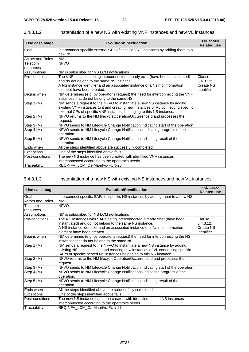| Use case stage          | <b>Evolution/Specification</b>                                                                                                                                                                                                           | < <uses>&gt;<br/><b>Related use</b></uses>            |
|-------------------------|------------------------------------------------------------------------------------------------------------------------------------------------------------------------------------------------------------------------------------------|-------------------------------------------------------|
| Goal                    | Interconnect specific external CPs of specific VNF instances by adding them to a<br>new NS.                                                                                                                                              |                                                       |
| <b>Actors and Roles</b> | <b>NM</b>                                                                                                                                                                                                                                |                                                       |
| Telecom<br>resources    | <b>NFVO</b>                                                                                                                                                                                                                              |                                                       |
| Assumptions             | NM is subscribed for NS LCM notifications                                                                                                                                                                                                |                                                       |
| Pre-conditions          | The VNF instances being interconnected already exist (have been instantiated)<br>and do not belong to the same NS instance.<br>A NS instance identifier and an associated instance of a NsInfo information<br>element have been created. | Clause<br>6.4.3.12:<br><b>Create NS</b><br>Identifier |
| Begins when             | NM determines (e.g. by operator's request) the need for interconnecting the VNF<br>instances that do not belong to the same NS.                                                                                                          |                                                       |
| Step 1 (M)              | NM sends a request to the NFVO to instantiate a new NS instance by adding<br>existing VNF instances to it and creating new instances of VL connecting specific<br>external CPs of specific VNF instances belonging to this NS instance.  |                                                       |
| Step 2 (M)              | NFVO returns to the NM lifecycleOperationOccurrenceId and processes the<br>request.                                                                                                                                                      |                                                       |
| Step 3 (M)              | NFVO sends to NM Lifecycle Change Notification indicating start of the operation.                                                                                                                                                        |                                                       |
| Step 4 (M)              | NFVO sends to NM Lifecycle Change Notifications indicating progress of the<br>operation.                                                                                                                                                 |                                                       |
| Step 5 (M)              | NFVO sends to NM Lifecycle Change Notification indicating result of the<br>operation.                                                                                                                                                    |                                                       |
| Ends when               | All the steps identified above are successfully completed.                                                                                                                                                                               |                                                       |
| Exceptions              | One of the steps identified above fails.                                                                                                                                                                                                 |                                                       |
| Post-conditions         | The new NS instance has been created with identified VNF instances                                                                                                                                                                       |                                                       |
|                         | interconnected according to the operator's needs                                                                                                                                                                                         |                                                       |
| Traceability            | REQ-NFV_LCM_Os-Ma-nfvo-FUN-26                                                                                                                                                                                                            |                                                       |

#### 6.4.3.1.2 Instantiation of a new NS with existing VNF instances and new VL instances

#### 6.4.3.1.3 Instantiation of a new NS with existing NS instances and new VL instances

| Use case stage          | <b>Evolution/Specification</b>                                                    | < <uses>&gt;<br/><b>Related use</b></uses> |
|-------------------------|-----------------------------------------------------------------------------------|--------------------------------------------|
| Goal                    | Interconnect specific SAPs of specific NS instances by adding them to a new NS.   |                                            |
| <b>Actors and Roles</b> | <b>NM</b>                                                                         |                                            |
| Telecom                 | <b>NFVO</b>                                                                       |                                            |
| resources               |                                                                                   |                                            |
| Assumptions             | NM is subscribed for NS LCM notifications                                         |                                            |
| Pre-conditions          | The NS instances with SAPs being interconnected already exist (have been          | Clause                                     |
|                         | instantiated) and do not belong to the same NS instance.                          | 6.4.3.12:                                  |
|                         | A NS instance identifier and an associated instance of a NsInfo information       | <b>Create NS</b>                           |
|                         | element have been created.                                                        | <b>Identifier</b>                          |
| Begins when             | NM determines (e.g. by operator's request) the need for interconnecting the NS    |                                            |
|                         | instances that do not belong to the same NS.                                      |                                            |
| Step 1 (M)              | NM sends a request to the NFVO to instantiate a new NS instance by adding         |                                            |
|                         | existing NS instances to it and creating new instances of VL connecting specific  |                                            |
|                         | SAPs of specific nested NS instances belonging to this NS instance.               |                                            |
| Step 2 (M)              | NFVO returns to the NM lifecycleOperationOccurrenceld and processes the           |                                            |
|                         | request.                                                                          |                                            |
| Step 3 (M)              | NFVO sends to NM Lifecycle Change Notification indicating start of the operation. |                                            |
| Step 4 (M)              | NFVO sends to NM Lifecycle Change Notifications indicating progress of the        |                                            |
|                         | operation.                                                                        |                                            |
| Step 5 (M)              | NFVO sends to NM Lifecycle Change Notification indicating result of the           |                                            |
|                         | operation.                                                                        |                                            |
| Ends when               | All the steps identified above are successfully completed.                        |                                            |
| Exceptions              | One of the steps identified above fails.                                          |                                            |
| Post-conditions         | The new NS instance has been created with identified nested NS instances          |                                            |
|                         | interconnected according to the operator's needs                                  |                                            |
| Traceability            | REQ-NFV_LCM_Os-Ma-nfvo-FUN-27                                                     |                                            |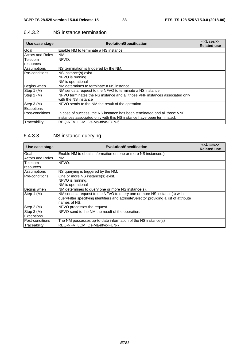| Use case stage          | <b>Evolution/Specification</b>                                              | < <uses>&gt;<br/><b>Related use</b></uses> |
|-------------------------|-----------------------------------------------------------------------------|--------------------------------------------|
| Goal                    | Enable NM to terminate a NS instance                                        |                                            |
| <b>Actors and Roles</b> | NM.                                                                         |                                            |
| Telecom                 | NFVO.                                                                       |                                            |
| resources               |                                                                             |                                            |
| Assumptions             | NS termination is triggered by the NM.                                      |                                            |
| Pre-conditions          | NS instance(s) exist                                                        |                                            |
|                         | NFVO is running.                                                            |                                            |
|                         | NM is operational                                                           |                                            |
| Begins when             | NM determines to terminate a NS instance.                                   |                                            |
| Step 1 (M)              | NM sends a request to the NFVO to terminate a NS instance.                  |                                            |
| Step 2 (M)              | NFVO terminates the NS instance and all those VNF instances associated only |                                            |
|                         | with the NS instance                                                        |                                            |
| Step 3 (M)              | NFVO sends to the NM the result of the operation.                           |                                            |
| <b>Exceptions</b>       |                                                                             |                                            |
| Post-conditions         | In case of success, the NS instance has been terminated and all those VNF   |                                            |
|                         | instances associated only with this NS instance have been terminated.       |                                            |
| Traceability            | REQ-NFV LCM Os-Ma-nfvo-FUN-6                                                |                                            |

#### 6.4.3.2 NS instance termination

# 6.4.3.3 NS instance querying

| Use case stage          | <b>Evolution/Specification</b>                                                                                                                                                    | < <uses>&gt;<br/><b>Related use</b></uses> |
|-------------------------|-----------------------------------------------------------------------------------------------------------------------------------------------------------------------------------|--------------------------------------------|
| Goal                    | Enable NM to obtain information on one or more NS instance(s)                                                                                                                     |                                            |
| <b>Actors and Roles</b> | INM.                                                                                                                                                                              |                                            |
| Telecom<br>resources    | NFVO.                                                                                                                                                                             |                                            |
| Assumptions             | INS querying is triggered by the NM.                                                                                                                                              |                                            |
| Pre-conditions          | One or more NS instance(s) exist.<br>NFVO is running.<br>NM is operational                                                                                                        |                                            |
| Begins when             | NM determines to query one or more NS instance(s).                                                                                                                                |                                            |
| Step 1 (M)              | NM sends a request to the NFVO to query one or more NS instance(s) with<br>queryFilter specifying identifiers and attributeSelector providing a list of attribute<br>names of NS. |                                            |
| Step 2 (M)              | NFVO processes the request.                                                                                                                                                       |                                            |
| Step 3 (M)              | NFVO send to the NM the result of the operation.                                                                                                                                  |                                            |
| Exceptions              |                                                                                                                                                                                   |                                            |
| Post-conditions         | The NM possesses up-to-date information of the NS instance(s)                                                                                                                     |                                            |
| Traceability            | REQ-NFV_LCM_Os-Ma-nfvo-FUN-7                                                                                                                                                      |                                            |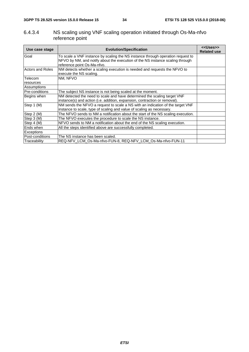#### 6.4.3.4 NS scaling using VNF scaling operation initiated through Os-Ma-nfvo reference point

| Use case stage          | <b>Evolution/Specification</b>                                                                                                                                                                  | < <uses>&gt;<br/><b>Related use</b></uses> |
|-------------------------|-------------------------------------------------------------------------------------------------------------------------------------------------------------------------------------------------|--------------------------------------------|
| Goal                    | To scale a VNF instance by scaling the NS instance through operation request to<br>NFVO by NM, and notify about the execution of the NS instance scaling through<br>reference point Os-Ma-nfvo. |                                            |
| <b>Actors and Roles</b> | NM detects whether a scaling execution is needed and requests the NFVO to<br>execute the NS scaling.                                                                                            |                                            |
| Telecom                 | NM, NFVO                                                                                                                                                                                        |                                            |
| resources               |                                                                                                                                                                                                 |                                            |
| Assumptions             |                                                                                                                                                                                                 |                                            |
| Pre-conditions          | The subject NS instance is not being scaled at the moment.                                                                                                                                      |                                            |
| Begins when             | NM detected the need to scale and have determined the scaling target VNF                                                                                                                        |                                            |
|                         | instance(s) and action (i.e. addition, expansion, contraction or removal).                                                                                                                      |                                            |
| Step 1 (M)              | NM sends the NFVO a request to scale a NS with an indication of the target VNF                                                                                                                  |                                            |
|                         | instance to scale, type of scaling and value of scaling as necessary.                                                                                                                           |                                            |
| Step 2 (M)              | The NFVO sends to NM a notification about the start of the NS scaling execution.                                                                                                                |                                            |
| Step 3 (M)              | The NFVO executes the procedure to scale the NS instance.                                                                                                                                       |                                            |
| Step 4 (M)              | NFVO sends to NM a notification about the end of the NS scaling execution.                                                                                                                      |                                            |
| Ends when               | All the steps identified above are successfully completed.                                                                                                                                      |                                            |
| <b>Exceptions</b>       |                                                                                                                                                                                                 |                                            |
| Post-conditions         | The NS instance has been scaled.                                                                                                                                                                |                                            |
| Traceability            | REQ-NFV LCM Os-Ma-nfvo-FUN-8, REQ-NFV LCM Os-Ma-nfvo-FUN-11                                                                                                                                     |                                            |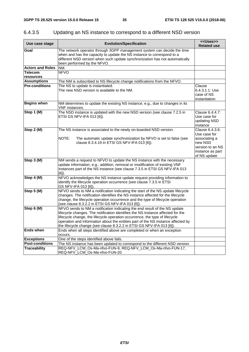| Use case stage              | <b>Evolution/Specification</b>                                                                                                                                                                                                                                                                                                                                                                            | < <uses>&gt;<br/><b>Related use</b></uses>                                                                          |
|-----------------------------|-----------------------------------------------------------------------------------------------------------------------------------------------------------------------------------------------------------------------------------------------------------------------------------------------------------------------------------------------------------------------------------------------------------|---------------------------------------------------------------------------------------------------------------------|
| Goal                        | The network operator through 3GPP management system can decide the time<br>when and has the capacity to update the NS instance to correspond to a<br>different NSD version when such update synchronization has not automatically<br>been performed by the NFVO.                                                                                                                                          |                                                                                                                     |
| <b>Actors and Roles</b>     | NM.                                                                                                                                                                                                                                                                                                                                                                                                       |                                                                                                                     |
| <b>Telecom</b><br>resources | <b>NFVO</b>                                                                                                                                                                                                                                                                                                                                                                                               |                                                                                                                     |
| <b>Assumptions</b>          | The NM is subscribed to NS lifecycle change notifications from the NFVO.                                                                                                                                                                                                                                                                                                                                  |                                                                                                                     |
| <b>Pre-conditions</b>       | The NS to update is instantiated.<br>The new NSD version is available to the NM.                                                                                                                                                                                                                                                                                                                          | Clause<br>6.4.3.1.1: Use<br>case of NS<br>instantiation                                                             |
| <b>Begins when</b>          | NM determines to update the existing NS instance, e.g., due to changes in its<br>VNF instances.                                                                                                                                                                                                                                                                                                           |                                                                                                                     |
| Step 1 (M)                  | The NSD instance is updated with the new NSD version (see clause 7.2.5 in<br>ETSI GS NFV-IFA 013 [6]).                                                                                                                                                                                                                                                                                                    | Clause 6.4.4.7:<br>Use case for<br>updating NSD<br>instance                                                         |
| Step 2 (M)                  | The NS instance is associated to the newly on-boarded NSD version.<br>NOTE:<br>The automatic update synchronization by NFVO is set to false (see<br>clause 8.3.4.19 in ETSI GS NFV-IFA 013 [6]).                                                                                                                                                                                                          | Clause 6.4.3.6:<br>Use case for<br>associating a<br>new NSD<br>version to an NS<br>instance as part<br>of NS update |
| Step 3 (M)                  | NM sends a request to NFVO to update the NS instance with the necessary<br>update information, e.g., addition, removal or modification of existing VNF<br>instances part of the NS instance (see clause 7.3.5 in ETSI GS NFV-IFA 013<br>[6]).                                                                                                                                                             |                                                                                                                     |
| Step 4 (M)                  | NFVO acknowledges the NS instance update request providing information to<br>identify the lifecycle operation occurrence (see clause 7.3.5 in ETSI<br>GS NFV-IFA 013 [6]).                                                                                                                                                                                                                                |                                                                                                                     |
| Step 5 (M)                  | NFVO sends to NM a notification indicating the start of the NS update lifecycle<br>changes. The notification identifies the NS instance affected for the lifecycle<br>change, the lifecycle operation occurrence and the type of lifecycle operation<br>(see clause 8.3.2.2 in ETSI GS NFV-IFA 013 [6]).                                                                                                  |                                                                                                                     |
| Step 6 (M)                  | NFVO sends to NM a notification indicating the end result of the NS update<br>lifecycle changes. The notification identifies the NS instance affected for the<br>lifecycle change, the lifecycle operation occurrence, the type of lifecycle<br>operation and information about the entities part of the NS instance affected by<br>the lifecycle change (see clause 8.3.2.2 in ETSI GS NFV-IFA 013 [6]). |                                                                                                                     |
| <b>Ends when</b>            | Ends when all steps identified above are completed or when an exception<br>occurs.                                                                                                                                                                                                                                                                                                                        |                                                                                                                     |
| <b>Exceptions</b>           | One of the steps identified above fails.                                                                                                                                                                                                                                                                                                                                                                  |                                                                                                                     |
| <b>Post-conditions</b>      | The NS instance has been updated to correspond to the different NSD version.                                                                                                                                                                                                                                                                                                                              |                                                                                                                     |
| <b>Traceability</b>         | REQ-NFV_LCM_Os-Ma-nfvo-FUN-9, REQ-NFV_LCM_Os-Ma-nfvo-FUN-17,<br>REQ-NFV_LCM_Os-Ma-nfvo-FUN-20                                                                                                                                                                                                                                                                                                             |                                                                                                                     |

# 6.4.3.5 Updating an NS instance to correspond to a different NSD version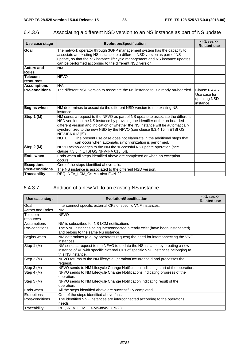| Use case stage                    | <b>Evolution/Specification</b>                                                                                                                                                                                                                                                                                                                                                                                                                                                                 | < <uses>&gt;<br/><b>Related use</b></uses>                   |
|-----------------------------------|------------------------------------------------------------------------------------------------------------------------------------------------------------------------------------------------------------------------------------------------------------------------------------------------------------------------------------------------------------------------------------------------------------------------------------------------------------------------------------------------|--------------------------------------------------------------|
| Goal                              | The network operator through 3GPP management system has the capacity to<br>associate an existing NS instance to a different NSD version as part of NS<br>update, so that the NS instance lifecycle management and NS instance updates<br>can be performed according to the different NSD version.                                                                                                                                                                                              |                                                              |
| <b>Actors and</b><br><b>Roles</b> | NM.                                                                                                                                                                                                                                                                                                                                                                                                                                                                                            |                                                              |
| <b>Telecom</b><br>resources       | <b>NFVO</b>                                                                                                                                                                                                                                                                                                                                                                                                                                                                                    |                                                              |
| <b>Assumptions</b>                | N/A                                                                                                                                                                                                                                                                                                                                                                                                                                                                                            |                                                              |
| <b>Pre-conditions</b>             | The different NSD version to associate the NS instance to is already on-boarded.                                                                                                                                                                                                                                                                                                                                                                                                               | Clause 6.4.4.7:<br>Use case for<br>updating NSD<br>instance. |
| <b>Begins when</b>                | NM determines to associate the different NSD version to the existing NS<br>instance.                                                                                                                                                                                                                                                                                                                                                                                                           |                                                              |
| Step 1 (M)                        | NM sends a request to the NFVO as part of NS update to associate the different<br>NSD version to the NS instance by providing the identifier of the on-boarded<br>different version and indication of whether the NS instance will be automatically<br>synchronized to the new NSD by the NFVO (see clause 8.3.4.15 in ETSI GS<br>NFV-IFA 013 [6]).<br>NOTE:<br>The present use case does not elaborate in the additional steps that<br>can occur when automatic synchronization is performed. |                                                              |
| Step 2 (M)                        | NFVO acknowledges to the NM the successful NS update operation (see<br>clause 7.3.5 in ETSI GS NFV-IFA 013 [6]).                                                                                                                                                                                                                                                                                                                                                                               |                                                              |
| <b>Ends when</b>                  | Ends when all steps identified above are completed or when an exception<br>occurs.                                                                                                                                                                                                                                                                                                                                                                                                             |                                                              |
| <b>Exceptions</b>                 | One of the steps identified above fails.                                                                                                                                                                                                                                                                                                                                                                                                                                                       |                                                              |
| <b>Post-conditions</b>            | The NS instance is associated to the different NSD version.                                                                                                                                                                                                                                                                                                                                                                                                                                    |                                                              |
| <b>Traceability</b>               | REQ- NFV LCM Os-Ma-nfvo-FUN-22                                                                                                                                                                                                                                                                                                                                                                                                                                                                 |                                                              |

# 6.4.3.6 Associating a different NSD version to an NS instance as part of NS update

# 6.4.3.7 Addition of a new VL to an existing NS instance

| Use case stage          | <b>Evolution/Specification</b>                                                                                                                                                      | < <uses>&gt;<br/><b>Related use</b></uses> |
|-------------------------|-------------------------------------------------------------------------------------------------------------------------------------------------------------------------------------|--------------------------------------------|
| Goal                    | Interconnect specific external CPs of specific VNF instances.                                                                                                                       |                                            |
| <b>Actors and Roles</b> | <b>NM</b>                                                                                                                                                                           |                                            |
| Telecom                 | <b>NFVO</b>                                                                                                                                                                         |                                            |
| resources               |                                                                                                                                                                                     |                                            |
| Assumptions             | NM is subscribed for NS LCM notifications                                                                                                                                           |                                            |
| Pre-conditions          | The VNF instances being interconnected already exist (have been instantiated)<br>and belong to the same NS instance.                                                                |                                            |
| Begins when             | NM determines (e.g. by operator's request) the need for interconnecting the VNF<br>instances.                                                                                       |                                            |
| Step 1 (M)              | NM sends a request to the NFVO to update the NS instance by creating a new<br>instance of VL with specific external CPs of specific VNF instances belonging to<br>this NS instance. |                                            |
| Step 2 (M)              | NFVO returns to the NM lifecycleOperationOccurrenceId and processes the<br>request.                                                                                                 |                                            |
| Step 3 (M)              | NFVO sends to NM Lifecycle Change Notification indicating start of the operation.                                                                                                   |                                            |
| Step 4 (M)              | NFVO sends to NM Lifecycle Change Notifications indicating progress of the<br>operation.                                                                                            |                                            |
| Step 5 (M)              | NFVO sends to NM Lifecycle Change Notification indicating result of the<br>operation.                                                                                               |                                            |
| Ends when               | All the steps identified above are successfully completed.                                                                                                                          |                                            |
| <b>Exceptions</b>       | One of the steps identified above fails.                                                                                                                                            |                                            |
| Post-conditions         | The identified VNF instances are interconnected according to the operator's                                                                                                         |                                            |
|                         | needs                                                                                                                                                                               |                                            |
| Traceability            | REQ-NFV LCM Os-Ma-nfvo-FUN-23                                                                                                                                                       |                                            |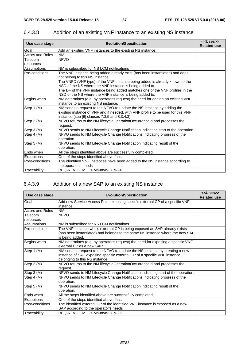| Use case stage          | <b>Evolution/Specification</b>                                                                                                                                                                              | < <uses>&gt;<br/><b>Related use</b></uses> |
|-------------------------|-------------------------------------------------------------------------------------------------------------------------------------------------------------------------------------------------------------|--------------------------------------------|
| Goal                    | Add an existing VNF instances to the existing NS instance.                                                                                                                                                  |                                            |
| <b>Actors and Roles</b> | <b>NM</b>                                                                                                                                                                                                   |                                            |
| Telecom                 | <b>NFVO</b>                                                                                                                                                                                                 |                                            |
| resources               |                                                                                                                                                                                                             |                                            |
| Assumptions             | NM is subscribed for NS LCM notifications                                                                                                                                                                   |                                            |
| Pre-conditions          | The VNF instance being added already exist (has been instantiated) and does<br>not belong to this NS instance.<br>The VNFD (VNF type) of the VNF instance being added is already known to the               |                                            |
|                         | NSD of the NS where the VNF instance is being added to.<br>The DF of the VNF instance being added matches one of the VNF profiles in the<br>NSD of the NS where the VNF instance is being added to.         |                                            |
| Begins when             | NM determines (e.g. by operator's request) the need for adding an existing VNF<br>instance to an existing NS instance.                                                                                      |                                            |
| Step 1 (M)              | NM sends a request to the NFVO to update the NS instance by adding the<br>existing instance of VNF and if needed, with VNF profile to be used for this VNF<br>instance (see [6] clauses 7.3.5 and 8.3.4.3). |                                            |
| Step 2 (M)              | NFVO returns to the NM lifecycleOperationOccurrenceId and processes the<br>request.                                                                                                                         |                                            |
| Step 3 (M)              | NFVO sends to NM Lifecycle Change Notification indicating start of the operation.                                                                                                                           |                                            |
| Step $4 \, (M)$         | NFVO sends to NM Lifecycle Change Notifications indicating progress of the<br>operation.                                                                                                                    |                                            |
| Step 5 (M)              | NFVO sends to NM Lifecycle Change Notification indicating result of the<br>operation.                                                                                                                       |                                            |
| Ends when               | All the steps identified above are successfully completed.                                                                                                                                                  |                                            |
| Exceptions              | One of the steps identified above fails.                                                                                                                                                                    |                                            |
| Post-conditions         | The identified VNF instances have been added to the NS instance according to<br>the operator's needs                                                                                                        |                                            |
| Traceability            | REQ-NFV LCM Os-Ma-nfvo-FUN-24                                                                                                                                                                               |                                            |

# 6.4.3.8 Addition of an existing VNF instance to an existing NS instance

# 6.4.3.9 Addition of a new SAP to an existing NS instance

| Use case stage          | <b>Evolution/Specification</b>                                                    | < <uses>&gt;<br/><b>Related use</b></uses> |
|-------------------------|-----------------------------------------------------------------------------------|--------------------------------------------|
| Goal                    | Add new Service Access Point exposing specific external CP of a specific VNF      |                                            |
|                         | instance.                                                                         |                                            |
| <b>Actors and Roles</b> | <b>NM</b>                                                                         |                                            |
| Telecom                 | <b>NFVO</b>                                                                       |                                            |
| resources               |                                                                                   |                                            |
| Assumptions             | NM is subscribed for NS LCM notifications                                         |                                            |
| Pre-conditions          | The VNF instance who's external CP is being exposed as SAP already exists         |                                            |
|                         | (has been instantiated) and belongs to the same NS instance where the new SAP     |                                            |
|                         | is being added.                                                                   |                                            |
| Begins when             | NM determines (e.g. by operator's request) the need for exposing a specific VNF   |                                            |
|                         | external CP as a new SAP.                                                         |                                            |
| Step 1 (M)              | NM sends a request to the NFVO to update the NS instance by creating a new        |                                            |
|                         | instance of SAP exposing specific external CP of a specific VNF instance          |                                            |
|                         | belonging to this NS instance.                                                    |                                            |
| Step 2 (M)              | NFVO returns to the NM lifecycleOperationOccurrenceId and processes the           |                                            |
|                         | request.                                                                          |                                            |
| Step 3 (M)              | NFVO sends to NM Lifecycle Change Notification indicating start of the operation. |                                            |
| Step 4 (M)              | NFVO sends to NM Lifecycle Change Notifications indicating progress of the        |                                            |
|                         | operation.                                                                        |                                            |
| Step 5 (M)              | NFVO sends to NM Lifecycle Change Notification indicating result of the           |                                            |
|                         | operation.                                                                        |                                            |
| Ends when               | All the steps identified above are successfully completed.                        |                                            |
| Exceptions              | One of the steps identified above fails.                                          |                                            |
| Post-conditions         | The identified external CP of the identified VNF instance is exposed as a new     |                                            |
|                         | SAP according to the operator's needs                                             |                                            |
| Traceability            | REQ-NFV_LCM_Os-Ma-nfvo-FUN-25                                                     |                                            |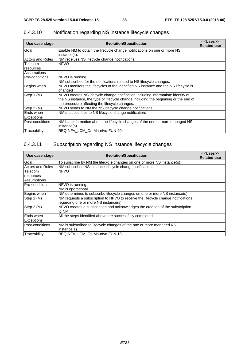| Use case stage              | <b>Evolution/Specification</b>                                                                                                                                                                                            | < <uses>&gt;<br/><b>Related use</b></uses> |
|-----------------------------|---------------------------------------------------------------------------------------------------------------------------------------------------------------------------------------------------------------------------|--------------------------------------------|
| Goal                        | Enable NM to obtain the lifecycle change notifications on one or more NS<br>instance(s).                                                                                                                                  |                                            |
| <b>Actors and Roles</b>     | NM receives NS lifecycle change notifications.                                                                                                                                                                            |                                            |
| <b>Telecom</b><br>resources | <b>NFVO</b>                                                                                                                                                                                                               |                                            |
| Assumptions                 |                                                                                                                                                                                                                           |                                            |
| Pre-conditions              | NFVO is running.<br>NM subscribed for the notifications related to NS lifecycle changes.                                                                                                                                  |                                            |
| Begins when                 | NFVO monitors the lifecycles of the identified NS instance and the NS lifecycle is<br>changed                                                                                                                             |                                            |
| Step 1 (M)                  | NFVO creates NS lifecycle change notification including information: identity of<br>the NS instance, the type of lifecycle change including the beginning or the end of<br>the procedure affecting the lifecycle changes. |                                            |
| Step 2 (M)                  | NFVO sends to NM the NS lifecycle change notifications.                                                                                                                                                                   |                                            |
| Ends when                   | NM unsubscribes to NS lifecycle change notification.                                                                                                                                                                      |                                            |
| Exceptions                  |                                                                                                                                                                                                                           |                                            |
| Post-conditions             | NM has information about the lifecycle changes of the one or more managed NS<br>instance(s).                                                                                                                              |                                            |
| Traceability                | REQ-NFV LCM Os-Ma-nfvo-FUN-20                                                                                                                                                                                             |                                            |

# 6.4.3.10 Notification regarding NS instance lifecycle changes

#### 6.4.3.11 Subscription regarding NS instance lifecycle changes

| Use case stage          | <b>Evolution/Specification</b>                                                   | < <uses>&gt;<br/><b>Related use</b></uses> |
|-------------------------|----------------------------------------------------------------------------------|--------------------------------------------|
| Goal                    | To subscribe by NM the lifecycle changes on one or more NS instance(s).          |                                            |
| <b>Actors and Roles</b> | NM subscribes NS instance lifecycle change notifications.                        |                                            |
| Telecom                 | <b>NFVO</b>                                                                      |                                            |
| resources               |                                                                                  |                                            |
| Assumptions             |                                                                                  |                                            |
| <b>Pre-conditions</b>   | NFVO is running.                                                                 |                                            |
|                         | NM is operational                                                                |                                            |
| Begins when             | NM determines to subscribe lifecycle changes on one or more NS instance(s).      |                                            |
| Step 1 (M)              | NM requests a subscription to NFVO to receive the lifecycle change notifications |                                            |
|                         | regarding one or more NS instance(s).                                            |                                            |
| Step 2 (M)              | NFVO creates a subscription and acknowledges the creation of the subscription    |                                            |
|                         | to NM.                                                                           |                                            |
| Ends when               | All the steps identified above are successfully completed.                       |                                            |
| <b>Exceptions</b>       |                                                                                  |                                            |
| Post-conditions         | NM is subscribed to lifecycle changes of the one or more managed NS              |                                            |
|                         | instance(s).                                                                     |                                            |
| Traceability            | REQ-NFV LCM Os-Ma-nfvo-FUN-19                                                    |                                            |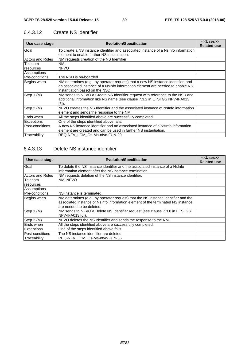| Use case stage          | <b>Evolution/Specification</b>                                                                                                                                                                        | < <uses>&gt;<br/><b>Related use</b></uses> |
|-------------------------|-------------------------------------------------------------------------------------------------------------------------------------------------------------------------------------------------------|--------------------------------------------|
| Goal                    | To create a NS instance identifier and associated instance of a NsInfo information<br>element to enable further NS instantiation.                                                                     |                                            |
| <b>Actors and Roles</b> | NM requests creation of the NS Identifier                                                                                                                                                             |                                            |
| Telecom<br>resources    | NM.<br><b>NFVO</b>                                                                                                                                                                                    |                                            |
| Assumptions             |                                                                                                                                                                                                       |                                            |
| Pre-conditions          | The NSD is on-boarded.                                                                                                                                                                                |                                            |
| Begins when             | NM determines (e.g., by operator request) that a new NS instance identifier, and<br>an associated instance of a NsInfo information element are needed to enable NS<br>instantiation based on the NSD. |                                            |
| Step 1 (M)              | NM sends to NFVO a Create NS Identifier request with reference to the NSD and<br>additional information like NS name (see clause 7.3.2 in ETSI GS NFV-IFA013<br>[6]).                                 |                                            |
| Step 2 (M)              | NFVO creates the NS Identifier and the associated instance of NsInfo information<br>element and sends the response to the NM                                                                          |                                            |
| Ends when               | All the steps identified above are successfully completed.                                                                                                                                            |                                            |
| Exceptions              | One of the steps identified above fails.                                                                                                                                                              |                                            |
| Post-conditions         | A new NS instance identifier and an associated instance of a NsInfo information<br>lelement are created and can be used in further NS instantiation.                                                  |                                            |
| Traceability            | REQ-NFV LCM Os-Ma-nfvo-FUN-29                                                                                                                                                                         |                                            |

#### 6.4.3.12 Create NS Identifier

#### 6.4.3.13 Delete NS instance identifier

| Use case stage          | <b>Evolution/Specification</b>                                                                                                                                                                    | < <uses>&gt;<br/><b>Related use</b></uses> |
|-------------------------|---------------------------------------------------------------------------------------------------------------------------------------------------------------------------------------------------|--------------------------------------------|
| Goal                    | To delete the NS instance identifier and the associated instance of a NsInfo<br>information element after the NS instance termination.                                                            |                                            |
| <b>Actors and Roles</b> | NM requests deletion of the NS instance identifier.                                                                                                                                               |                                            |
| <b>Telecom</b>          | NM. NFVO                                                                                                                                                                                          |                                            |
| resources               |                                                                                                                                                                                                   |                                            |
| Assumptions             |                                                                                                                                                                                                   |                                            |
| lPre-conditions         | NS instance is terminated.                                                                                                                                                                        |                                            |
| Begins when             | NM determines (e.g., by operator request) that the NS instance identifier and the<br>associated instance of NsInfo information element of the terminated NS instance<br>are needed to be deleted. |                                            |
| Step 1 (M)              | NM sends to NFVO a Delete NS Identifier request (see clause 7.3.8 in ETSI GS<br>NFV-IFA013 [6]).                                                                                                  |                                            |
| Step 2 (M)              | NFVO deletes the NS Identifier and sends the response to the NM.                                                                                                                                  |                                            |
| <b>Ends</b> when        | All the steps identified above are successfully completed.                                                                                                                                        |                                            |
| <b>Exceptions</b>       | One of the steps identified above fails.                                                                                                                                                          |                                            |
| Post-conditions         | The NS instance identifier are deleted.                                                                                                                                                           |                                            |
| <b>Traceability</b>     | REQ-NFV LCM Os-Ma-nfvo-FUN-35                                                                                                                                                                     |                                            |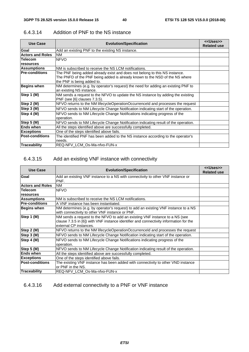| <b>Use Case</b>         | <b>Evolution/Specification</b>                                                                                                                                                          | < <uses>&gt;<br/><b>Related use</b></uses> |
|-------------------------|-----------------------------------------------------------------------------------------------------------------------------------------------------------------------------------------|--------------------------------------------|
| Goal                    | Add an existing PNF to the existing NS instance.                                                                                                                                        |                                            |
| <b>Actors and Roles</b> | <b>NM</b>                                                                                                                                                                               |                                            |
| <b>Telecom</b>          | <b>NFVO</b>                                                                                                                                                                             |                                            |
| <b>resources</b>        |                                                                                                                                                                                         |                                            |
| <b>Assumptions</b>      | NM is subscribed to receive the NS LCM notifications.                                                                                                                                   |                                            |
| <b>Pre-conditions</b>   | The PNF being added already exist and does not belong to this NS instance.<br>The PNFD of the PNF being added is already known to the NSD of the NS where<br>the PNF is being added to. |                                            |
| <b>Begins when</b>      | NM determines (e.g. by operator's request) the need for adding an existing PNF to<br>an existing NS instance.                                                                           |                                            |
| Step 1 (M)              | NM sends a request to the NFVO to update the NS instance by adding the existing<br>PNF (see [6] clauses 7.3.5).                                                                         |                                            |
| Step 2 (M)              | NFVO returns to the NM lifecycleOperationOccurrenceId and processes the request                                                                                                         |                                            |
| Step 3 (M)              | NFVO sends to NM Lifecycle Change Notification indicating start of the operation.                                                                                                       |                                            |
| Step 4 (M)              | NFVO sends to NM Lifecycle Change Notifications indicating progress of the<br>operation.                                                                                                |                                            |
| Step 5 (M)              | NFVO sends to NM Lifecycle Change Notification indicating result of the operation.                                                                                                      |                                            |
| <b>Ends when</b>        | All the steps identified above are successfully completed.                                                                                                                              |                                            |
| <b>Exceptions</b>       | One of the steps identified above fails.                                                                                                                                                |                                            |
| <b>Post-conditions</b>  | The identified PNF has been added to the NS instance according to the operator's<br>needs.                                                                                              |                                            |
| Traceability            | REQ-NFV LCM Os-Ma-nfvo-FUN-x                                                                                                                                                            |                                            |

#### 6.4.3.14 Addition of PNF to the NS instance

# 6.4.3.15 Add an existing VNF instance with connectivity

| Use Case                | <b>Evolution/Specification</b>                                                                                                                                                                  | < <uses>&gt;<br/><b>Related use</b></uses> |
|-------------------------|-------------------------------------------------------------------------------------------------------------------------------------------------------------------------------------------------|--------------------------------------------|
| Goal                    | Add an existing VNF instance to a NS with connectivity to other VNF instance or<br>PNF.                                                                                                         |                                            |
| <b>Actors and Roles</b> | <b>NM</b>                                                                                                                                                                                       |                                            |
| <b>Telecom</b>          | <b>NFVO</b>                                                                                                                                                                                     |                                            |
| resources               |                                                                                                                                                                                                 |                                            |
| <b>Assumptions</b>      | NM is subscribed to receive the NS LCM notifications.                                                                                                                                           |                                            |
| <b>Pre-conditions</b>   | IA VNF instance has been instantiated.                                                                                                                                                          |                                            |
| <b>Begins when</b>      | NM determines (e.g. by operator's request) to add an existing VNF instance to a NS<br>with connectivity to other VNF instance or PNF.                                                           |                                            |
| Step 1 (M)              | NM sends a request to the NFVO to add an existing VNF instance to a NS (see<br>clause 7.3.5 in [6]) with VNF instance identifier and connectivity information for the<br>external CP instances. |                                            |
| Step 2 (M)              | NFVO returns to the NM lifecycleOperationOccurrenceId and processes the request                                                                                                                 |                                            |
| Step 3 (M)              | NFVO sends to NM Lifecycle Change Notification indicating start of the operation.                                                                                                               |                                            |
| Step 4 (M)              | NFVO sends to NM Lifecycle Change Notifications indicating progress of the<br>operation.                                                                                                        |                                            |
| Step 5 (M)              | NFVO sends to NM Lifecycle Change Notification indicating result of the operation.                                                                                                              |                                            |
| <b>Ends when</b>        | All the steps identified above are successfully completed.                                                                                                                                      |                                            |
| <b>Exceptions</b>       | One of the steps identified above fails.                                                                                                                                                        |                                            |
| <b>Post-conditions</b>  | The existing VNF instance has been added with connectivity to other VND instance<br>lor PNF in the NS.                                                                                          |                                            |
| <b>Traceability</b>     | REQ-NFV LCM Os-Ma-nfvo-FUN-x                                                                                                                                                                    |                                            |

#### 6.4.3.16 Add external connectivity to a PNF or VNF instance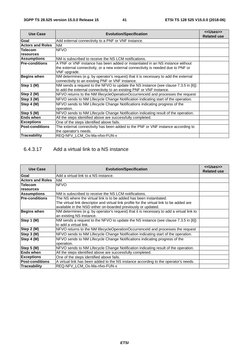| <b>Use Case</b>         | <b>Evolution/Specification</b>                                                                                                                             | < <uses>&gt;<br/><b>Related use</b></uses> |
|-------------------------|------------------------------------------------------------------------------------------------------------------------------------------------------------|--------------------------------------------|
| Goal                    | Add external connectivity to a PNF or VNF instance.                                                                                                        |                                            |
| <b>Actors and Roles</b> | NM                                                                                                                                                         |                                            |
| <b>Telecom</b>          | <b>NFVO</b>                                                                                                                                                |                                            |
| resources               |                                                                                                                                                            |                                            |
| <b>Assumptions</b>      | NM is subscribed to receive the NS LCM notifications.                                                                                                      |                                            |
| <b>Pre-conditions</b>   | A PNF or VNF instance has been added or instantiated in an NS instance without                                                                             |                                            |
|                         | the external connectivity, or a new external connectivity is needed due to PNF or<br>VNF upgrade.                                                          |                                            |
| Begins when             | NM determines (e.g. by operator's request) that it is necessary to add the external<br>connectivity to an existing PNF or VNF instance.                    |                                            |
| Step 1 (M)              | NM sends a request to the NFVO to update the NS instance (see clause 7.3.5 in [6])<br>to add the external connectivity to an existing PNF or VNF instance. |                                            |
| Step 2 (M)              | NFVO returns to the NM lifecycleOperationOccurrenceld and processes the request                                                                            |                                            |
| Step 3 (M)              | NFVO sends to NM Lifecycle Change Notification indicating start of the operation.                                                                          |                                            |
| Step 4 (M)              | NFVO sends to NM Lifecycle Change Notifications indicating progress of the<br>operation.                                                                   |                                            |
| Step 5 (M)              | NFVO sends to NM Lifecycle Change Notification indicating result of the operation.                                                                         |                                            |
| <b>Ends when</b>        | All the steps identified above are successfully completed.                                                                                                 |                                            |
| <b>Exceptions</b>       | One of the steps identified above fails.                                                                                                                   |                                            |
| <b>Post-conditions</b>  | The external connectivity has been added to the PNF or VNF instance according to                                                                           |                                            |
|                         | the operator's needs.                                                                                                                                      |                                            |
| Traceability            | REQ-NFV LCM Os-Ma-nfvo-FUN-x                                                                                                                               |                                            |

#### 6.4.3.17 Add a virtual link to a NS instance

| <b>Use Case</b>                | <b>Evolution/Specification</b>                                                                                                                                                                                                    | < <uses>&gt;<br/><b>Related use</b></uses> |
|--------------------------------|-----------------------------------------------------------------------------------------------------------------------------------------------------------------------------------------------------------------------------------|--------------------------------------------|
| Goal                           | Add a virtual link to a NS instance.                                                                                                                                                                                              |                                            |
| <b>Actors and Roles</b>        | <b>NM</b>                                                                                                                                                                                                                         |                                            |
| <b>Telecom</b>                 | <b>NFVO</b>                                                                                                                                                                                                                       |                                            |
| resources                      |                                                                                                                                                                                                                                   |                                            |
| <b>Assumptions</b>             | NM is subscribed to receive the NS LCM notifications.                                                                                                                                                                             |                                            |
| <b>Pre-conditions</b>          | The NS where the virtual link is to be added has been instantiated.<br>The virtual link descriptor and virtual link profile for the virtual link to be added are<br>available in the NSD either on-boarded previously or updated. |                                            |
| <b>Begins when</b>             | NM determines (e.g. by operator's request) that it is necessary to add a virtual link to<br>an existing NS instance.                                                                                                              |                                            |
| Step 1 (M)                     | NM sends a request to the NFVO to update the NS instance (see clause 7.3.5 in [6])<br>lto add a virtual link.                                                                                                                     |                                            |
| Step 2 (M)                     | NFVO returns to the NM lifecycleOperationOccurrenceld and processes the request                                                                                                                                                   |                                            |
| Step 3 (M)                     | NFVO sends to NM Lifecycle Change Notification indicating start of the operation.                                                                                                                                                 |                                            |
| Step 4 (M)                     | NFVO sends to NM Lifecycle Change Notifications indicating progress of the<br>operation.                                                                                                                                          |                                            |
| $\overline{\text{Step 5 (M)}}$ | NFVO sends to NM Lifecycle Change Notification indicating result of the operation.                                                                                                                                                |                                            |
| <b>Ends when</b>               | All the steps identified above are successfully completed.                                                                                                                                                                        |                                            |
| <b>Exceptions</b>              | One of the steps identified above fails.                                                                                                                                                                                          |                                            |
| <b>Post-conditions</b>         | A virtual link has been added to the NS instance according to the operator's needs.                                                                                                                                               |                                            |
| Traceability                   | REQ-NFV LCM Os-Ma-nfvo-FUN-x                                                                                                                                                                                                      |                                            |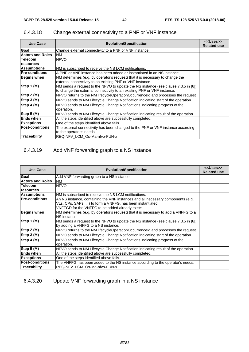| <b>Use Case</b>         | <b>Evolution/Specification</b>                                                     | < <uses>&gt;<br/><b>Related use</b></uses> |
|-------------------------|------------------------------------------------------------------------------------|--------------------------------------------|
| Goal                    | Change external connectivity to a PNF or VNF instance.                             |                                            |
| <b>Actors and Roles</b> | <b>NM</b>                                                                          |                                            |
| <b>Telecom</b>          | <b>NFVO</b>                                                                        |                                            |
| resources               |                                                                                    |                                            |
| <b>Assumptions</b>      | NM is subscribed to receive the NS LCM notifications.                              |                                            |
| <b>Pre-conditions</b>   | A PNF or VNF instance has been added or instantiated in an NS instance.            |                                            |
| <b>Begins when</b>      | NM determines (e.g. by operator's request) that it is necessary to change the      |                                            |
|                         | external connectivity to an existing PNF or VNF instance.                          |                                            |
| Step 1 (M)              | NM sends a request to the NFVO to update the NS instance (see clause 7.3.5 in [6]) |                                            |
|                         | to change the external connectivity to an existing PNF or VNF instance.            |                                            |
| Step 2 (M)              | NFVO returns to the NM lifecycleOperationOccurrenceld and processes the request    |                                            |
| Step 3 (M)              | NFVO sends to NM Lifecycle Change Notification indicating start of the operation.  |                                            |
| Step 4 (M)              | NFVO sends to NM Lifecycle Change Notifications indicating progress of the         |                                            |
|                         | operation.                                                                         |                                            |
| Step 5 (M)              | NFVO sends to NM Lifecycle Change Notification indicating result of the operation. |                                            |
| <b>Ends when</b>        | All the steps identified above are successfully completed.                         |                                            |
| <b>Exceptions</b>       | One of the steps identified above fails.                                           |                                            |
| <b>Post-conditions</b>  | The external connectivity has been changed to the PNF or VNF instance according    |                                            |
|                         | to the operator's needs.                                                           |                                            |
| <b>Traceability</b>     | REQ-NFV LCM Os-Ma-nfvo-FUN-x                                                       |                                            |

# 6.4.3.18 Change external connectivity to a PNF or VNF instance

# 6.4.3.19 Add VNF forwarding graph to a NS instance

| <b>Use Case</b>         | <b>Evolution/Specification</b>                                                      | < <uses>&gt;<br/><b>Related use</b></uses> |
|-------------------------|-------------------------------------------------------------------------------------|--------------------------------------------|
| Goal                    | Add VNF forwarding graph to a NS instance.                                          |                                            |
| <b>Actors and Roles</b> | <b>NM</b>                                                                           |                                            |
| <b>Telecom</b>          | <b>NFVO</b>                                                                         |                                            |
| <b>resources</b>        |                                                                                     |                                            |
| <b>Assumptions</b>      | NM is subscribed to receive the NS LCM notifications.                               |                                            |
| <b>Pre-conditions</b>   | An NS instance, containing the VNF instances and all necessary components (e.g.     |                                            |
|                         | VLs, CPs, SAPs, ) to form a VNFFG, has been instantiated,                           |                                            |
|                         | VNFFGD for the VNFFG to be added already exists.                                    |                                            |
| <b>Begins when</b>      | NM determines (e.g. by operator's request) that it is necessary to add a VNFFG to a |                                            |
|                         | NS instance.                                                                        |                                            |
| Step 1 (M)              | NM sends a request to the NFVO to update the NS instance (see clause 7.3.5 in [6])  |                                            |
|                         | by adding a VNFFG to a NS instance.                                                 |                                            |
| Step 2 (M)              | NFVO returns to the NM lifecycleOperationOccurrenceId and processes the request     |                                            |
| Step 3 (M)              | NFVO sends to NM Lifecycle Change Notification indicating start of the operation.   |                                            |
| Step 4 (M)              | NFVO sends to NM Lifecycle Change Notifications indicating progress of the          |                                            |
|                         | operation.                                                                          |                                            |
| Step 5 (M)              | NFVO sends to NM Lifecycle Change Notification indicating result of the operation.  |                                            |
| <b>Ends when</b>        | All the steps identified above are successfully completed.                          |                                            |
| <b>Exceptions</b>       | One of the steps identified above fails.                                            |                                            |
| <b>Post-conditions</b>  | The VNFFG has been added to the NS instance according to the operator's needs.      |                                            |
| Traceability            | REQ-NFV LCM Os-Ma-nfvo-FUN-x                                                        |                                            |

#### 6.4.3.20 Update VNF forwarding graph in a NS instance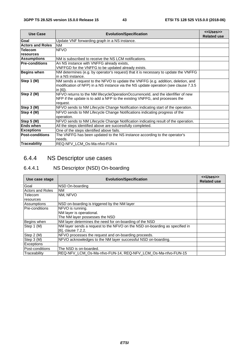| <b>Use Case</b>         | <b>Evolution/Specification</b>                                                                                                                                                      | < <uses>&gt;<br/><b>Related use</b></uses> |
|-------------------------|-------------------------------------------------------------------------------------------------------------------------------------------------------------------------------------|--------------------------------------------|
| Goal                    | Update VNF forwarding graph in a NS instance.                                                                                                                                       |                                            |
| <b>Actors and Roles</b> | <b>NM</b>                                                                                                                                                                           |                                            |
| <b>Telecom</b>          | <b>NFVO</b>                                                                                                                                                                         |                                            |
| resources               |                                                                                                                                                                                     |                                            |
| <b>Assumptions</b>      | NM is subscribed to receive the NS LCM notifications.                                                                                                                               |                                            |
| <b>Pre-conditions</b>   | An NS instance with VNFFG already exists,<br>VNFFGD for the VNFFG to be updated already exists.                                                                                     |                                            |
| <b>Begins when</b>      | NM determines (e.g. by operator's request) that it is necessary to update the VNFFG<br>in a NS instance.                                                                            |                                            |
| Step 1 (M)              | NM sends a request to the NFVO to update the VNFFG (e.g. addition, deletion, and<br>modification of NFP) in a NS instance via the NS update operation (see clause 7.3.5<br>in [6]). |                                            |
| Step 2 (M)              | NFVO returns to the NM lifecycleOperationOccurrenceId, and the idenfifier of new<br>NFP if the update is to add a NFP to the existing VNFFG, and processes the<br>request.          |                                            |
| Step 3 (M)              | NFVO sends to NM Lifecycle Change Notification indicating start of the operation.                                                                                                   |                                            |
| Step 4 (M)              | NFVO sends to NM Lifecycle Change Notifications indicating progress of the<br>operation.                                                                                            |                                            |
| Step 5 (M)              | NFVO sends to NM Lifecycle Change Notification indicating result of the operation.                                                                                                  |                                            |
| <b>Ends when</b>        | All the steps identified above are successfully completed.                                                                                                                          |                                            |
| <b>Exceptions</b>       | One of the steps identified above fails.                                                                                                                                            |                                            |
| <b>Post-conditions</b>  | The VNFFG has been updated to the NS instance according to the operator's<br>needs.                                                                                                 |                                            |
| Traceability            | REQ-NFV LCM Os-Ma-nfvo-FUN-x                                                                                                                                                        |                                            |

# 6.4.4 NS Descriptor use cases

# 6.4.4.1 NS Descriptor (NSD) On-boarding

| Use case stage          | <b>Evolution/Specification</b>                                              | < <uses>&gt;<br/><b>Related use</b></uses> |
|-------------------------|-----------------------------------------------------------------------------|--------------------------------------------|
| Goal                    | NSD On-boarding                                                             |                                            |
| <b>Actors and Roles</b> | NM                                                                          |                                            |
| Telecom                 | NM. NFVO                                                                    |                                            |
| resources               |                                                                             |                                            |
| Assumptions             | NSD on-boarding is triggered by the NM layer                                |                                            |
| <b>Pre-conditions</b>   | NFVO is running.                                                            |                                            |
|                         | NM layer is operational.                                                    |                                            |
|                         | The NM layer possesses the NSD                                              |                                            |
| Begins when             | NM layer determines the need for on-boarding of the NSD                     |                                            |
| Step 1 (M)              | NM layer sends a request to the NFVO on the NSD on-boarding as specified in |                                            |
|                         | [6], clause 7.2.2.                                                          |                                            |
| Step 2 (M)              | NFVO processes the request and on-boarding proceeds.                        |                                            |
| Step 3 (M)              | NFVO acknowledges to the NM layer successful NSD on-boarding.               |                                            |
| <b>Exceptions</b>       |                                                                             |                                            |
| Post-conditions         | The NSD is on-boarded.                                                      |                                            |
| Traceability            | REQ-NFV LCM Os-Ma-nfvo-FUN-14, REQ-NFV LCM Os-Ma-nfvo-FUN-15                |                                            |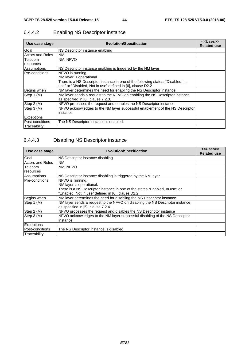| Use case stage          | <b>Evolution/Specification</b>                                                  | < <uses>&gt;<br/><b>Related use</b></uses> |
|-------------------------|---------------------------------------------------------------------------------|--------------------------------------------|
| Goal                    | NS Descriptor instance enabling                                                 |                                            |
| <b>Actors and Roles</b> | <b>NM</b>                                                                       |                                            |
| Telecom                 | NM, NFVO                                                                        |                                            |
| resources               |                                                                                 |                                            |
| Assumptions             | NS Descriptor instance enabling is triggered by the NM layer                    |                                            |
| lPre-conditions         | NFVO is running.                                                                |                                            |
|                         | NM layer is operational.                                                        |                                            |
|                         | There is a NS Descriptor instance in one of the following states: "Disabled, In |                                            |
|                         | use" or "Disabled, Not in use" defined in [6], clause D2.2                      |                                            |
| Begins when             | NM layer determines the need for enabling the NS Descriptor instance            |                                            |
| Step 1 (M)              | NM layer sends a request to the NFVO on enabling the NS Descriptor instance     |                                            |
|                         | as specified in [6], clause 7.2.3.                                              |                                            |
| Step 2 (M)              | NFVO processes the request and enables the NS Descriptor instance               |                                            |
| Step 3 (M)              | NFVO acknowledges to the NM layer successful enablement of the NS Descriptor    |                                            |
|                         | instance.                                                                       |                                            |
| <b>Exceptions</b>       |                                                                                 |                                            |
| Post-conditions         | The NS Descriptor instance is enabled.                                          |                                            |
| Traceability            |                                                                                 |                                            |

# 6.4.4.2 Enabling NS Descriptor instance

#### 6.4.4.3 Disabling NS Descriptor instance

| Use case stage          | <b>Evolution/Specification</b>                                               | < <uses>&gt;<br/><b>Related use</b></uses> |
|-------------------------|------------------------------------------------------------------------------|--------------------------------------------|
| Goal                    | NS Descriptor instance disabling                                             |                                            |
| <b>Actors and Roles</b> | <b>NM</b>                                                                    |                                            |
| Telecom                 | NM, NFVO                                                                     |                                            |
| resources               |                                                                              |                                            |
| Assumptions             | NS Descriptor instance disabling is triggered by the NM layer                |                                            |
| Pre-conditions          | NFVO is running.                                                             |                                            |
|                         | NM layer is operational.                                                     |                                            |
|                         | There is a NS Descriptor instance in one of the states "Enabled, In use" or  |                                            |
|                         | "Enabled, Not in use" defined in [6], clause D2.2                            |                                            |
| Begins when             | NM layer determines the need for disabling the NS Descriptor instance        |                                            |
| Step 1 (M)              | NM layer sends a request to the NFVO on disabling the NS Descriptor instance |                                            |
|                         | as specified in [6], clause 7.2.4.                                           |                                            |
| Step 2 (M)              | NFVO processes the request and disables the NS Descriptor instance           |                                            |
| Step 3 (M)              | NFVO acknowledges to the NM layer successful disabling of the NS Descriptor  |                                            |
|                         | instance                                                                     |                                            |
| <b>Exceptions</b>       |                                                                              |                                            |
| Post-conditions         | The NS Descriptor instance is disabled                                       |                                            |
| Traceability            |                                                                              |                                            |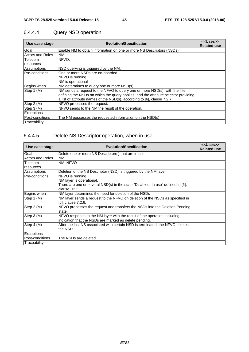| Use case stage          | <b>Evolution/Specification</b>                                                     | < <uses>&gt;<br/><b>Related use</b></uses> |
|-------------------------|------------------------------------------------------------------------------------|--------------------------------------------|
| Goal                    | Enable NM to obtain information on one or more NS Descriptors (NSDs)               |                                            |
| <b>Actors and Roles</b> | NM.                                                                                |                                            |
| Telecom                 | NFVO.                                                                              |                                            |
| resources               |                                                                                    |                                            |
| Assumptions             | INSD querying is triggered by the NM.                                              |                                            |
| Pre-conditions          | One or more NSDs are on-boarded.                                                   |                                            |
|                         | NFVO is running.                                                                   |                                            |
|                         | NM is operational                                                                  |                                            |
| Begins when             | NM determines to query one or more NSD(s).                                         |                                            |
| Step 1 (M)              | NM sends a request to the NFVO to query one or more NSD(s), with the filter        |                                            |
|                         | defining the NSDs on which the query applies, and the attribute selector providing |                                            |
|                         | a list of attribute names of the NSD(s), according to [6], clause 7.2.7            |                                            |
| Step 2 (M)              | NFVO processes the request.                                                        |                                            |
| Step 3 (M)              | NFVO sends to the NM the result of the operation.                                  |                                            |
| Exceptions              |                                                                                    |                                            |
| Post-conditions         | The NM possesses the requested information on the NSD(s)                           |                                            |
| Traceability            |                                                                                    |                                            |

# 6.4.4.4 Query NSD operation

# 6.4.4.5 Delete NS Descriptor operation, when in use

| Use case stage          | <b>Evolution/Specification</b>                                                  | < <uses>&gt;<br/><b>Related use</b></uses> |
|-------------------------|---------------------------------------------------------------------------------|--------------------------------------------|
| Goal                    | Delete one or more NS Descriptor(s) that are in use.                            |                                            |
| <b>Actors and Roles</b> | <b>NM</b>                                                                       |                                            |
| Telecom                 | NM, NFVO                                                                        |                                            |
| resources               |                                                                                 |                                            |
| Assumptions             | Deletion of the NS Descriptor (NSD) is triggered by the NM layer                |                                            |
| Pre-conditions          | NFVO is running.                                                                |                                            |
|                         | NM layer is operational.                                                        |                                            |
|                         | There are one or several NSD(s) in the state "Disabled, In use" defined in [6], |                                            |
|                         | clause D <sub>2.2</sub>                                                         |                                            |
| Begins when             | NM layer determines the need for deletion of the NSDs                           |                                            |
| Step 1 (M)              | NM layer sends a request to the NFVO on deletion of the NSDs as specified in    |                                            |
|                         | [6], clause 7.2.6.                                                              |                                            |
| Step 2 (M)              | NFVO processes the request and transfers the NSDs into the Deletion Pending     |                                            |
|                         | state.                                                                          |                                            |
| Step 3 (M)              | NFVO responds to the NM layer with the result of the operation including        |                                            |
|                         | indication that the NSDs are marked as delete pending.                          |                                            |
| Step 4 (M)              | After the last NS associated with certain NSD is terminated, the NFVO deletes   |                                            |
|                         | lthe NSD.                                                                       |                                            |
| Exceptions              |                                                                                 |                                            |
| Post-conditions         | The NSDs are deleted                                                            |                                            |
| Traceability            |                                                                                 |                                            |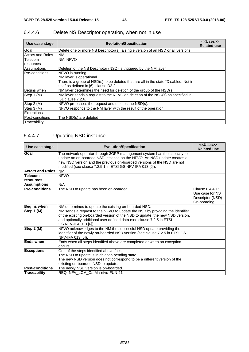| Use case stage          | <b>Evolution/Specification</b>                                                       | < <uses>&gt;<br/><b>Related use</b></uses> |
|-------------------------|--------------------------------------------------------------------------------------|--------------------------------------------|
| Goal                    | Delete one or more NS Descriptor(s), a single version of an NSD or all versions.     |                                            |
| <b>Actors and Roles</b> | NM.                                                                                  |                                            |
| <b>Telecom</b>          | NM, NFVO                                                                             |                                            |
| resources               |                                                                                      |                                            |
| Assumptions             | Deletion of the NS Descriptor (NSD) is triggered by the NM layer                     |                                            |
| <b>Pre-conditions</b>   | NFVO is running.                                                                     |                                            |
|                         | NM layer is operational.                                                             |                                            |
|                         | There is a group of NSD(s) to be deleted that are all in the state "Disabled, Not in |                                            |
|                         | use" as defined in [6], clause D2.2                                                  |                                            |
| Begins when             | NM layer determines the need for deletion of the group of the NSD(s).                |                                            |
| Step 1 (M)              | NM layer sends a request to the NFVO on deletion of the NSD(s) as specified in       |                                            |
|                         | [6], clause 7.2.6.                                                                   |                                            |
| Step 2 (M)              | NFVO processes the request and deletes the NSD(s).                                   |                                            |
| Step 3 (M)              | NFVO responds to the NM layer with the result of the operation.                      |                                            |
| Exceptions              |                                                                                      |                                            |
| Post-conditions         | The NSD(s) are deleted                                                               |                                            |
| Traceability            |                                                                                      |                                            |

# 6.4.4.6 Delete NS Descriptor operation, when not in use

# 6.4.4.7 Updating NSD instance

| Use case stage              | <b>Evolution/Specification</b>                                                                                                                                                                                                                                                            | < <uses>&gt;<br/><b>Related use</b></uses>                            |
|-----------------------------|-------------------------------------------------------------------------------------------------------------------------------------------------------------------------------------------------------------------------------------------------------------------------------------------|-----------------------------------------------------------------------|
| Goal                        | The network operator through 3GPP management system has the capacity to<br>update an on-boarded NSD instance on the NFVO. An NSD update creates a<br>new NSD version and the previous on-boarded versions of the NSD are not<br>modified (see clause 7.2.5.1 in ETSI GS NFV-IFA 013 [6]). |                                                                       |
| <b>Actors and Roles</b>     | NM.                                                                                                                                                                                                                                                                                       |                                                                       |
| <b>Telecom</b><br>resources | <b>NFVO</b>                                                                                                                                                                                                                                                                               |                                                                       |
| <b>Assumptions</b>          | N/A                                                                                                                                                                                                                                                                                       |                                                                       |
| <b>Pre-conditions</b>       | The NSD to update has been on-boarded.                                                                                                                                                                                                                                                    | Clause 6.4.4.1:<br>Use case for NS<br>Descriptor (NSD)<br>On-boarding |
| <b>Begins when</b>          | NM determines to update the existing on-boarded NSD.                                                                                                                                                                                                                                      |                                                                       |
| Step 1 (M)                  | NM sends a request to the NFVO to update the NSD by providing the identifier<br>of the existing on-boarded version of the NSD to update, the new NSD version,<br>and optionally additional user defined data (see clause 7.2.5 in ETSI<br>GS NFV-IFA 013 [6]).                            |                                                                       |
| Step 2 (M)                  | NFVO acknowledges to the NM the successful NSD update providing the<br>identifier of the newly on-boarded NSD version (see clause 7.2.5 in ETSI GS<br>NFV-IFA 013 [6]).                                                                                                                   |                                                                       |
| <b>Ends when</b>            | Ends when all steps identified above are completed or when an exception<br>occurs.                                                                                                                                                                                                        |                                                                       |
| <b>Exceptions</b>           | One of the steps identified above fails.<br>The NSD to update is in deletion pending state.<br>The new NSD version does not correspond to be a different version of the<br>existing on-boarded NSD to update.                                                                             |                                                                       |
| <b>Post-conditions</b>      | The newly NSD version is on-boarded.                                                                                                                                                                                                                                                      |                                                                       |
| Traceability                | REQ- NFV LCM Os-Ma-nfvo-FUN-21                                                                                                                                                                                                                                                            |                                                                       |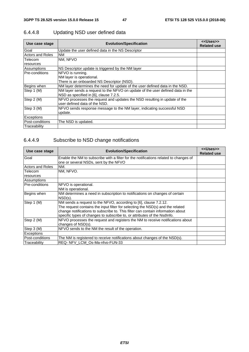| Use case stage          | <b>Evolution/Specification</b>                                                                                           | < <uses>&gt;<br/><b>Related use</b></uses> |
|-------------------------|--------------------------------------------------------------------------------------------------------------------------|--------------------------------------------|
| Goal                    | Update the user defined data in the NS Descriptor                                                                        |                                            |
| <b>Actors and Roles</b> | <b>NM</b>                                                                                                                |                                            |
| Telecom                 | NM, NFVO                                                                                                                 |                                            |
| resources               |                                                                                                                          |                                            |
| Assumptions             | NS Descriptor update is triggered by the NM layer                                                                        |                                            |
| lPre-conditions         | NFVO is running.                                                                                                         |                                            |
|                         | NM layer is operational.                                                                                                 |                                            |
|                         | There is an onboarded NS Descriptor (NSD).                                                                               |                                            |
| Begins when             | NM layer determines the need for update of the user defined data in the NSD.                                             |                                            |
| Step 1 (M)              | NM layer sends a request to the NFVO on update of the user defined data in the<br>NSD as specified in [6], clause 7.2.5. |                                            |
| Step 2 (M)              | NFVO processes the request and updates the NSD resulting in update of the<br>user defined data of the NSD.               |                                            |
| Step 3 (M)              | NFVO sends response message to the NM layer, indicating successful NSD                                                   |                                            |
|                         | update.                                                                                                                  |                                            |
| <b>Exceptions</b>       |                                                                                                                          |                                            |
| Post-conditions         | The NSD is updated.                                                                                                      |                                            |
| Traceability            |                                                                                                                          |                                            |

# 6.4.4.8 Updating NSD user defined data

# 6.4.4.9 Subscribe to NSD change notifications

| Use case stage          | <b>Evolution/Specification</b>                                                                                                                                                                                                                                                                                    | < <uses>&gt;<br/><b>Related use</b></uses> |
|-------------------------|-------------------------------------------------------------------------------------------------------------------------------------------------------------------------------------------------------------------------------------------------------------------------------------------------------------------|--------------------------------------------|
| Goal                    | Enable the NM to subscribe with a filter for the notifications related to changes of<br>one or several NSDs, sent by the NFVO                                                                                                                                                                                     |                                            |
| <b>Actors and Roles</b> | NM.                                                                                                                                                                                                                                                                                                               |                                            |
| Telecom                 | NM, NFVO.                                                                                                                                                                                                                                                                                                         |                                            |
| resources               |                                                                                                                                                                                                                                                                                                                   |                                            |
| Assumptions             |                                                                                                                                                                                                                                                                                                                   |                                            |
| <b>Pre-conditions</b>   | NFVO is operational.<br>NM is operational.                                                                                                                                                                                                                                                                        |                                            |
| Begins when             | NM determines a need in subscription to notifications on changes of certain<br>$NSD(s)$ .                                                                                                                                                                                                                         |                                            |
| Step 1 (M)              | NM sends a request to the NFVO, according to [6], clause 7.2.12.<br>The request contains the input filter for selecting the NSD(s) and the related<br>change notifications to subscribe to. This filter can contain information about<br>specific types of changes to subscribe to, or attributes of the NsdInfo. |                                            |
| Step 2 (M)              | NFVO processes the request and registers the NM to receive notifications about<br>changes of NSD(s).                                                                                                                                                                                                              |                                            |
| Step 3 (M)              | NFVO sends to the NM the result of the operation.                                                                                                                                                                                                                                                                 |                                            |
| <b>Exceptions</b>       |                                                                                                                                                                                                                                                                                                                   |                                            |
| Post-conditions         | The NM is registered to receive notifications about changes of the NSD(s).                                                                                                                                                                                                                                        |                                            |
| Traceability            | REQ- NFV LCM Os-Ma-nfvo-FUN-33                                                                                                                                                                                                                                                                                    |                                            |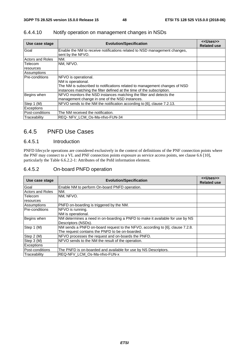| Use case stage          | <b>Evolution/Specification</b>                                                                 | < <uses>&gt;<br/><b>Related use</b></uses> |
|-------------------------|------------------------------------------------------------------------------------------------|--------------------------------------------|
| Goal                    | Enable the NM to receive notifications related to NSD management changes,<br>sent by the NFVO. |                                            |
| <b>Actors and Roles</b> | NM.                                                                                            |                                            |
| Telecom                 | NM. NFVO.                                                                                      |                                            |
| resources               |                                                                                                |                                            |
| Assumptions             |                                                                                                |                                            |
| <b>Pre-conditions</b>   | NFVO is operational.                                                                           |                                            |
|                         | NM is operational.                                                                             |                                            |
|                         | The NM is subscribed to notifications related to management changes of NSD                     |                                            |
|                         | instances matching the filter defined at the time of the subscription.                         |                                            |
| Begins when             | NFVO monitors the NSD instances matching the filter and detects the                            |                                            |
|                         | management change in one of the NSD instances.                                                 |                                            |
| Step 1 (M)              | NFVO sends to the NM the notification according to [6], clause 7.2.13.                         |                                            |
| <b>Exceptions</b>       |                                                                                                |                                            |
| Post-conditions         | The NM received the notification.                                                              |                                            |
| <b>Traceabilitv</b>     | REQ-NFV LCM Os-Ma-nfvo-FUN-34                                                                  |                                            |

#### 6.4.4.10 Notify operation on management changes in NSDs

#### 6.4.5 PNFD Use Cases

#### 6.4.5.1 Introduction

PNFD lifecycle operations are considered exclusively in the context of definitions of the PNF connection points where the PNF may connect to a VL and PNF connection points exposure as service access points, see clause 6.6 [10], particularly the Table 6.6.2.2-1: Attributes of the Pnfd information element.

#### 6.4.5.2 On-board PNFD operation

| Use case stage          | <b>Evolution/Specification</b>                                                | < <uses>&gt;<br/><b>Related use</b></uses> |
|-------------------------|-------------------------------------------------------------------------------|--------------------------------------------|
| Goal                    | Enable NM to perform On-board PNFD operation.                                 |                                            |
| <b>Actors and Roles</b> | NM.                                                                           |                                            |
| Telecom                 | NM. NFVO.                                                                     |                                            |
| resources               |                                                                               |                                            |
| Assumptions             | PNFD on-boarding is triggered by the NM.                                      |                                            |
| <b>Pre-conditions</b>   | NFVO is running.                                                              |                                            |
|                         | NM is operational.                                                            |                                            |
| Begins when             | NM determines a need in on-boarding a PNFD to make it available for use by NS |                                            |
|                         | Descriptors (NSDs).                                                           |                                            |
| Step 1 (M)              | NM sends a PNFD on-board request to the NFVO, according to [6], clause 7.2.8. |                                            |
|                         | The request contains the PNFD to be on-boarded.                               |                                            |
| Step 2 (M)              | NFVO processes the request and on-boards the PNFD.                            |                                            |
| Step 3 (M)              | NFVO sends to the NM the result of the operation.                             |                                            |
| <b>Exceptions</b>       |                                                                               |                                            |
| lPost-conditions        | The PNFD is on-boarded and available for use by NS Descriptors.               |                                            |
| Traceability            | REQ-NFV LCM Os-Ma-nfvo-FUN-x                                                  |                                            |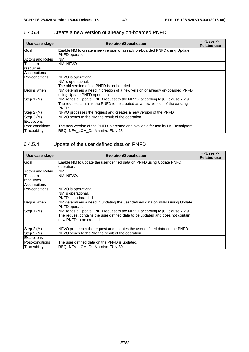| Use case stage          | <b>Evolution/Specification</b>                                                                                                                                       | < <uses>&gt;<br/><b>Related use</b></uses> |
|-------------------------|----------------------------------------------------------------------------------------------------------------------------------------------------------------------|--------------------------------------------|
| Goal                    | Enable NM to create a new version of already on-boarded PNFD using Update<br>PNFD operation.                                                                         |                                            |
| <b>Actors and Roles</b> | NM.                                                                                                                                                                  |                                            |
| Telecom<br>resources    | NM, NFVO.                                                                                                                                                            |                                            |
| Assumptions             |                                                                                                                                                                      |                                            |
| Pre-conditions          | NFVO is operational.<br>NM is operational.<br>The old version of the PNFD is on-boarded.                                                                             |                                            |
| Begins when             | NM determines a need in creation of a new version of already on-boarded PNFD<br>using Update PNFD operation.                                                         |                                            |
| Step 1 (M)              | NM sends a Update PNFD request to the NFVO, according to [6], clause 7.2.9.<br>The request contains the PNFD to be created as a new version of the existing<br>PNFD. |                                            |
| Step 2 (M)              | NFVO processes the request and creates a new version of the PNFD                                                                                                     |                                            |
| Step 3 (M)              | NFVO sends to the NM the result of the operation.                                                                                                                    |                                            |
| <b>Exceptions</b>       |                                                                                                                                                                      |                                            |
| Post-conditions         | The new version of the PNFD is created and available for use by NS Descriptors.                                                                                      |                                            |
| Traceability            | REQ-NFV LCM Os-Ma-nfvo-FUN-28                                                                                                                                        |                                            |

# 6.4.5.3 Create a new version of already on-boarded PNFD

# 6.4.5.4 Update of the user defined data on PNFD

| Use case stage          | <b>Evolution/Specification</b>                                                                                                                                                          | < <uses>&gt;<br/><b>Related use</b></uses> |
|-------------------------|-----------------------------------------------------------------------------------------------------------------------------------------------------------------------------------------|--------------------------------------------|
| Goal                    | Enable NM to update the user defined data on PNFD using Update PNFD.<br>operation.                                                                                                      |                                            |
| <b>Actors and Roles</b> | NM.                                                                                                                                                                                     |                                            |
|                         |                                                                                                                                                                                         |                                            |
| Telecom                 | NM, NFVO.                                                                                                                                                                               |                                            |
| resources               |                                                                                                                                                                                         |                                            |
| Assumptions             |                                                                                                                                                                                         |                                            |
| <b>Pre-conditions</b>   | NFVO is operational.                                                                                                                                                                    |                                            |
|                         | NM is operational.                                                                                                                                                                      |                                            |
|                         | PNFD is on-boarded.                                                                                                                                                                     |                                            |
| Begins when             | NM determines a need in updating the user defined data on PNFD using Update<br>PNFD operation.                                                                                          |                                            |
| Step 1 (M)              | NM sends a Update PNFD request to the NFVO, according to [6], clause 7.2.9.<br>The request contains the user defined data to be updated and does not contain<br>new PNFD to be created. |                                            |
| Step 2 (M)              | NFVO processes the request and updates the user defined data on the PNFD.                                                                                                               |                                            |
| Step 3 (M)              | NFVO sends to the NM the result of the operation.                                                                                                                                       |                                            |
| <b>Exceptions</b>       |                                                                                                                                                                                         |                                            |
| Post-conditions         | The user defined data on the PNFD is updated.                                                                                                                                           |                                            |
| Traceability            | REQ- NFV_LCM_Os-Ma-nfvo-FUN-30                                                                                                                                                          |                                            |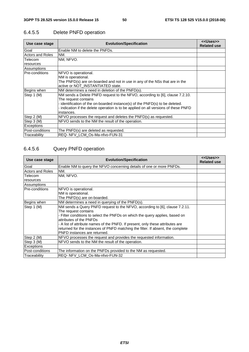| Use case stage          | <b>Evolution/Specification</b>                                                      | < <uses>&gt;<br/><b>Related use</b></uses> |
|-------------------------|-------------------------------------------------------------------------------------|--------------------------------------------|
| Goal                    | Enable NM to delete the PNFDs.                                                      |                                            |
| <b>Actors and Roles</b> | NM.                                                                                 |                                            |
| Telecom                 | NM, NFVO.                                                                           |                                            |
| resources               |                                                                                     |                                            |
| Assumptions             |                                                                                     |                                            |
| Pre-conditions          | NFVO is operational.                                                                |                                            |
|                         | NM is operational.                                                                  |                                            |
|                         | The PNFD(s) are on-boarded and not in use in any of the NSs that are in the         |                                            |
|                         | active or NOT INSTANTIATED state.                                                   |                                            |
| Begins when             | NM determines a need in deletion of the PNFD(s).                                    |                                            |
| Step 1 (M)              | NM sends a Delete PNFD request to the NFVO, according to [6], clause 7.2.10.        |                                            |
|                         | The request contains                                                                |                                            |
|                         | - identification of the on-boarded instance(s) of the PNFD(s) to be deleted.        |                                            |
|                         | - indication if the delete operation is to be applied on all versions of these PNFD |                                            |
|                         | instances.                                                                          |                                            |
| Step 2 (M)              | NFVO processes the request and deletes the PNFD(s) as requested.                    |                                            |
| Step 3 (M)              | NFVO sends to the NM the result of the operation.                                   |                                            |
| Exceptions              |                                                                                     |                                            |
| Post-conditions         | The PNFD(s) are deleted as requested.                                               |                                            |
| Traceability            | REQ- NFV LCM Os-Ma-nfvo-FUN-31                                                      |                                            |

# 6.4.5.5 Delete PNFD operation

# 6.4.5.6 Query PNFD operation

| Use case stage          | <b>Evolution/Specification</b>                                                  | < <uses>&gt;<br/><b>Related use</b></uses> |
|-------------------------|---------------------------------------------------------------------------------|--------------------------------------------|
| Goal                    | Enable NM to query the NFVO concerning details of one or more PNFDs.            |                                            |
| <b>Actors and Roles</b> | NM.                                                                             |                                            |
| Telecom                 | NM, NFVO.                                                                       |                                            |
| resources               |                                                                                 |                                            |
| Assumptions             |                                                                                 |                                            |
| Pre-conditions          | NFVO is operational.                                                            |                                            |
|                         | NM is operational.                                                              |                                            |
|                         | The PNFD(s) are on-boarded.                                                     |                                            |
| Begins when             | NM determines a need in querying of the PNFD(s).                                |                                            |
| Step 1 (M)              | NM sends a Query PNFD request to the NFVO, according to [6], clause 7.2.11.     |                                            |
|                         | The request contains                                                            |                                            |
|                         | - Filter conditions to select the PNFDs on which the query applies, based on    |                                            |
|                         | attributes of the PNFDs                                                         |                                            |
|                         | - A list of attribute names of the PNFD. If present, only these attributes are  |                                            |
|                         | returned for the instances of PNFD matching the filter. If absent, the complete |                                            |
|                         | <b>PNFD</b> instances are returned.                                             |                                            |
| Step 2 (M)              | NFVO processes the request and provides the requested information.              |                                            |
| Step 3 (M)              | NFVO sends to the NM the result of the operation.                               |                                            |
| Exceptions              |                                                                                 |                                            |
| Post-conditions         | The information on the PNFDs provided to the NM as requested.                   |                                            |
| Traceability            | REQ- NFV LCM Os-Ma-nfvo-FUN-32                                                  |                                            |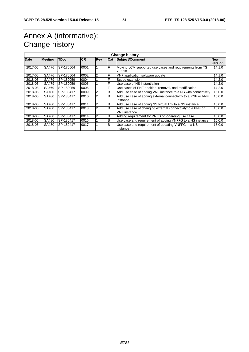# Annex A (informative): Change history

| <b>Change history</b> |                |             |            |            |     |                                                                   |            |
|-----------------------|----------------|-------------|------------|------------|-----|-------------------------------------------------------------------|------------|
| <b>Date</b>           | <b>Meeting</b> | <b>TDoc</b> | <b>ICR</b> | <b>Rev</b> | Cat | Subject/Comment                                                   | <b>New</b> |
|                       |                |             |            |            |     |                                                                   | version    |
| 2017-06               | SA#76          | SP-170504   | 0001       |            | F   | Moving LCM supported use cases and requirements from TS<br>28.510 | 14.1.0     |
| 2017-06               | SA#76          | SP-170504   | 0002       |            | F   | VNF application software update                                   | 14.1.0     |
| 2018-03               | SA#79          | SP-180059   | 0004       |            | F   | Scope extension                                                   | 14.2.0     |
| 2018-03               | SA#79          | SP-180059   | 0005       |            | F   | Use case of NS instantiation                                      | 14.2.0     |
| 2018-03               | SA#79          | SP-180059   | 0006       |            | F   | Use cases of PNF addition, removal, and modification              | 14.2.0     |
| 2018-06               | SA#80          | SP-180417   | 0009       |            | В   | Add use case of adding VNF instance to a NS with connectivity     | 15.0.0     |
| 2018-06               | SA#80          | SP-180417   | 0010       | 2          | B   | Add use case of adding external connectivity to a PNF or VNF      | 15.0.0     |
|                       |                |             |            |            |     | instance                                                          |            |
| 2018-06               | SA#80          | SP-180417   | 0011       |            | B   | Add use case of adding NS virtual link to a NS instance           | 15.0.0     |
| 2018-06               | SA#80          | SP-180417   | 0013       | 2          | B   | Add use case of changing external connectivity to a PNF or        | 15.0.0     |
|                       |                |             |            |            |     | <b>VNF</b> instance                                               |            |
| 2018-06               | SA#80          | SP-180417   | 0014       |            | в   | Adding requirement for PNFD on-boarding use case                  | 15.0.0     |
| 2018-06               | SA#80          | SP-180417   | 0016       |            | B   | Use case and requirement of adding VNFFG to a NS instance         | 15.0.0     |
| 2018-06               | SA#80          | SP-180417   | 0017       |            | B   | Use case and requirement of updating VNFFG in a NS                | 15.0.0     |
|                       |                |             |            |            |     | instance                                                          |            |